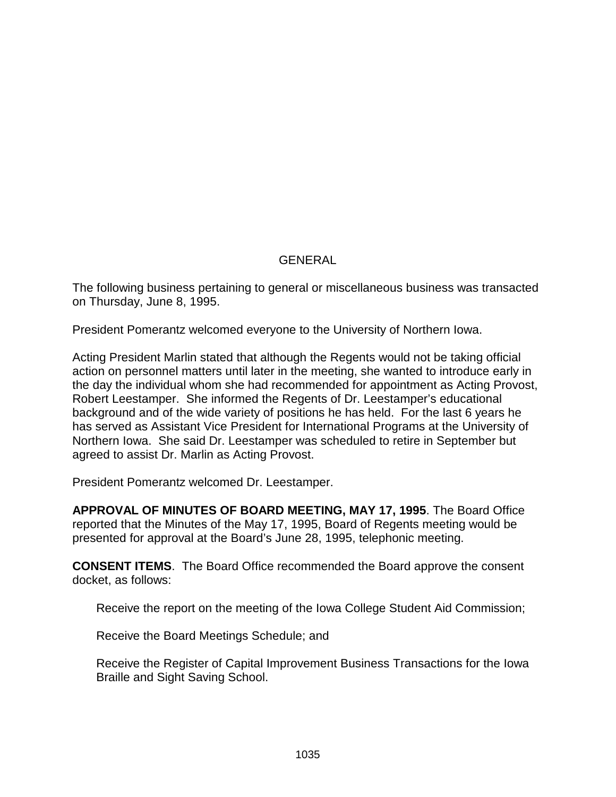# GENERAL

The following business pertaining to general or miscellaneous business was transacted on Thursday, June 8, 1995.

President Pomerantz welcomed everyone to the University of Northern Iowa.

Acting President Marlin stated that although the Regents would not be taking official action on personnel matters until later in the meeting, she wanted to introduce early in the day the individual whom she had recommended for appointment as Acting Provost, Robert Leestamper. She informed the Regents of Dr. Leestamper's educational background and of the wide variety of positions he has held. For the last 6 years he has served as Assistant Vice President for International Programs at the University of Northern Iowa. She said Dr. Leestamper was scheduled to retire in September but agreed to assist Dr. Marlin as Acting Provost.

President Pomerantz welcomed Dr. Leestamper.

**APPROVAL OF MINUTES OF BOARD MEETING, MAY 17, 1995**. The Board Office reported that the Minutes of the May 17, 1995, Board of Regents meeting would be presented for approval at the Board's June 28, 1995, telephonic meeting.

**CONSENT ITEMS**. The Board Office recommended the Board approve the consent docket, as follows:

Receive the report on the meeting of the Iowa College Student Aid Commission;

Receive the Board Meetings Schedule; and

Receive the Register of Capital Improvement Business Transactions for the Iowa Braille and Sight Saving School.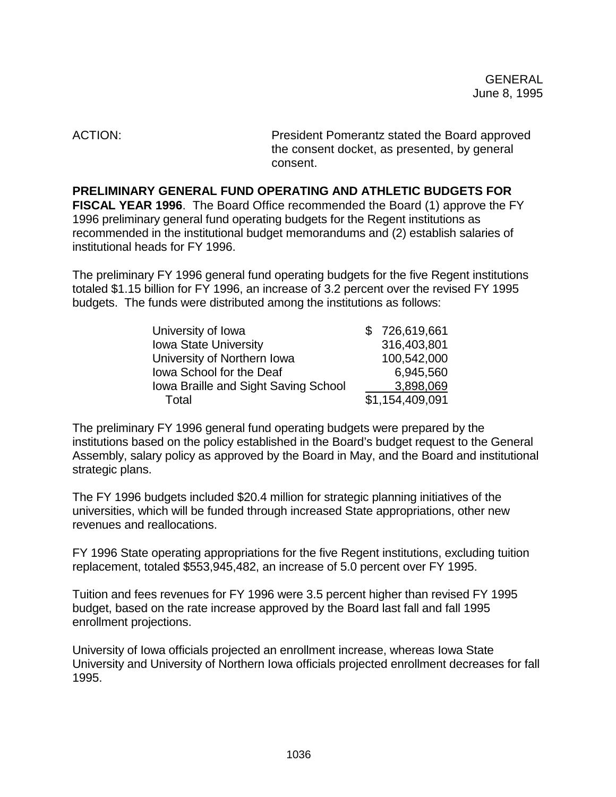ACTION: President Pomerantz stated the Board approved the consent docket, as presented, by general consent.

**PRELIMINARY GENERAL FUND OPERATING AND ATHLETIC BUDGETS FOR FISCAL YEAR 1996**. The Board Office recommended the Board (1) approve the FY 1996 preliminary general fund operating budgets for the Regent institutions as recommended in the institutional budget memorandums and (2) establish salaries of institutional heads for FY 1996.

The preliminary FY 1996 general fund operating budgets for the five Regent institutions totaled \$1.15 billion for FY 1996, an increase of 3.2 percent over the revised FY 1995 budgets. The funds were distributed among the institutions as follows:

| \$726,619,661   |
|-----------------|
| 316,403,801     |
| 100,542,000     |
| 6,945,560       |
| 3,898,069       |
| \$1,154,409,091 |
|                 |

The preliminary FY 1996 general fund operating budgets were prepared by the institutions based on the policy established in the Board's budget request to the General Assembly, salary policy as approved by the Board in May, and the Board and institutional strategic plans.

The FY 1996 budgets included \$20.4 million for strategic planning initiatives of the universities, which will be funded through increased State appropriations, other new revenues and reallocations.

FY 1996 State operating appropriations for the five Regent institutions, excluding tuition replacement, totaled \$553,945,482, an increase of 5.0 percent over FY 1995.

Tuition and fees revenues for FY 1996 were 3.5 percent higher than revised FY 1995 budget, based on the rate increase approved by the Board last fall and fall 1995 enrollment projections.

University of Iowa officials projected an enrollment increase, whereas Iowa State University and University of Northern Iowa officials projected enrollment decreases for fall 1995.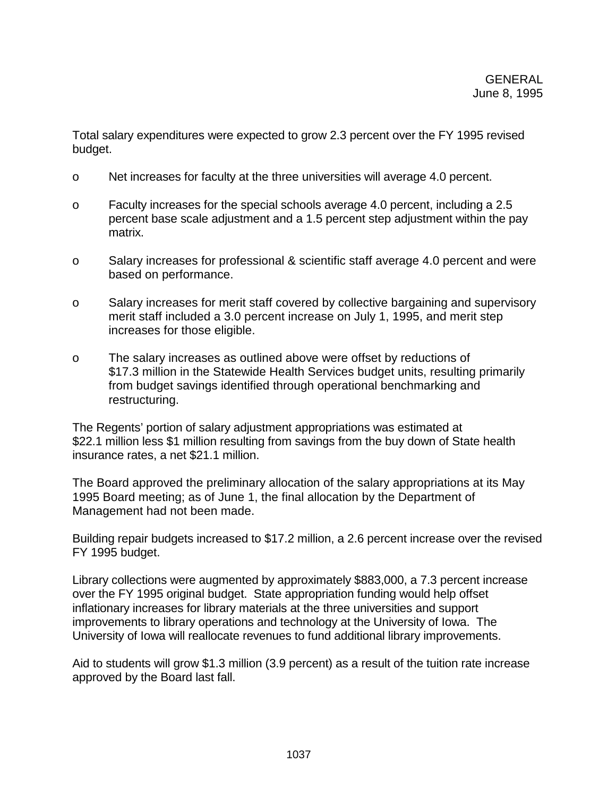Total salary expenditures were expected to grow 2.3 percent over the FY 1995 revised budget.

- o Net increases for faculty at the three universities will average 4.0 percent.
- o Faculty increases for the special schools average 4.0 percent, including a 2.5 percent base scale adjustment and a 1.5 percent step adjustment within the pay matrix.
- o Salary increases for professional & scientific staff average 4.0 percent and were based on performance.
- o Salary increases for merit staff covered by collective bargaining and supervisory merit staff included a 3.0 percent increase on July 1, 1995, and merit step increases for those eligible.
- o The salary increases as outlined above were offset by reductions of \$17.3 million in the Statewide Health Services budget units, resulting primarily from budget savings identified through operational benchmarking and restructuring.

The Regents' portion of salary adjustment appropriations was estimated at \$22.1 million less \$1 million resulting from savings from the buy down of State health insurance rates, a net \$21.1 million.

The Board approved the preliminary allocation of the salary appropriations at its May 1995 Board meeting; as of June 1, the final allocation by the Department of Management had not been made.

Building repair budgets increased to \$17.2 million, a 2.6 percent increase over the revised FY 1995 budget.

Library collections were augmented by approximately \$883,000, a 7.3 percent increase over the FY 1995 original budget. State appropriation funding would help offset inflationary increases for library materials at the three universities and support improvements to library operations and technology at the University of Iowa. The University of Iowa will reallocate revenues to fund additional library improvements.

Aid to students will grow \$1.3 million (3.9 percent) as a result of the tuition rate increase approved by the Board last fall.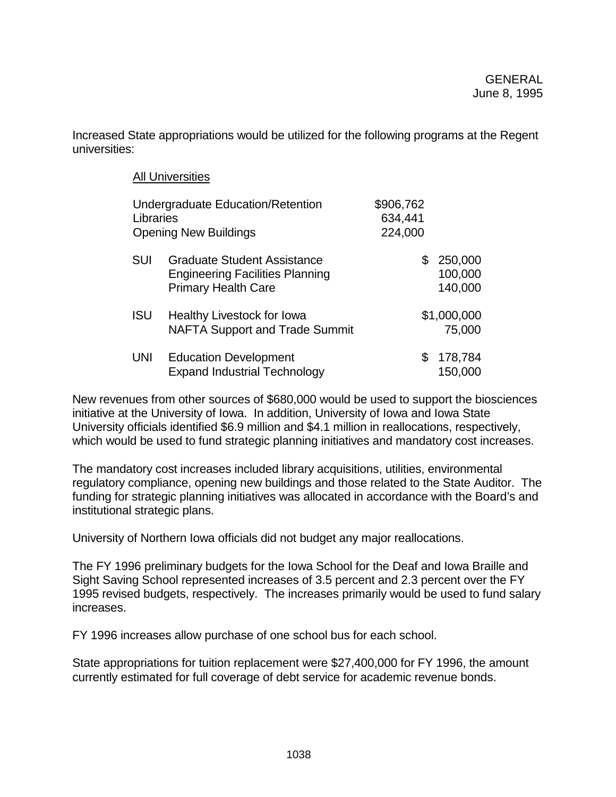Increased State appropriations would be utilized for the following programs at the Regent universities:

|            | <b>All Universities</b>                                                                                    |                                 |                               |
|------------|------------------------------------------------------------------------------------------------------------|---------------------------------|-------------------------------|
| Libraries  | Undergraduate Education/Retention<br><b>Opening New Buildings</b>                                          | \$906,762<br>634,441<br>224,000 |                               |
| <b>SUI</b> | <b>Graduate Student Assistance</b><br><b>Engineering Facilities Planning</b><br><b>Primary Health Care</b> | \$                              | 250,000<br>100,000<br>140,000 |
| <b>ISU</b> | Healthy Livestock for Iowa<br><b>NAFTA Support and Trade Summit</b>                                        |                                 | \$1,000,000<br>75,000         |
| <b>UNI</b> | <b>Education Development</b><br><b>Expand Industrial Technology</b>                                        | S                               | 178,784<br>150,000            |

New revenues from other sources of \$680,000 would be used to support the biosciences initiative at the University of Iowa. In addition, University of Iowa and Iowa State University officials identified \$6.9 million and \$4.1 million in reallocations, respectively, which would be used to fund strategic planning initiatives and mandatory cost increases.

The mandatory cost increases included library acquisitions, utilities, environmental regulatory compliance, opening new buildings and those related to the State Auditor. The funding for strategic planning initiatives was allocated in accordance with the Board's and institutional strategic plans.

University of Northern Iowa officials did not budget any major reallocations.

The FY 1996 preliminary budgets for the Iowa School for the Deaf and Iowa Braille and Sight Saving School represented increases of 3.5 percent and 2.3 percent over the FY 1995 revised budgets, respectively. The increases primarily would be used to fund salary increases.

FY 1996 increases allow purchase of one school bus for each school.

State appropriations for tuition replacement were \$27,400,000 for FY 1996, the amount currently estimated for full coverage of debt service for academic revenue bonds.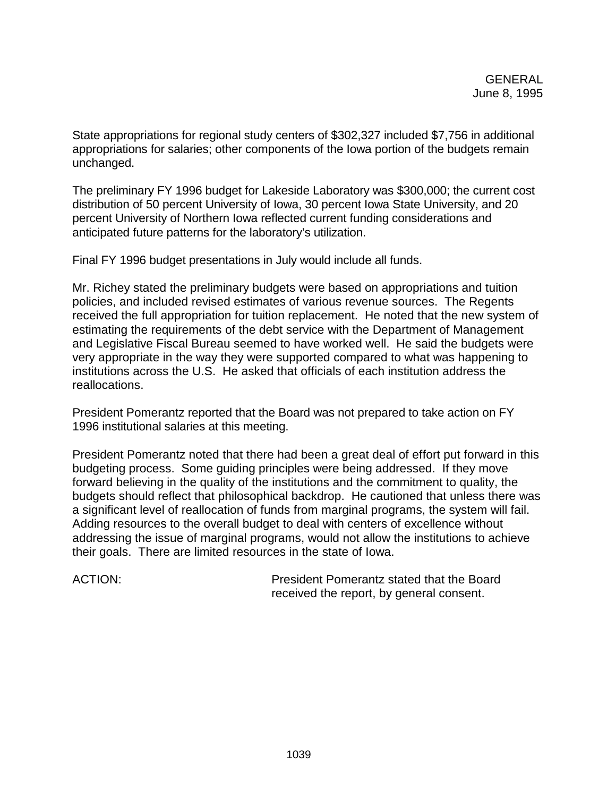State appropriations for regional study centers of \$302,327 included \$7,756 in additional appropriations for salaries; other components of the Iowa portion of the budgets remain unchanged.

The preliminary FY 1996 budget for Lakeside Laboratory was \$300,000; the current cost distribution of 50 percent University of Iowa, 30 percent Iowa State University, and 20 percent University of Northern Iowa reflected current funding considerations and anticipated future patterns for the laboratory's utilization.

Final FY 1996 budget presentations in July would include all funds.

Mr. Richey stated the preliminary budgets were based on appropriations and tuition policies, and included revised estimates of various revenue sources. The Regents received the full appropriation for tuition replacement. He noted that the new system of estimating the requirements of the debt service with the Department of Management and Legislative Fiscal Bureau seemed to have worked well. He said the budgets were very appropriate in the way they were supported compared to what was happening to institutions across the U.S. He asked that officials of each institution address the reallocations.

President Pomerantz reported that the Board was not prepared to take action on FY 1996 institutional salaries at this meeting.

President Pomerantz noted that there had been a great deal of effort put forward in this budgeting process. Some guiding principles were being addressed. If they move forward believing in the quality of the institutions and the commitment to quality, the budgets should reflect that philosophical backdrop. He cautioned that unless there was a significant level of reallocation of funds from marginal programs, the system will fail. Adding resources to the overall budget to deal with centers of excellence without addressing the issue of marginal programs, would not allow the institutions to achieve their goals. There are limited resources in the state of Iowa.

ACTION: President Pomerantz stated that the Board received the report, by general consent.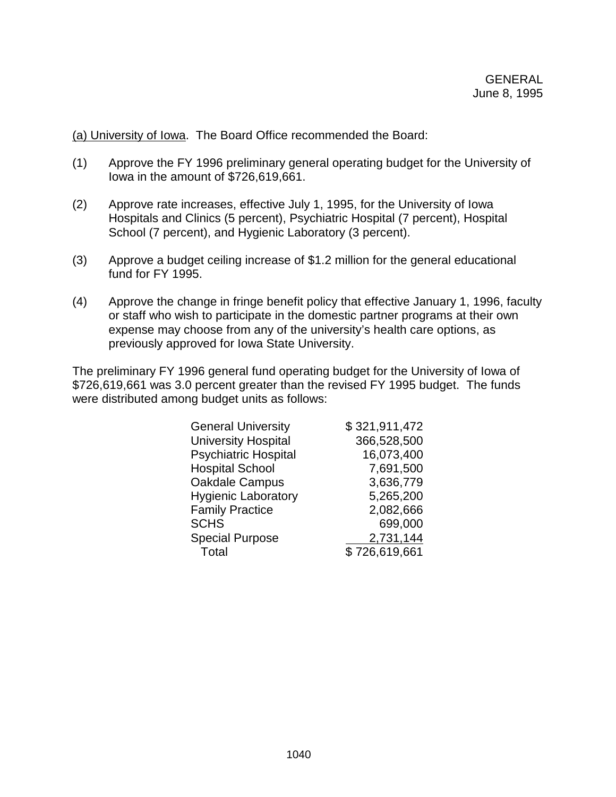(a) University of Iowa. The Board Office recommended the Board:

- (1) Approve the FY 1996 preliminary general operating budget for the University of Iowa in the amount of \$726,619,661.
- (2) Approve rate increases, effective July 1, 1995, for the University of Iowa Hospitals and Clinics (5 percent), Psychiatric Hospital (7 percent), Hospital School (7 percent), and Hygienic Laboratory (3 percent).
- (3) Approve a budget ceiling increase of \$1.2 million for the general educational fund for FY 1995.
- (4) Approve the change in fringe benefit policy that effective January 1, 1996, faculty or staff who wish to participate in the domestic partner programs at their own expense may choose from any of the university's health care options, as previously approved for Iowa State University.

The preliminary FY 1996 general fund operating budget for the University of Iowa of \$726,619,661 was 3.0 percent greater than the revised FY 1995 budget. The funds were distributed among budget units as follows:

| <b>General University</b>   | \$321,911,472 |
|-----------------------------|---------------|
| <b>University Hospital</b>  | 366,528,500   |
| <b>Psychiatric Hospital</b> | 16,073,400    |
| <b>Hospital School</b>      | 7,691,500     |
| Oakdale Campus              | 3,636,779     |
| <b>Hygienic Laboratory</b>  | 5,265,200     |
| <b>Family Practice</b>      | 2,082,666     |
| <b>SCHS</b>                 | 699,000       |
| <b>Special Purpose</b>      | 2,731,144     |
| Total                       | \$726,619,661 |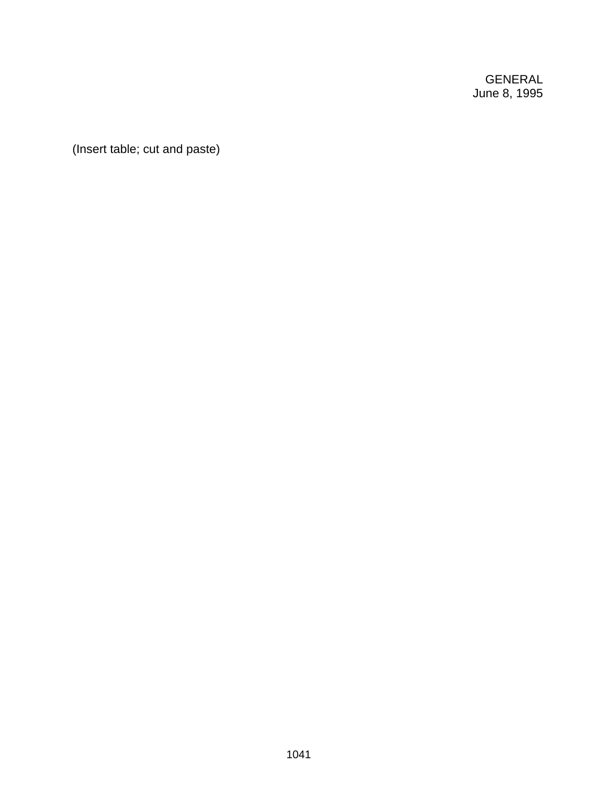GENERAL June 8, 1995

(Insert table; cut and paste)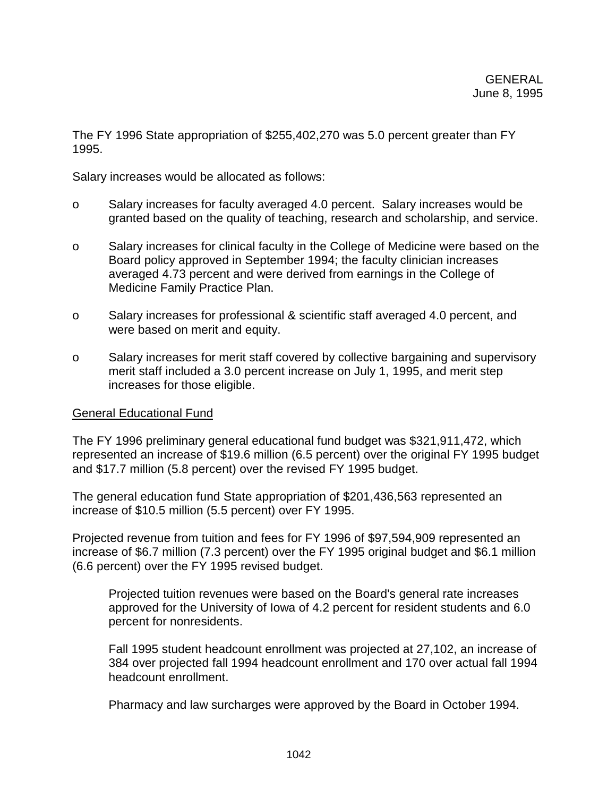The FY 1996 State appropriation of \$255,402,270 was 5.0 percent greater than FY 1995.

Salary increases would be allocated as follows:

- o Salary increases for faculty averaged 4.0 percent. Salary increases would be granted based on the quality of teaching, research and scholarship, and service.
- o Salary increases for clinical faculty in the College of Medicine were based on the Board policy approved in September 1994; the faculty clinician increases averaged 4.73 percent and were derived from earnings in the College of Medicine Family Practice Plan.
- o Salary increases for professional & scientific staff averaged 4.0 percent, and were based on merit and equity.
- o Salary increases for merit staff covered by collective bargaining and supervisory merit staff included a 3.0 percent increase on July 1, 1995, and merit step increases for those eligible.

# General Educational Fund

The FY 1996 preliminary general educational fund budget was \$321,911,472, which represented an increase of \$19.6 million (6.5 percent) over the original FY 1995 budget and \$17.7 million (5.8 percent) over the revised FY 1995 budget.

The general education fund State appropriation of \$201,436,563 represented an increase of \$10.5 million (5.5 percent) over FY 1995.

Projected revenue from tuition and fees for FY 1996 of \$97,594,909 represented an increase of \$6.7 million (7.3 percent) over the FY 1995 original budget and \$6.1 million (6.6 percent) over the FY 1995 revised budget.

Projected tuition revenues were based on the Board's general rate increases approved for the University of Iowa of 4.2 percent for resident students and 6.0 percent for nonresidents.

Fall 1995 student headcount enrollment was projected at 27,102, an increase of 384 over projected fall 1994 headcount enrollment and 170 over actual fall 1994 headcount enrollment.

Pharmacy and law surcharges were approved by the Board in October 1994.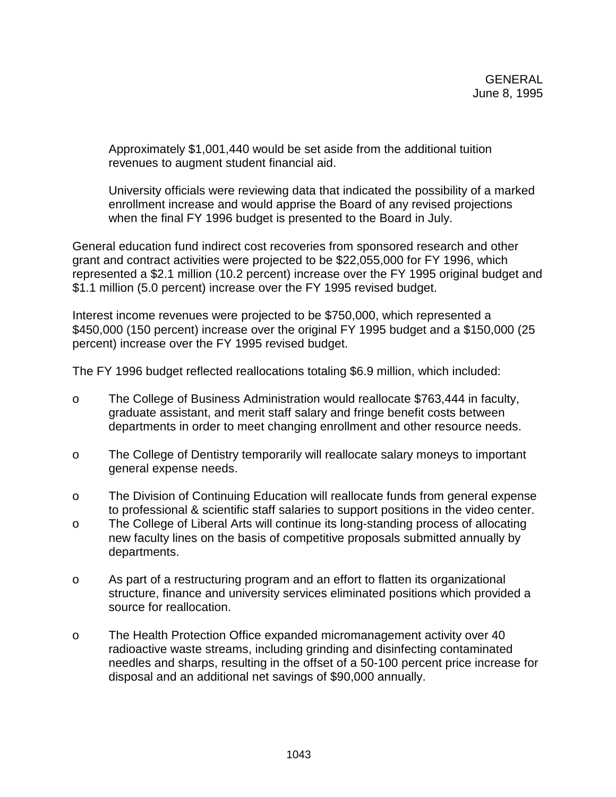Approximately \$1,001,440 would be set aside from the additional tuition revenues to augment student financial aid.

University officials were reviewing data that indicated the possibility of a marked enrollment increase and would apprise the Board of any revised projections when the final FY 1996 budget is presented to the Board in July.

General education fund indirect cost recoveries from sponsored research and other grant and contract activities were projected to be \$22,055,000 for FY 1996, which represented a \$2.1 million (10.2 percent) increase over the FY 1995 original budget and \$1.1 million (5.0 percent) increase over the FY 1995 revised budget.

Interest income revenues were projected to be \$750,000, which represented a \$450,000 (150 percent) increase over the original FY 1995 budget and a \$150,000 (25 percent) increase over the FY 1995 revised budget.

The FY 1996 budget reflected reallocations totaling \$6.9 million, which included:

- o The College of Business Administration would reallocate \$763,444 in faculty, graduate assistant, and merit staff salary and fringe benefit costs between departments in order to meet changing enrollment and other resource needs.
- o The College of Dentistry temporarily will reallocate salary moneys to important general expense needs.
- o The Division of Continuing Education will reallocate funds from general expense to professional & scientific staff salaries to support positions in the video center.
- o The College of Liberal Arts will continue its long-standing process of allocating new faculty lines on the basis of competitive proposals submitted annually by departments.
- o As part of a restructuring program and an effort to flatten its organizational structure, finance and university services eliminated positions which provided a source for reallocation.
- o The Health Protection Office expanded micromanagement activity over 40 radioactive waste streams, including grinding and disinfecting contaminated needles and sharps, resulting in the offset of a 50-100 percent price increase for disposal and an additional net savings of \$90,000 annually.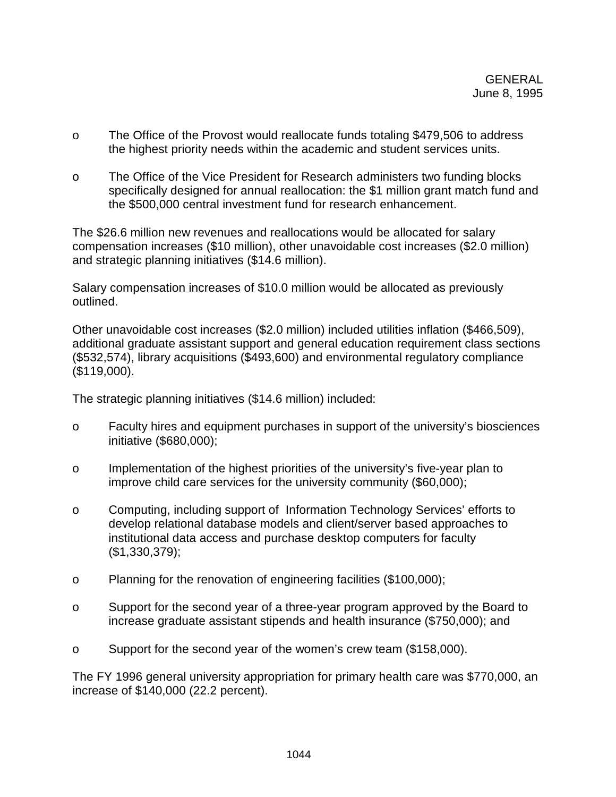- o The Office of the Provost would reallocate funds totaling \$479,506 to address the highest priority needs within the academic and student services units.
- o The Office of the Vice President for Research administers two funding blocks specifically designed for annual reallocation: the \$1 million grant match fund and the \$500,000 central investment fund for research enhancement.

The \$26.6 million new revenues and reallocations would be allocated for salary compensation increases (\$10 million), other unavoidable cost increases (\$2.0 million) and strategic planning initiatives (\$14.6 million).

Salary compensation increases of \$10.0 million would be allocated as previously outlined.

Other unavoidable cost increases (\$2.0 million) included utilities inflation (\$466,509), additional graduate assistant support and general education requirement class sections (\$532,574), library acquisitions (\$493,600) and environmental regulatory compliance (\$119,000).

The strategic planning initiatives (\$14.6 million) included:

- o Faculty hires and equipment purchases in support of the university's biosciences initiative (\$680,000);
- o Implementation of the highest priorities of the university's five-year plan to improve child care services for the university community (\$60,000);
- o Computing, including support of Information Technology Services' efforts to develop relational database models and client/server based approaches to institutional data access and purchase desktop computers for faculty (\$1,330,379);
- o Planning for the renovation of engineering facilities (\$100,000);
- o Support for the second year of a three-year program approved by the Board to increase graduate assistant stipends and health insurance (\$750,000); and
- o Support for the second year of the women's crew team (\$158,000).

The FY 1996 general university appropriation for primary health care was \$770,000, an increase of \$140,000 (22.2 percent).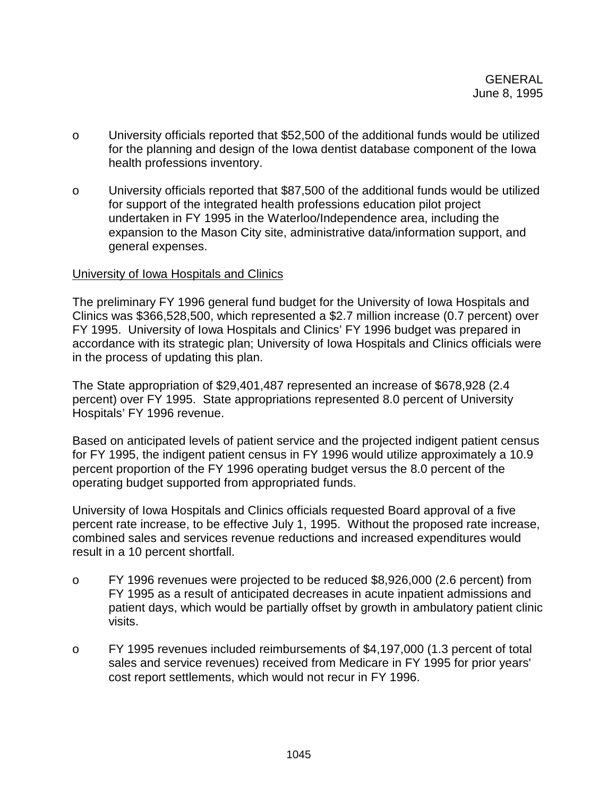- o University officials reported that \$52,500 of the additional funds would be utilized for the planning and design of the Iowa dentist database component of the Iowa health professions inventory.
- o University officials reported that \$87,500 of the additional funds would be utilized for support of the integrated health professions education pilot project undertaken in FY 1995 in the Waterloo/Independence area, including the expansion to the Mason City site, administrative data/information support, and general expenses.

## University of Iowa Hospitals and Clinics

The preliminary FY 1996 general fund budget for the University of Iowa Hospitals and Clinics was \$366,528,500, which represented a \$2.7 million increase (0.7 percent) over FY 1995. University of Iowa Hospitals and Clinics' FY 1996 budget was prepared in accordance with its strategic plan; University of Iowa Hospitals and Clinics officials were in the process of updating this plan.

The State appropriation of \$29,401,487 represented an increase of \$678,928 (2.4 percent) over FY 1995. State appropriations represented 8.0 percent of University Hospitals' FY 1996 revenue.

Based on anticipated levels of patient service and the projected indigent patient census for FY 1995, the indigent patient census in FY 1996 would utilize approximately a 10.9 percent proportion of the FY 1996 operating budget versus the 8.0 percent of the operating budget supported from appropriated funds.

University of Iowa Hospitals and Clinics officials requested Board approval of a five percent rate increase, to be effective July 1, 1995. Without the proposed rate increase, combined sales and services revenue reductions and increased expenditures would result in a 10 percent shortfall.

- o FY 1996 revenues were projected to be reduced \$8,926,000 (2.6 percent) from FY 1995 as a result of anticipated decreases in acute inpatient admissions and patient days, which would be partially offset by growth in ambulatory patient clinic visits.
- o FY 1995 revenues included reimbursements of \$4,197,000 (1.3 percent of total sales and service revenues) received from Medicare in FY 1995 for prior years' cost report settlements, which would not recur in FY 1996.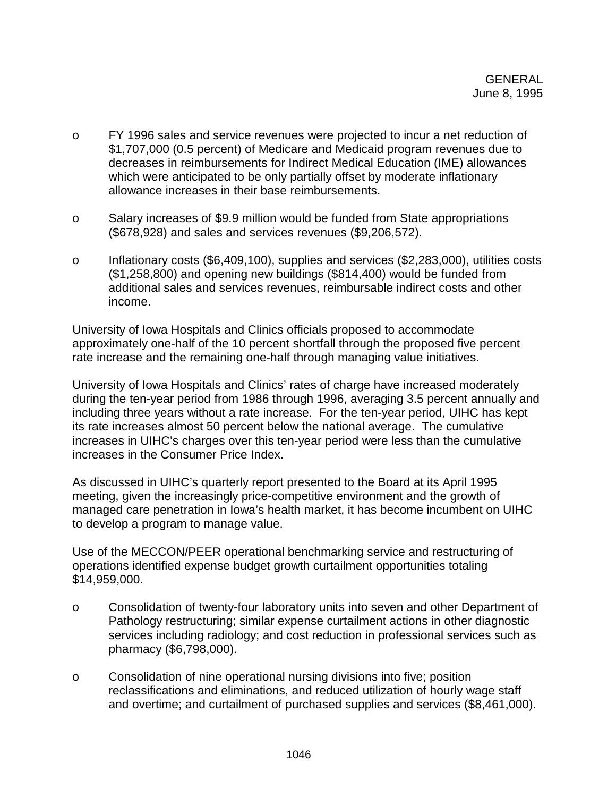- o FY 1996 sales and service revenues were projected to incur a net reduction of \$1,707,000 (0.5 percent) of Medicare and Medicaid program revenues due to decreases in reimbursements for Indirect Medical Education (IME) allowances which were anticipated to be only partially offset by moderate inflationary allowance increases in their base reimbursements.
- o Salary increases of \$9.9 million would be funded from State appropriations (\$678,928) and sales and services revenues (\$9,206,572).
- o Inflationary costs (\$6,409,100), supplies and services (\$2,283,000), utilities costs (\$1,258,800) and opening new buildings (\$814,400) would be funded from additional sales and services revenues, reimbursable indirect costs and other income.

University of Iowa Hospitals and Clinics officials proposed to accommodate approximately one-half of the 10 percent shortfall through the proposed five percent rate increase and the remaining one-half through managing value initiatives.

University of Iowa Hospitals and Clinics' rates of charge have increased moderately during the ten-year period from 1986 through 1996, averaging 3.5 percent annually and including three years without a rate increase. For the ten-year period, UIHC has kept its rate increases almost 50 percent below the national average. The cumulative increases in UIHC's charges over this ten-year period were less than the cumulative increases in the Consumer Price Index.

As discussed in UIHC's quarterly report presented to the Board at its April 1995 meeting, given the increasingly price-competitive environment and the growth of managed care penetration in Iowa's health market, it has become incumbent on UIHC to develop a program to manage value.

Use of the MECCON/PEER operational benchmarking service and restructuring of operations identified expense budget growth curtailment opportunities totaling \$14,959,000.

- o Consolidation of twenty-four laboratory units into seven and other Department of Pathology restructuring; similar expense curtailment actions in other diagnostic services including radiology; and cost reduction in professional services such as pharmacy (\$6,798,000).
- o Consolidation of nine operational nursing divisions into five; position reclassifications and eliminations, and reduced utilization of hourly wage staff and overtime; and curtailment of purchased supplies and services (\$8,461,000).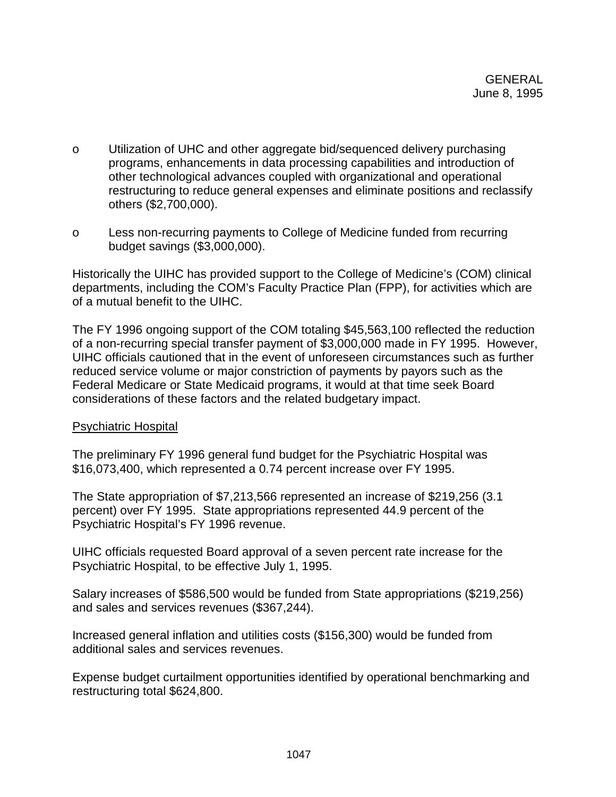- o Utilization of UHC and other aggregate bid/sequenced delivery purchasing programs, enhancements in data processing capabilities and introduction of other technological advances coupled with organizational and operational restructuring to reduce general expenses and eliminate positions and reclassify others (\$2,700,000).
- o Less non-recurring payments to College of Medicine funded from recurring budget savings (\$3,000,000).

Historically the UIHC has provided support to the College of Medicine's (COM) clinical departments, including the COM's Faculty Practice Plan (FPP), for activities which are of a mutual benefit to the UIHC.

The FY 1996 ongoing support of the COM totaling \$45,563,100 reflected the reduction of a non-recurring special transfer payment of \$3,000,000 made in FY 1995. However, UIHC officials cautioned that in the event of unforeseen circumstances such as further reduced service volume or major constriction of payments by payors such as the Federal Medicare or State Medicaid programs, it would at that time seek Board considerations of these factors and the related budgetary impact.

# Psychiatric Hospital

The preliminary FY 1996 general fund budget for the Psychiatric Hospital was \$16,073,400, which represented a 0.74 percent increase over FY 1995.

The State appropriation of \$7,213,566 represented an increase of \$219,256 (3.1 percent) over FY 1995. State appropriations represented 44.9 percent of the Psychiatric Hospital's FY 1996 revenue.

UIHC officials requested Board approval of a seven percent rate increase for the Psychiatric Hospital, to be effective July 1, 1995.

Salary increases of \$586,500 would be funded from State appropriations (\$219,256) and sales and services revenues (\$367,244).

Increased general inflation and utilities costs (\$156,300) would be funded from additional sales and services revenues.

Expense budget curtailment opportunities identified by operational benchmarking and restructuring total \$624,800.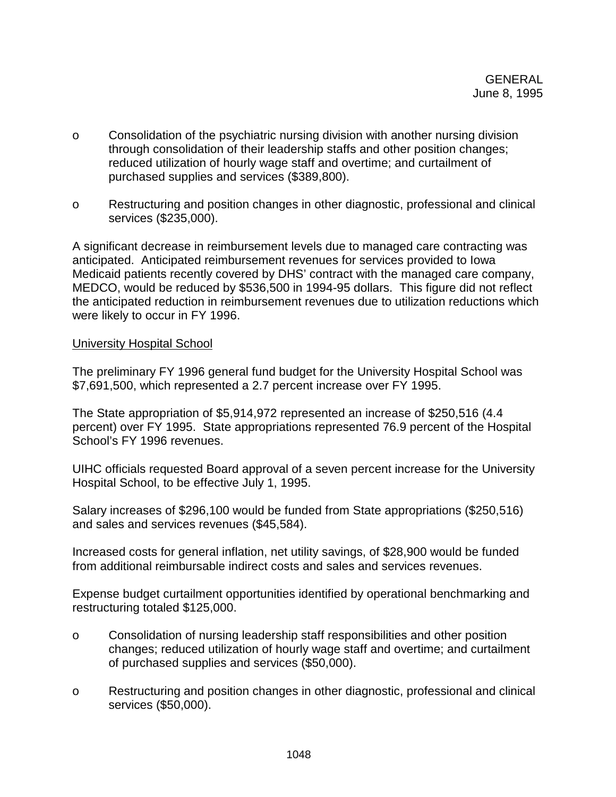- o Consolidation of the psychiatric nursing division with another nursing division through consolidation of their leadership staffs and other position changes; reduced utilization of hourly wage staff and overtime; and curtailment of purchased supplies and services (\$389,800).
- o Restructuring and position changes in other diagnostic, professional and clinical services (\$235,000).

A significant decrease in reimbursement levels due to managed care contracting was anticipated. Anticipated reimbursement revenues for services provided to Iowa Medicaid patients recently covered by DHS' contract with the managed care company, MEDCO, would be reduced by \$536,500 in 1994-95 dollars. This figure did not reflect the anticipated reduction in reimbursement revenues due to utilization reductions which were likely to occur in FY 1996.

## University Hospital School

The preliminary FY 1996 general fund budget for the University Hospital School was \$7,691,500, which represented a 2.7 percent increase over FY 1995.

The State appropriation of \$5,914,972 represented an increase of \$250,516 (4.4 percent) over FY 1995. State appropriations represented 76.9 percent of the Hospital School's FY 1996 revenues.

UIHC officials requested Board approval of a seven percent increase for the University Hospital School, to be effective July 1, 1995.

Salary increases of \$296,100 would be funded from State appropriations (\$250,516) and sales and services revenues (\$45,584).

Increased costs for general inflation, net utility savings, of \$28,900 would be funded from additional reimbursable indirect costs and sales and services revenues.

Expense budget curtailment opportunities identified by operational benchmarking and restructuring totaled \$125,000.

- o Consolidation of nursing leadership staff responsibilities and other position changes; reduced utilization of hourly wage staff and overtime; and curtailment of purchased supplies and services (\$50,000).
- o Restructuring and position changes in other diagnostic, professional and clinical services (\$50,000).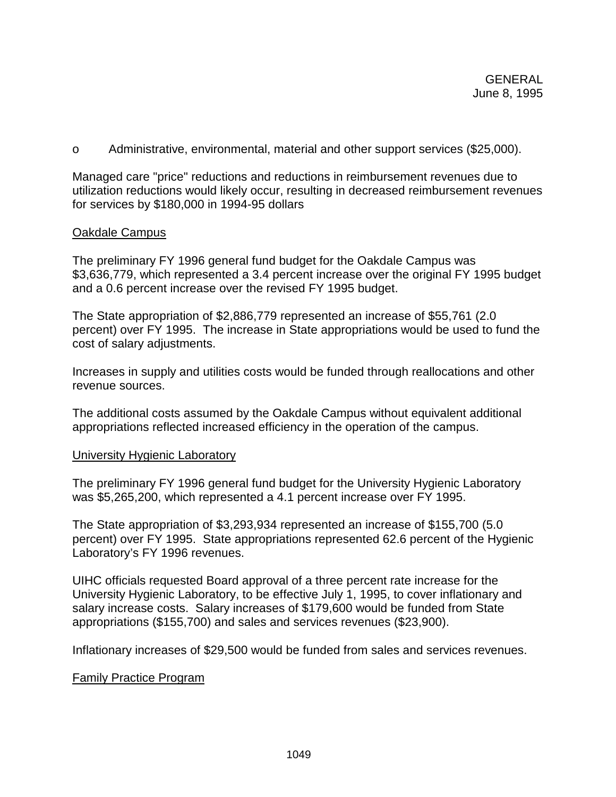o Administrative, environmental, material and other support services (\$25,000).

Managed care "price" reductions and reductions in reimbursement revenues due to utilization reductions would likely occur, resulting in decreased reimbursement revenues for services by \$180,000 in 1994-95 dollars

### Oakdale Campus

The preliminary FY 1996 general fund budget for the Oakdale Campus was \$3,636,779, which represented a 3.4 percent increase over the original FY 1995 budget and a 0.6 percent increase over the revised FY 1995 budget.

The State appropriation of \$2,886,779 represented an increase of \$55,761 (2.0 percent) over FY 1995. The increase in State appropriations would be used to fund the cost of salary adjustments.

Increases in supply and utilities costs would be funded through reallocations and other revenue sources.

The additional costs assumed by the Oakdale Campus without equivalent additional appropriations reflected increased efficiency in the operation of the campus.

### University Hygienic Laboratory

The preliminary FY 1996 general fund budget for the University Hygienic Laboratory was \$5,265,200, which represented a 4.1 percent increase over FY 1995.

The State appropriation of \$3,293,934 represented an increase of \$155,700 (5.0 percent) over FY 1995. State appropriations represented 62.6 percent of the Hygienic Laboratory's FY 1996 revenues.

UIHC officials requested Board approval of a three percent rate increase for the University Hygienic Laboratory, to be effective July 1, 1995, to cover inflationary and salary increase costs. Salary increases of \$179,600 would be funded from State appropriations (\$155,700) and sales and services revenues (\$23,900).

Inflationary increases of \$29,500 would be funded from sales and services revenues.

# Family Practice Program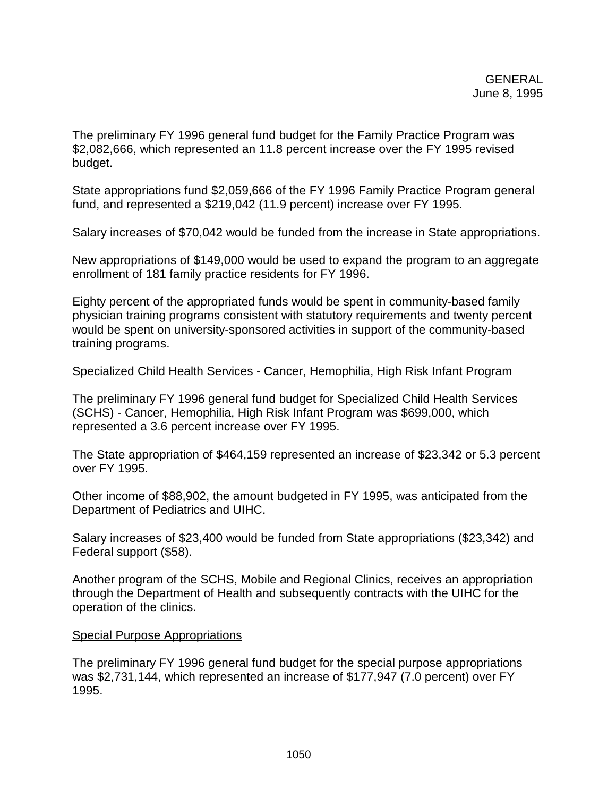The preliminary FY 1996 general fund budget for the Family Practice Program was \$2,082,666, which represented an 11.8 percent increase over the FY 1995 revised budget.

State appropriations fund \$2,059,666 of the FY 1996 Family Practice Program general fund, and represented a \$219,042 (11.9 percent) increase over FY 1995.

Salary increases of \$70,042 would be funded from the increase in State appropriations.

New appropriations of \$149,000 would be used to expand the program to an aggregate enrollment of 181 family practice residents for FY 1996.

Eighty percent of the appropriated funds would be spent in community-based family physician training programs consistent with statutory requirements and twenty percent would be spent on university-sponsored activities in support of the community-based training programs.

## Specialized Child Health Services - Cancer, Hemophilia, High Risk Infant Program

The preliminary FY 1996 general fund budget for Specialized Child Health Services (SCHS) - Cancer, Hemophilia, High Risk Infant Program was \$699,000, which represented a 3.6 percent increase over FY 1995.

The State appropriation of \$464,159 represented an increase of \$23,342 or 5.3 percent over FY 1995.

Other income of \$88,902, the amount budgeted in FY 1995, was anticipated from the Department of Pediatrics and UIHC.

Salary increases of \$23,400 would be funded from State appropriations (\$23,342) and Federal support (\$58).

Another program of the SCHS, Mobile and Regional Clinics, receives an appropriation through the Department of Health and subsequently contracts with the UIHC for the operation of the clinics.

### Special Purpose Appropriations

The preliminary FY 1996 general fund budget for the special purpose appropriations was \$2,731,144, which represented an increase of \$177,947 (7.0 percent) over FY 1995.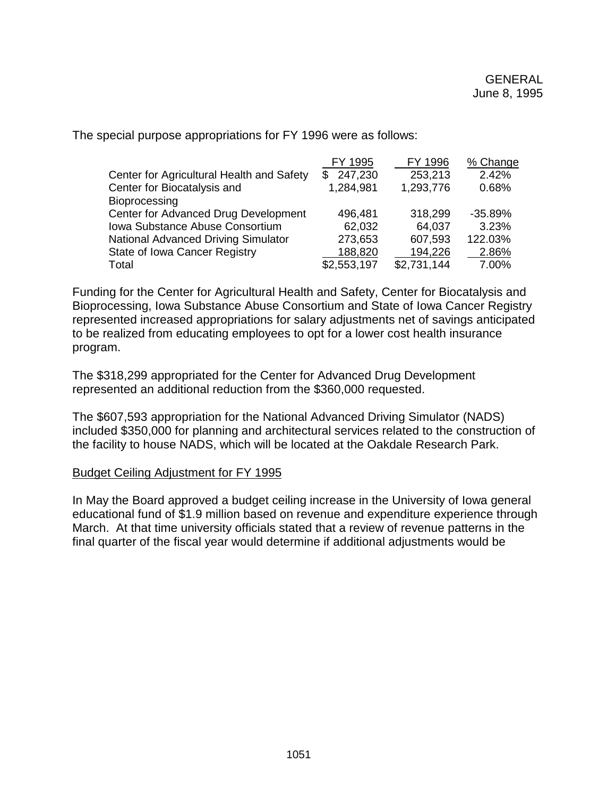|                                           | FY 1995     | FY 1996     | % Change  |
|-------------------------------------------|-------------|-------------|-----------|
| Center for Agricultural Health and Safety | \$247,230   | 253,213     | 2.42%     |
| Center for Biocatalysis and               | 1,284,981   | 1,293,776   | 0.68%     |
| <b>Bioprocessing</b>                      |             |             |           |
| Center for Advanced Drug Development      | 496,481     | 318,299     | $-35.89%$ |
| Iowa Substance Abuse Consortium           | 62,032      | 64,037      | 3.23%     |
| National Advanced Driving Simulator       | 273,653     | 607,593     | 122.03%   |
| State of Iowa Cancer Registry             | 188,820     | 194,226     | 2.86%     |
| Total                                     | \$2,553,197 | \$2,731,144 | 7.00%     |

The special purpose appropriations for FY 1996 were as follows:

Funding for the Center for Agricultural Health and Safety, Center for Biocatalysis and Bioprocessing, Iowa Substance Abuse Consortium and State of Iowa Cancer Registry represented increased appropriations for salary adjustments net of savings anticipated to be realized from educating employees to opt for a lower cost health insurance program.

The \$318,299 appropriated for the Center for Advanced Drug Development represented an additional reduction from the \$360,000 requested.

The \$607,593 appropriation for the National Advanced Driving Simulator (NADS) included \$350,000 for planning and architectural services related to the construction of the facility to house NADS, which will be located at the Oakdale Research Park.

### Budget Ceiling Adjustment for FY 1995

In May the Board approved a budget ceiling increase in the University of Iowa general educational fund of \$1.9 million based on revenue and expenditure experience through March. At that time university officials stated that a review of revenue patterns in the final quarter of the fiscal year would determine if additional adjustments would be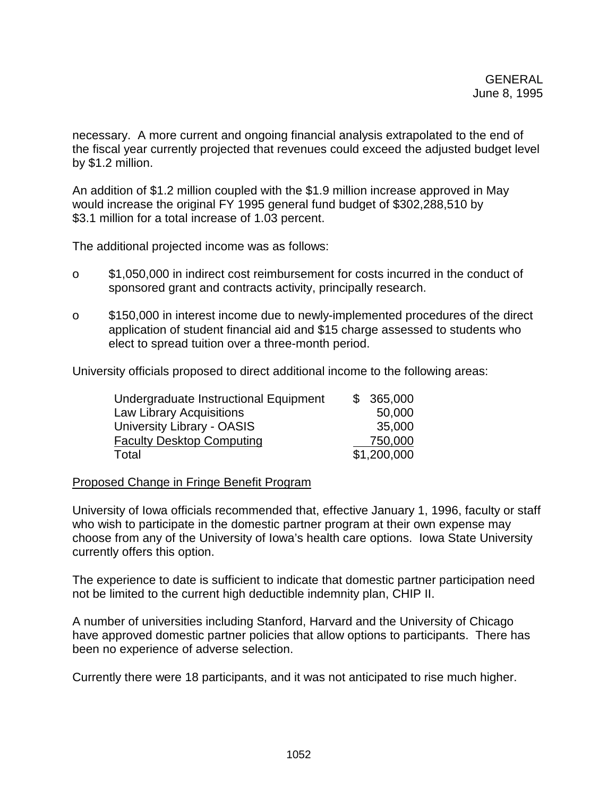necessary. A more current and ongoing financial analysis extrapolated to the end of the fiscal year currently projected that revenues could exceed the adjusted budget level by \$1.2 million.

An addition of \$1.2 million coupled with the \$1.9 million increase approved in May would increase the original FY 1995 general fund budget of \$302,288,510 by \$3.1 million for a total increase of 1.03 percent.

The additional projected income was as follows:

- o \$1,050,000 in indirect cost reimbursement for costs incurred in the conduct of sponsored grant and contracts activity, principally research.
- o \$150,000 in interest income due to newly-implemented procedures of the direct application of student financial aid and \$15 charge assessed to students who elect to spread tuition over a three-month period.

University officials proposed to direct additional income to the following areas:

| Undergraduate Instructional Equipment | \$365,000   |
|---------------------------------------|-------------|
| <b>Law Library Acquisitions</b>       | 50,000      |
| University Library - OASIS            | 35,000      |
| <b>Faculty Desktop Computing</b>      | 750,000     |
| Total                                 | \$1,200,000 |

### Proposed Change in Fringe Benefit Program

University of Iowa officials recommended that, effective January 1, 1996, faculty or staff who wish to participate in the domestic partner program at their own expense may choose from any of the University of Iowa's health care options. Iowa State University currently offers this option.

The experience to date is sufficient to indicate that domestic partner participation need not be limited to the current high deductible indemnity plan, CHIP II.

A number of universities including Stanford, Harvard and the University of Chicago have approved domestic partner policies that allow options to participants. There has been no experience of adverse selection.

Currently there were 18 participants, and it was not anticipated to rise much higher.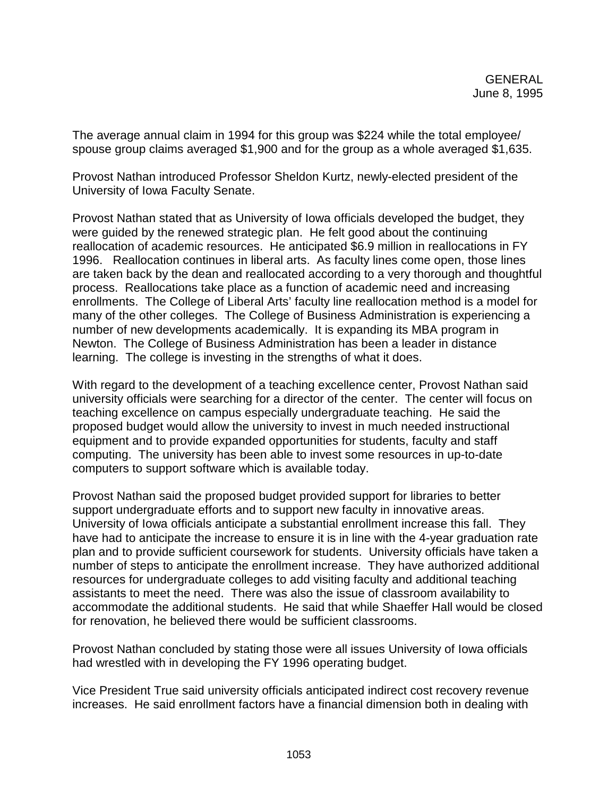The average annual claim in 1994 for this group was \$224 while the total employee/ spouse group claims averaged \$1,900 and for the group as a whole averaged \$1,635.

Provost Nathan introduced Professor Sheldon Kurtz, newly-elected president of the University of Iowa Faculty Senate.

Provost Nathan stated that as University of Iowa officials developed the budget, they were guided by the renewed strategic plan. He felt good about the continuing reallocation of academic resources. He anticipated \$6.9 million in reallocations in FY 1996. Reallocation continues in liberal arts. As faculty lines come open, those lines are taken back by the dean and reallocated according to a very thorough and thoughtful process. Reallocations take place as a function of academic need and increasing enrollments. The College of Liberal Arts' faculty line reallocation method is a model for many of the other colleges. The College of Business Administration is experiencing a number of new developments academically. It is expanding its MBA program in Newton. The College of Business Administration has been a leader in distance learning. The college is investing in the strengths of what it does.

With regard to the development of a teaching excellence center, Provost Nathan said university officials were searching for a director of the center. The center will focus on teaching excellence on campus especially undergraduate teaching. He said the proposed budget would allow the university to invest in much needed instructional equipment and to provide expanded opportunities for students, faculty and staff computing. The university has been able to invest some resources in up-to-date computers to support software which is available today.

Provost Nathan said the proposed budget provided support for libraries to better support undergraduate efforts and to support new faculty in innovative areas. University of Iowa officials anticipate a substantial enrollment increase this fall. They have had to anticipate the increase to ensure it is in line with the 4-year graduation rate plan and to provide sufficient coursework for students. University officials have taken a number of steps to anticipate the enrollment increase. They have authorized additional resources for undergraduate colleges to add visiting faculty and additional teaching assistants to meet the need. There was also the issue of classroom availability to accommodate the additional students. He said that while Shaeffer Hall would be closed for renovation, he believed there would be sufficient classrooms.

Provost Nathan concluded by stating those were all issues University of Iowa officials had wrestled with in developing the FY 1996 operating budget.

Vice President True said university officials anticipated indirect cost recovery revenue increases. He said enrollment factors have a financial dimension both in dealing with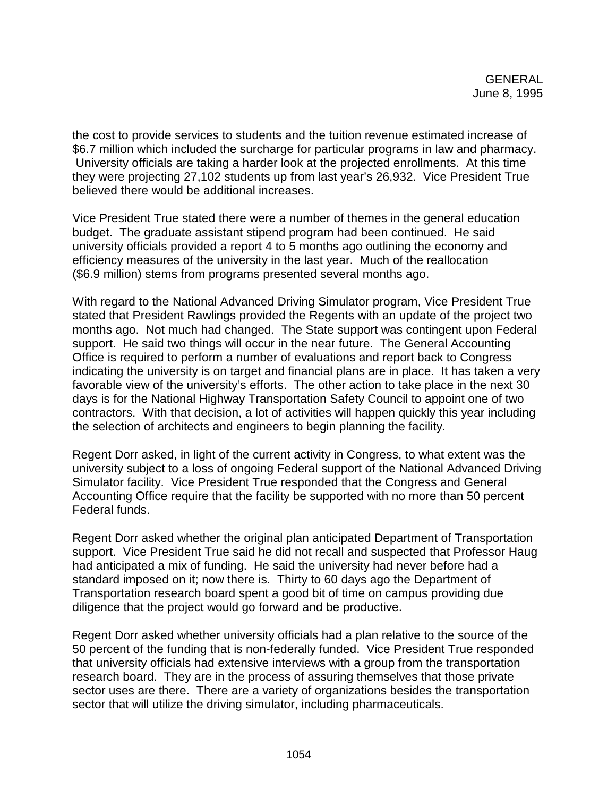the cost to provide services to students and the tuition revenue estimated increase of \$6.7 million which included the surcharge for particular programs in law and pharmacy. University officials are taking a harder look at the projected enrollments. At this time they were projecting 27,102 students up from last year's 26,932. Vice President True believed there would be additional increases.

Vice President True stated there were a number of themes in the general education budget. The graduate assistant stipend program had been continued. He said university officials provided a report 4 to 5 months ago outlining the economy and efficiency measures of the university in the last year. Much of the reallocation (\$6.9 million) stems from programs presented several months ago.

With regard to the National Advanced Driving Simulator program, Vice President True stated that President Rawlings provided the Regents with an update of the project two months ago. Not much had changed. The State support was contingent upon Federal support. He said two things will occur in the near future. The General Accounting Office is required to perform a number of evaluations and report back to Congress indicating the university is on target and financial plans are in place. It has taken a very favorable view of the university's efforts. The other action to take place in the next 30 days is for the National Highway Transportation Safety Council to appoint one of two contractors. With that decision, a lot of activities will happen quickly this year including the selection of architects and engineers to begin planning the facility.

Regent Dorr asked, in light of the current activity in Congress, to what extent was the university subject to a loss of ongoing Federal support of the National Advanced Driving Simulator facility. Vice President True responded that the Congress and General Accounting Office require that the facility be supported with no more than 50 percent Federal funds.

Regent Dorr asked whether the original plan anticipated Department of Transportation support. Vice President True said he did not recall and suspected that Professor Haug had anticipated a mix of funding. He said the university had never before had a standard imposed on it; now there is. Thirty to 60 days ago the Department of Transportation research board spent a good bit of time on campus providing due diligence that the project would go forward and be productive.

Regent Dorr asked whether university officials had a plan relative to the source of the 50 percent of the funding that is non-federally funded. Vice President True responded that university officials had extensive interviews with a group from the transportation research board. They are in the process of assuring themselves that those private sector uses are there. There are a variety of organizations besides the transportation sector that will utilize the driving simulator, including pharmaceuticals.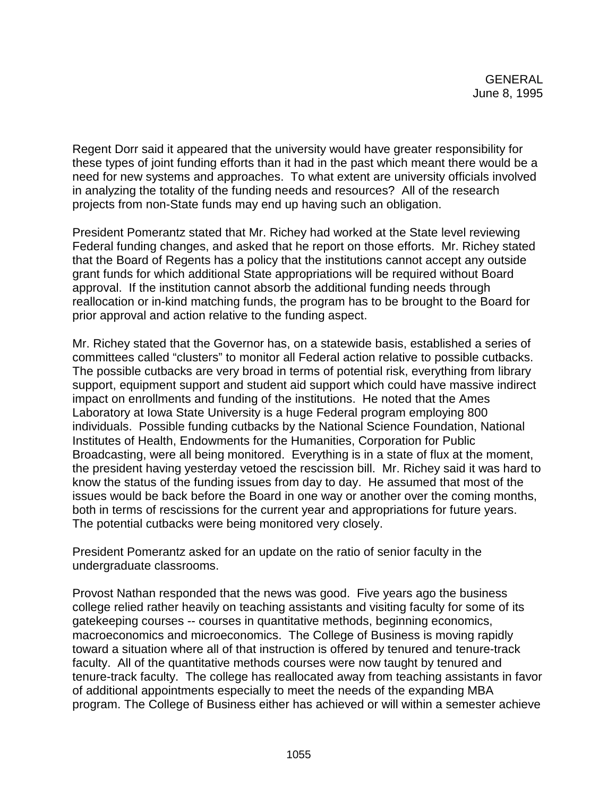Regent Dorr said it appeared that the university would have greater responsibility for these types of joint funding efforts than it had in the past which meant there would be a need for new systems and approaches. To what extent are university officials involved in analyzing the totality of the funding needs and resources? All of the research projects from non-State funds may end up having such an obligation.

President Pomerantz stated that Mr. Richey had worked at the State level reviewing Federal funding changes, and asked that he report on those efforts. Mr. Richey stated that the Board of Regents has a policy that the institutions cannot accept any outside grant funds for which additional State appropriations will be required without Board approval. If the institution cannot absorb the additional funding needs through reallocation or in-kind matching funds, the program has to be brought to the Board for prior approval and action relative to the funding aspect.

Mr. Richey stated that the Governor has, on a statewide basis, established a series of committees called "clusters" to monitor all Federal action relative to possible cutbacks. The possible cutbacks are very broad in terms of potential risk, everything from library support, equipment support and student aid support which could have massive indirect impact on enrollments and funding of the institutions. He noted that the Ames Laboratory at Iowa State University is a huge Federal program employing 800 individuals. Possible funding cutbacks by the National Science Foundation, National Institutes of Health, Endowments for the Humanities, Corporation for Public Broadcasting, were all being monitored. Everything is in a state of flux at the moment, the president having yesterday vetoed the rescission bill. Mr. Richey said it was hard to know the status of the funding issues from day to day. He assumed that most of the issues would be back before the Board in one way or another over the coming months, both in terms of rescissions for the current year and appropriations for future years. The potential cutbacks were being monitored very closely.

President Pomerantz asked for an update on the ratio of senior faculty in the undergraduate classrooms.

Provost Nathan responded that the news was good. Five years ago the business college relied rather heavily on teaching assistants and visiting faculty for some of its gatekeeping courses -- courses in quantitative methods, beginning economics, macroeconomics and microeconomics. The College of Business is moving rapidly toward a situation where all of that instruction is offered by tenured and tenure-track faculty. All of the quantitative methods courses were now taught by tenured and tenure-track faculty. The college has reallocated away from teaching assistants in favor of additional appointments especially to meet the needs of the expanding MBA program. The College of Business either has achieved or will within a semester achieve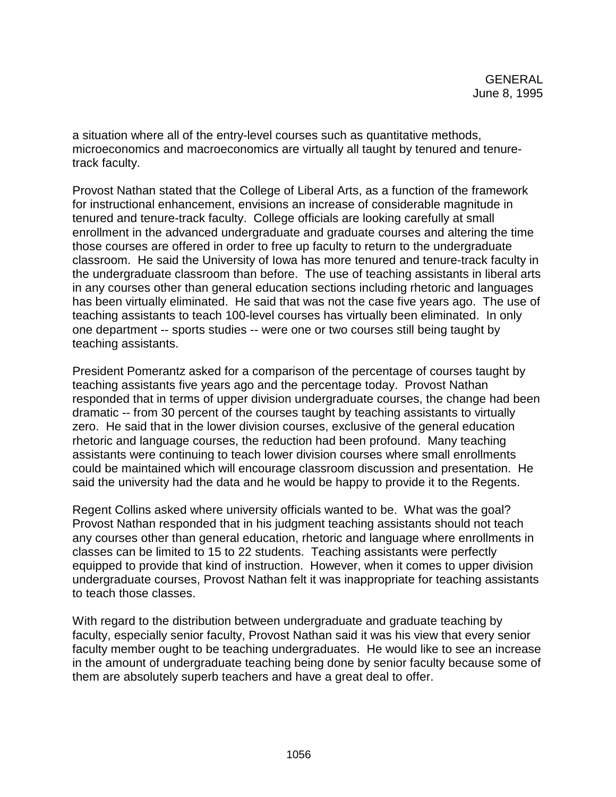a situation where all of the entry-level courses such as quantitative methods, microeconomics and macroeconomics are virtually all taught by tenured and tenuretrack faculty.

Provost Nathan stated that the College of Liberal Arts, as a function of the framework for instructional enhancement, envisions an increase of considerable magnitude in tenured and tenure-track faculty. College officials are looking carefully at small enrollment in the advanced undergraduate and graduate courses and altering the time those courses are offered in order to free up faculty to return to the undergraduate classroom. He said the University of Iowa has more tenured and tenure-track faculty in the undergraduate classroom than before. The use of teaching assistants in liberal arts in any courses other than general education sections including rhetoric and languages has been virtually eliminated. He said that was not the case five years ago. The use of teaching assistants to teach 100-level courses has virtually been eliminated. In only one department -- sports studies -- were one or two courses still being taught by teaching assistants.

President Pomerantz asked for a comparison of the percentage of courses taught by teaching assistants five years ago and the percentage today. Provost Nathan responded that in terms of upper division undergraduate courses, the change had been dramatic -- from 30 percent of the courses taught by teaching assistants to virtually zero. He said that in the lower division courses, exclusive of the general education rhetoric and language courses, the reduction had been profound. Many teaching assistants were continuing to teach lower division courses where small enrollments could be maintained which will encourage classroom discussion and presentation. He said the university had the data and he would be happy to provide it to the Regents.

Regent Collins asked where university officials wanted to be. What was the goal? Provost Nathan responded that in his judgment teaching assistants should not teach any courses other than general education, rhetoric and language where enrollments in classes can be limited to 15 to 22 students. Teaching assistants were perfectly equipped to provide that kind of instruction. However, when it comes to upper division undergraduate courses, Provost Nathan felt it was inappropriate for teaching assistants to teach those classes.

With regard to the distribution between undergraduate and graduate teaching by faculty, especially senior faculty, Provost Nathan said it was his view that every senior faculty member ought to be teaching undergraduates. He would like to see an increase in the amount of undergraduate teaching being done by senior faculty because some of them are absolutely superb teachers and have a great deal to offer.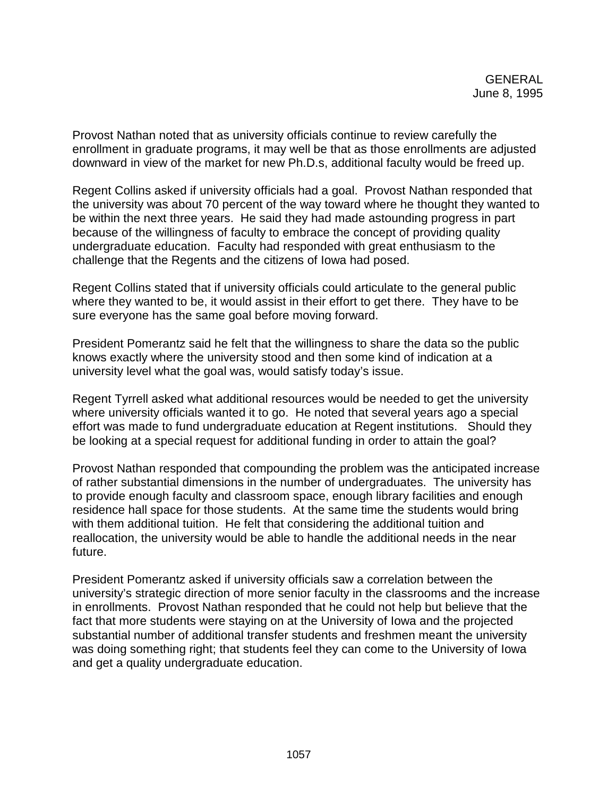Provost Nathan noted that as university officials continue to review carefully the enrollment in graduate programs, it may well be that as those enrollments are adjusted downward in view of the market for new Ph.D.s, additional faculty would be freed up.

Regent Collins asked if university officials had a goal. Provost Nathan responded that the university was about 70 percent of the way toward where he thought they wanted to be within the next three years. He said they had made astounding progress in part because of the willingness of faculty to embrace the concept of providing quality undergraduate education. Faculty had responded with great enthusiasm to the challenge that the Regents and the citizens of Iowa had posed.

Regent Collins stated that if university officials could articulate to the general public where they wanted to be, it would assist in their effort to get there. They have to be sure everyone has the same goal before moving forward.

President Pomerantz said he felt that the willingness to share the data so the public knows exactly where the university stood and then some kind of indication at a university level what the goal was, would satisfy today's issue.

Regent Tyrrell asked what additional resources would be needed to get the university where university officials wanted it to go. He noted that several years ago a special effort was made to fund undergraduate education at Regent institutions. Should they be looking at a special request for additional funding in order to attain the goal?

Provost Nathan responded that compounding the problem was the anticipated increase of rather substantial dimensions in the number of undergraduates. The university has to provide enough faculty and classroom space, enough library facilities and enough residence hall space for those students. At the same time the students would bring with them additional tuition. He felt that considering the additional tuition and reallocation, the university would be able to handle the additional needs in the near future.

President Pomerantz asked if university officials saw a correlation between the university's strategic direction of more senior faculty in the classrooms and the increase in enrollments. Provost Nathan responded that he could not help but believe that the fact that more students were staying on at the University of Iowa and the projected substantial number of additional transfer students and freshmen meant the university was doing something right; that students feel they can come to the University of Iowa and get a quality undergraduate education.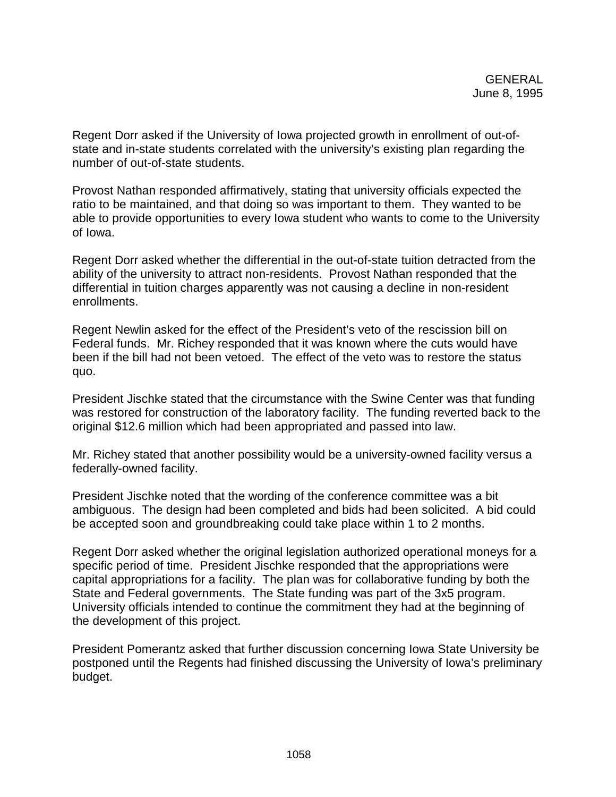Regent Dorr asked if the University of Iowa projected growth in enrollment of out-ofstate and in-state students correlated with the university's existing plan regarding the number of out-of-state students.

Provost Nathan responded affirmatively, stating that university officials expected the ratio to be maintained, and that doing so was important to them. They wanted to be able to provide opportunities to every Iowa student who wants to come to the University of Iowa.

Regent Dorr asked whether the differential in the out-of-state tuition detracted from the ability of the university to attract non-residents. Provost Nathan responded that the differential in tuition charges apparently was not causing a decline in non-resident enrollments.

Regent Newlin asked for the effect of the President's veto of the rescission bill on Federal funds. Mr. Richey responded that it was known where the cuts would have been if the bill had not been vetoed. The effect of the veto was to restore the status quo.

President Jischke stated that the circumstance with the Swine Center was that funding was restored for construction of the laboratory facility. The funding reverted back to the original \$12.6 million which had been appropriated and passed into law.

Mr. Richey stated that another possibility would be a university-owned facility versus a federally-owned facility.

President Jischke noted that the wording of the conference committee was a bit ambiguous. The design had been completed and bids had been solicited. A bid could be accepted soon and groundbreaking could take place within 1 to 2 months.

Regent Dorr asked whether the original legislation authorized operational moneys for a specific period of time. President Jischke responded that the appropriations were capital appropriations for a facility. The plan was for collaborative funding by both the State and Federal governments. The State funding was part of the 3x5 program. University officials intended to continue the commitment they had at the beginning of the development of this project.

President Pomerantz asked that further discussion concerning Iowa State University be postponed until the Regents had finished discussing the University of Iowa's preliminary budget.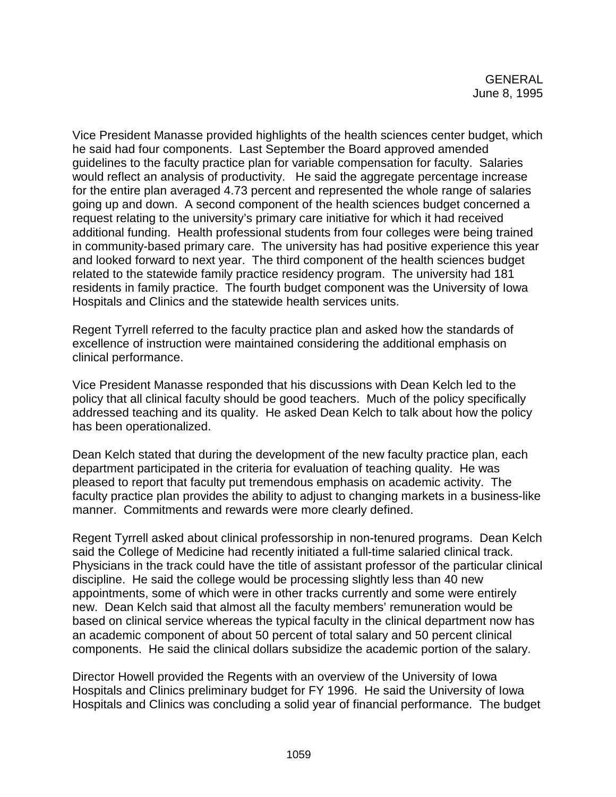Vice President Manasse provided highlights of the health sciences center budget, which he said had four components. Last September the Board approved amended guidelines to the faculty practice plan for variable compensation for faculty. Salaries would reflect an analysis of productivity. He said the aggregate percentage increase for the entire plan averaged 4.73 percent and represented the whole range of salaries going up and down. A second component of the health sciences budget concerned a request relating to the university's primary care initiative for which it had received additional funding. Health professional students from four colleges were being trained in community-based primary care. The university has had positive experience this year and looked forward to next year. The third component of the health sciences budget related to the statewide family practice residency program. The university had 181 residents in family practice. The fourth budget component was the University of Iowa Hospitals and Clinics and the statewide health services units.

Regent Tyrrell referred to the faculty practice plan and asked how the standards of excellence of instruction were maintained considering the additional emphasis on clinical performance.

Vice President Manasse responded that his discussions with Dean Kelch led to the policy that all clinical faculty should be good teachers. Much of the policy specifically addressed teaching and its quality. He asked Dean Kelch to talk about how the policy has been operationalized.

Dean Kelch stated that during the development of the new faculty practice plan, each department participated in the criteria for evaluation of teaching quality. He was pleased to report that faculty put tremendous emphasis on academic activity. The faculty practice plan provides the ability to adjust to changing markets in a business-like manner. Commitments and rewards were more clearly defined.

Regent Tyrrell asked about clinical professorship in non-tenured programs. Dean Kelch said the College of Medicine had recently initiated a full-time salaried clinical track. Physicians in the track could have the title of assistant professor of the particular clinical discipline. He said the college would be processing slightly less than 40 new appointments, some of which were in other tracks currently and some were entirely new. Dean Kelch said that almost all the faculty members' remuneration would be based on clinical service whereas the typical faculty in the clinical department now has an academic component of about 50 percent of total salary and 50 percent clinical components. He said the clinical dollars subsidize the academic portion of the salary.

Director Howell provided the Regents with an overview of the University of Iowa Hospitals and Clinics preliminary budget for FY 1996. He said the University of Iowa Hospitals and Clinics was concluding a solid year of financial performance. The budget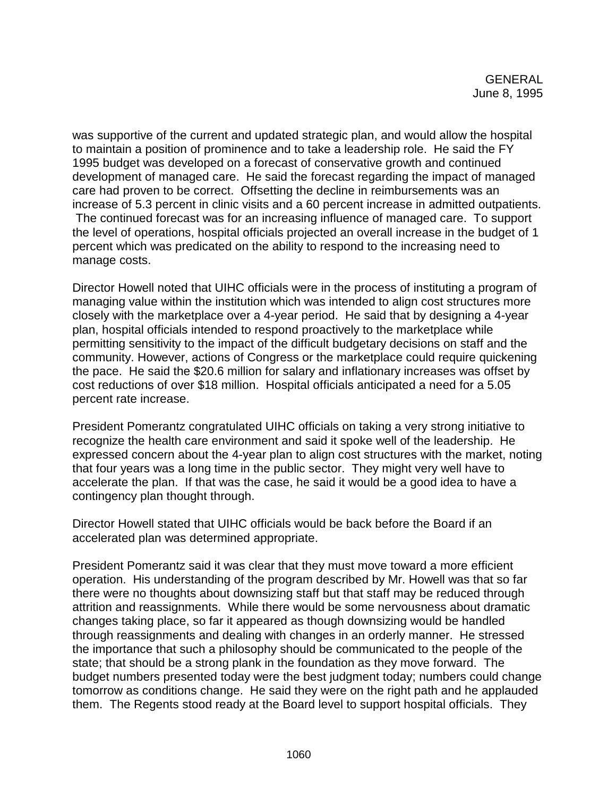was supportive of the current and updated strategic plan, and would allow the hospital to maintain a position of prominence and to take a leadership role. He said the FY 1995 budget was developed on a forecast of conservative growth and continued development of managed care. He said the forecast regarding the impact of managed care had proven to be correct. Offsetting the decline in reimbursements was an increase of 5.3 percent in clinic visits and a 60 percent increase in admitted outpatients. The continued forecast was for an increasing influence of managed care. To support the level of operations, hospital officials projected an overall increase in the budget of 1 percent which was predicated on the ability to respond to the increasing need to manage costs.

Director Howell noted that UIHC officials were in the process of instituting a program of managing value within the institution which was intended to align cost structures more closely with the marketplace over a 4-year period. He said that by designing a 4-year plan, hospital officials intended to respond proactively to the marketplace while permitting sensitivity to the impact of the difficult budgetary decisions on staff and the community. However, actions of Congress or the marketplace could require quickening the pace. He said the \$20.6 million for salary and inflationary increases was offset by cost reductions of over \$18 million. Hospital officials anticipated a need for a 5.05 percent rate increase.

President Pomerantz congratulated UIHC officials on taking a very strong initiative to recognize the health care environment and said it spoke well of the leadership. He expressed concern about the 4-year plan to align cost structures with the market, noting that four years was a long time in the public sector. They might very well have to accelerate the plan. If that was the case, he said it would be a good idea to have a contingency plan thought through.

Director Howell stated that UIHC officials would be back before the Board if an accelerated plan was determined appropriate.

President Pomerantz said it was clear that they must move toward a more efficient operation. His understanding of the program described by Mr. Howell was that so far there were no thoughts about downsizing staff but that staff may be reduced through attrition and reassignments. While there would be some nervousness about dramatic changes taking place, so far it appeared as though downsizing would be handled through reassignments and dealing with changes in an orderly manner. He stressed the importance that such a philosophy should be communicated to the people of the state; that should be a strong plank in the foundation as they move forward. The budget numbers presented today were the best judgment today; numbers could change tomorrow as conditions change. He said they were on the right path and he applauded them. The Regents stood ready at the Board level to support hospital officials. They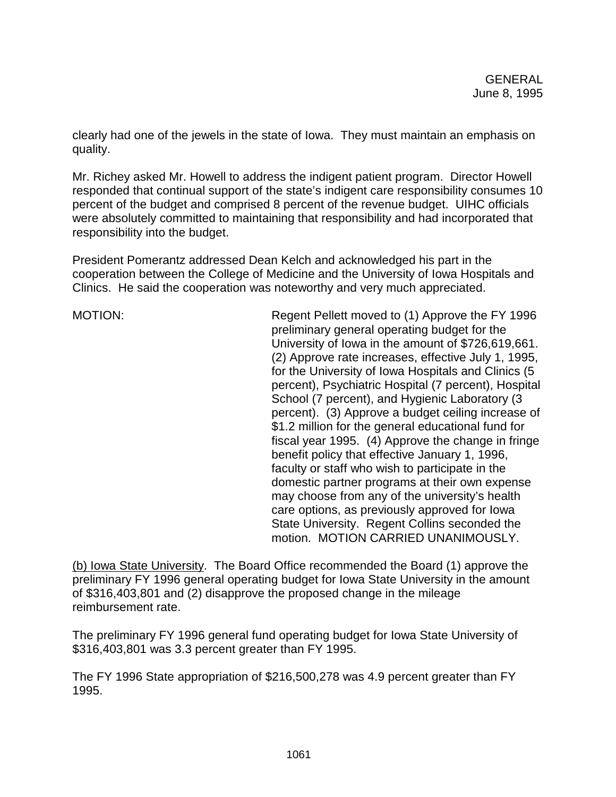clearly had one of the jewels in the state of Iowa. They must maintain an emphasis on quality.

Mr. Richey asked Mr. Howell to address the indigent patient program. Director Howell responded that continual support of the state's indigent care responsibility consumes 10 percent of the budget and comprised 8 percent of the revenue budget. UIHC officials were absolutely committed to maintaining that responsibility and had incorporated that responsibility into the budget.

President Pomerantz addressed Dean Kelch and acknowledged his part in the cooperation between the College of Medicine and the University of Iowa Hospitals and Clinics. He said the cooperation was noteworthy and very much appreciated.

MOTION: Regent Pellett moved to (1) Approve the FY 1996 preliminary general operating budget for the University of Iowa in the amount of \$726,619,661. (2) Approve rate increases, effective July 1, 1995, for the University of Iowa Hospitals and Clinics (5 percent), Psychiatric Hospital (7 percent), Hospital School (7 percent), and Hygienic Laboratory (3 percent). (3) Approve a budget ceiling increase of \$1.2 million for the general educational fund for fiscal year 1995. (4) Approve the change in fringe benefit policy that effective January 1, 1996, faculty or staff who wish to participate in the domestic partner programs at their own expense may choose from any of the university's health care options, as previously approved for Iowa State University. Regent Collins seconded the motion. MOTION CARRIED UNANIMOUSLY.

(b) Iowa State University. The Board Office recommended the Board (1) approve the preliminary FY 1996 general operating budget for Iowa State University in the amount of \$316,403,801 and (2) disapprove the proposed change in the mileage reimbursement rate.

The preliminary FY 1996 general fund operating budget for Iowa State University of \$316,403,801 was 3.3 percent greater than FY 1995.

The FY 1996 State appropriation of \$216,500,278 was 4.9 percent greater than FY 1995.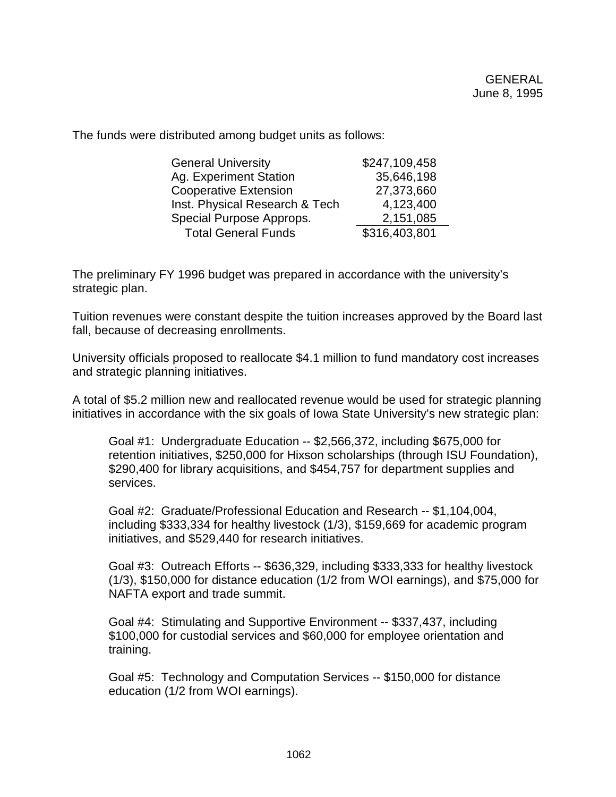The funds were distributed among budget units as follows:

| <b>General University</b>      | \$247,109,458 |
|--------------------------------|---------------|
| Ag. Experiment Station         | 35,646,198    |
| <b>Cooperative Extension</b>   | 27,373,660    |
| Inst. Physical Research & Tech | 4,123,400     |
| Special Purpose Approps.       | 2,151,085     |
| <b>Total General Funds</b>     | \$316,403,801 |

The preliminary FY 1996 budget was prepared in accordance with the university's strategic plan.

Tuition revenues were constant despite the tuition increases approved by the Board last fall, because of decreasing enrollments.

University officials proposed to reallocate \$4.1 million to fund mandatory cost increases and strategic planning initiatives.

A total of \$5.2 million new and reallocated revenue would be used for strategic planning initiatives in accordance with the six goals of Iowa State University's new strategic plan:

Goal #1: Undergraduate Education -- \$2,566,372, including \$675,000 for retention initiatives, \$250,000 for Hixson scholarships (through ISU Foundation), \$290,400 for library acquisitions, and \$454,757 for department supplies and services.

Goal #2: Graduate/Professional Education and Research -- \$1,104,004, including \$333,334 for healthy livestock (1/3), \$159,669 for academic program initiatives, and \$529,440 for research initiatives.

Goal #3: Outreach Efforts -- \$636,329, including \$333,333 for healthy livestock (1/3), \$150,000 for distance education (1/2 from WOI earnings), and \$75,000 for NAFTA export and trade summit.

Goal #4: Stimulating and Supportive Environment -- \$337,437, including \$100,000 for custodial services and \$60,000 for employee orientation and training.

Goal #5: Technology and Computation Services -- \$150,000 for distance education (1/2 from WOI earnings).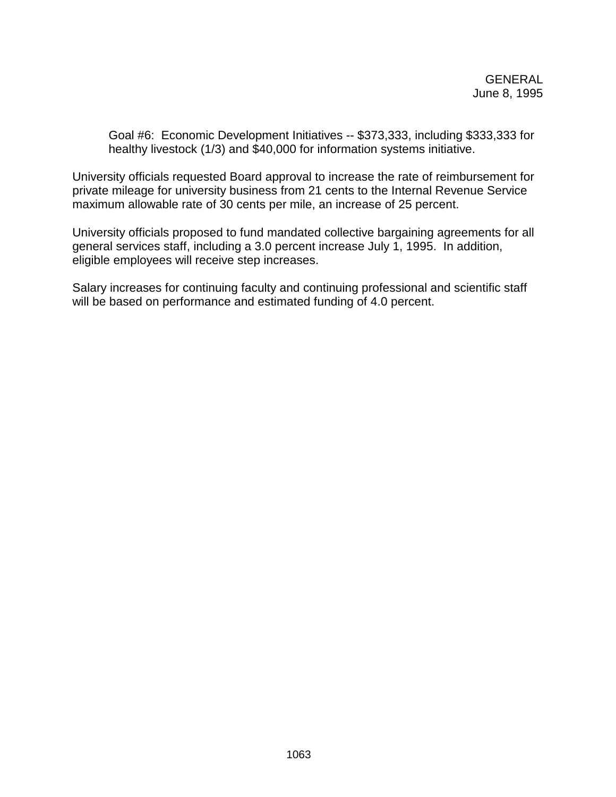Goal #6: Economic Development Initiatives -- \$373,333, including \$333,333 for healthy livestock (1/3) and \$40,000 for information systems initiative.

University officials requested Board approval to increase the rate of reimbursement for private mileage for university business from 21 cents to the Internal Revenue Service maximum allowable rate of 30 cents per mile, an increase of 25 percent.

University officials proposed to fund mandated collective bargaining agreements for all general services staff, including a 3.0 percent increase July 1, 1995. In addition, eligible employees will receive step increases.

Salary increases for continuing faculty and continuing professional and scientific staff will be based on performance and estimated funding of 4.0 percent.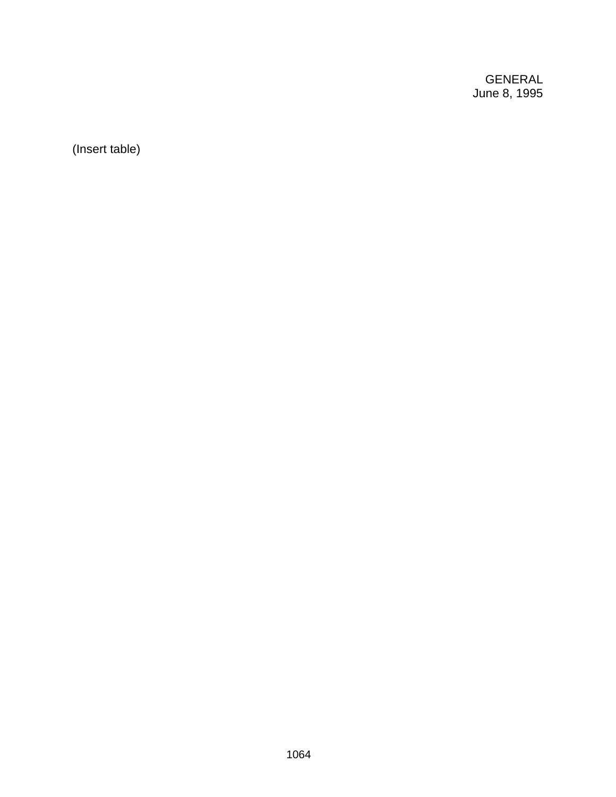GENERAL June 8, 1995

(Insert table)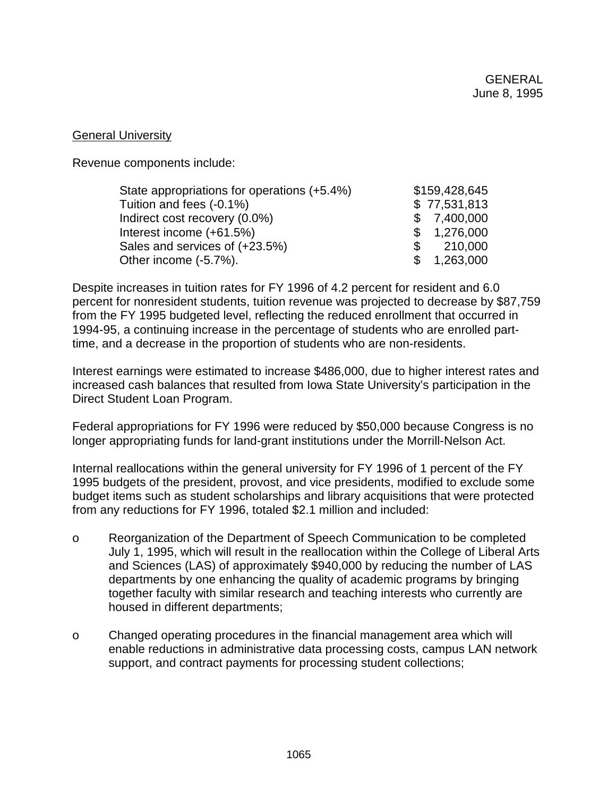## General University

Revenue components include:

| State appropriations for operations (+5.4%) |    | \$159,428,645 |
|---------------------------------------------|----|---------------|
| Tuition and fees (-0.1%)                    |    | \$77,531,813  |
| Indirect cost recovery (0.0%)               |    | \$7,400,000   |
| Interest income (+61.5%)                    |    | \$1,276,000   |
| Sales and services of (+23.5%)              | S. | 210,000       |
| Other income (-5.7%).                       |    | \$1,263,000   |

Despite increases in tuition rates for FY 1996 of 4.2 percent for resident and 6.0 percent for nonresident students, tuition revenue was projected to decrease by \$87,759 from the FY 1995 budgeted level, reflecting the reduced enrollment that occurred in 1994-95, a continuing increase in the percentage of students who are enrolled parttime, and a decrease in the proportion of students who are non-residents.

Interest earnings were estimated to increase \$486,000, due to higher interest rates and increased cash balances that resulted from Iowa State University's participation in the Direct Student Loan Program.

Federal appropriations for FY 1996 were reduced by \$50,000 because Congress is no longer appropriating funds for land-grant institutions under the Morrill-Nelson Act.

Internal reallocations within the general university for FY 1996 of 1 percent of the FY 1995 budgets of the president, provost, and vice presidents, modified to exclude some budget items such as student scholarships and library acquisitions that were protected from any reductions for FY 1996, totaled \$2.1 million and included:

- o Reorganization of the Department of Speech Communication to be completed July 1, 1995, which will result in the reallocation within the College of Liberal Arts and Sciences (LAS) of approximately \$940,000 by reducing the number of LAS departments by one enhancing the quality of academic programs by bringing together faculty with similar research and teaching interests who currently are housed in different departments;
- o Changed operating procedures in the financial management area which will enable reductions in administrative data processing costs, campus LAN network support, and contract payments for processing student collections;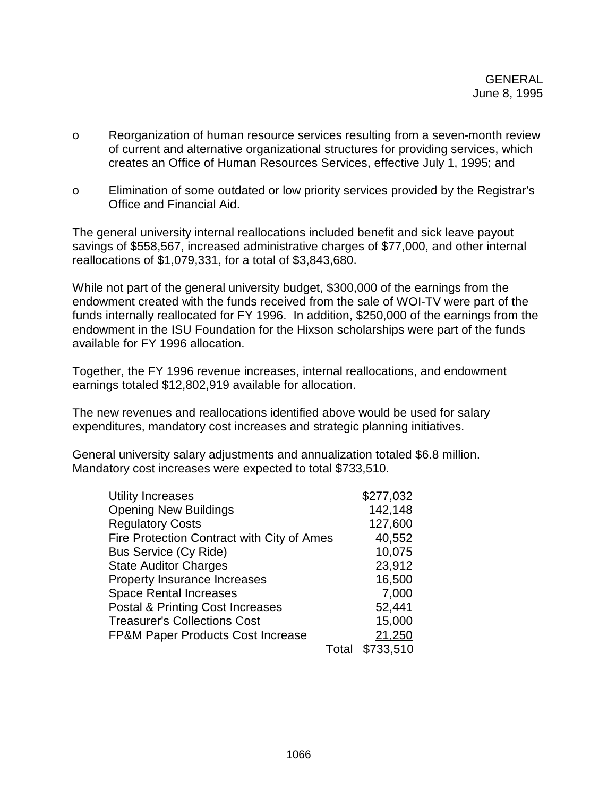- o Reorganization of human resource services resulting from a seven-month review of current and alternative organizational structures for providing services, which creates an Office of Human Resources Services, effective July 1, 1995; and
- o Elimination of some outdated or low priority services provided by the Registrar's Office and Financial Aid.

The general university internal reallocations included benefit and sick leave payout savings of \$558,567, increased administrative charges of \$77,000, and other internal reallocations of \$1,079,331, for a total of \$3,843,680.

While not part of the general university budget, \$300,000 of the earnings from the endowment created with the funds received from the sale of WOI-TV were part of the funds internally reallocated for FY 1996. In addition, \$250,000 of the earnings from the endowment in the ISU Foundation for the Hixson scholarships were part of the funds available for FY 1996 allocation.

Together, the FY 1996 revenue increases, internal reallocations, and endowment earnings totaled \$12,802,919 available for allocation.

The new revenues and reallocations identified above would be used for salary expenditures, mandatory cost increases and strategic planning initiatives.

General university salary adjustments and annualization totaled \$6.8 million. Mandatory cost increases were expected to total \$733,510.

| <b>Utility Increases</b>                     |       | \$277,032 |
|----------------------------------------------|-------|-----------|
| <b>Opening New Buildings</b>                 |       | 142,148   |
| <b>Regulatory Costs</b>                      |       | 127,600   |
| Fire Protection Contract with City of Ames   |       | 40,552    |
| <b>Bus Service (Cy Ride)</b>                 |       | 10,075    |
| <b>State Auditor Charges</b>                 |       | 23,912    |
| Property Insurance Increases                 |       | 16,500    |
| <b>Space Rental Increases</b>                |       | 7,000     |
| <b>Postal &amp; Printing Cost Increases</b>  |       | 52,441    |
| <b>Treasurer's Collections Cost</b>          |       | 15,000    |
| <b>FP&amp;M Paper Products Cost Increase</b> |       | 21,250    |
|                                              | Total | \$733,510 |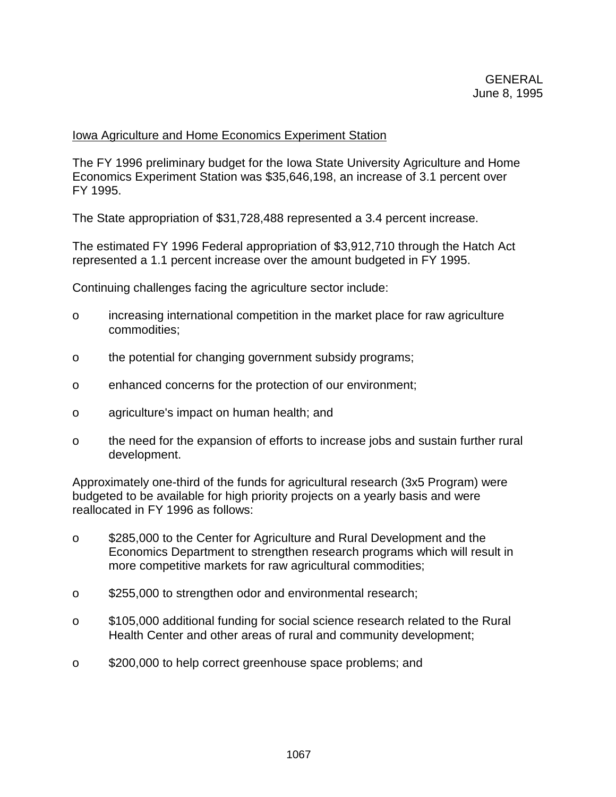## Iowa Agriculture and Home Economics Experiment Station

The FY 1996 preliminary budget for the Iowa State University Agriculture and Home Economics Experiment Station was \$35,646,198, an increase of 3.1 percent over FY 1995.

The State appropriation of \$31,728,488 represented a 3.4 percent increase.

The estimated FY 1996 Federal appropriation of \$3,912,710 through the Hatch Act represented a 1.1 percent increase over the amount budgeted in FY 1995.

Continuing challenges facing the agriculture sector include:

- o increasing international competition in the market place for raw agriculture commodities;
- o the potential for changing government subsidy programs;
- o enhanced concerns for the protection of our environment;
- o agriculture's impact on human health; and
- o the need for the expansion of efforts to increase jobs and sustain further rural development.

Approximately one-third of the funds for agricultural research (3x5 Program) were budgeted to be available for high priority projects on a yearly basis and were reallocated in FY 1996 as follows:

- o \$285,000 to the Center for Agriculture and Rural Development and the Economics Department to strengthen research programs which will result in more competitive markets for raw agricultural commodities;
- o \$255,000 to strengthen odor and environmental research;
- o \$105,000 additional funding for social science research related to the Rural Health Center and other areas of rural and community development;
- o \$200,000 to help correct greenhouse space problems; and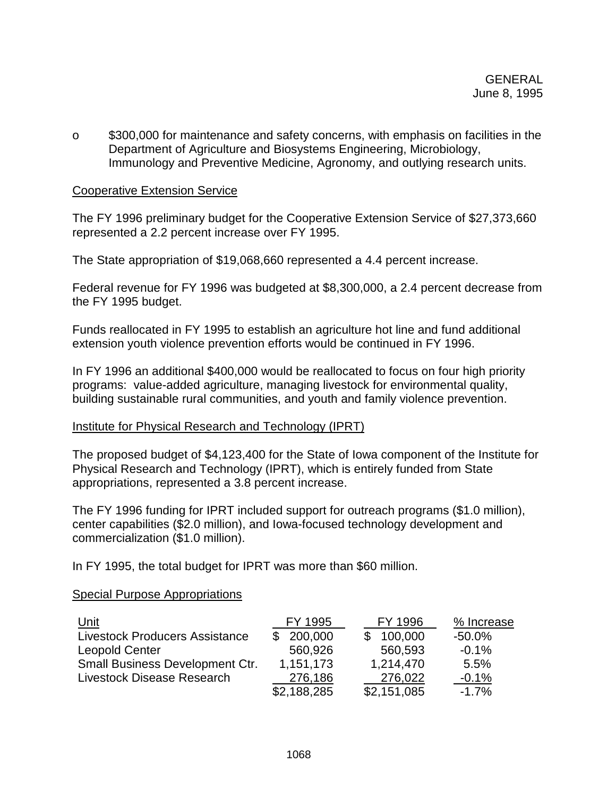o \$300,000 for maintenance and safety concerns, with emphasis on facilities in the Department of Agriculture and Biosystems Engineering, Microbiology, Immunology and Preventive Medicine, Agronomy, and outlying research units.

## Cooperative Extension Service

The FY 1996 preliminary budget for the Cooperative Extension Service of \$27,373,660 represented a 2.2 percent increase over FY 1995.

The State appropriation of \$19,068,660 represented a 4.4 percent increase.

Federal revenue for FY 1996 was budgeted at \$8,300,000, a 2.4 percent decrease from the FY 1995 budget.

Funds reallocated in FY 1995 to establish an agriculture hot line and fund additional extension youth violence prevention efforts would be continued in FY 1996.

In FY 1996 an additional \$400,000 would be reallocated to focus on four high priority programs: value-added agriculture, managing livestock for environmental quality, building sustainable rural communities, and youth and family violence prevention.

# Institute for Physical Research and Technology (IPRT)

The proposed budget of \$4,123,400 for the State of Iowa component of the Institute for Physical Research and Technology (IPRT), which is entirely funded from State appropriations, represented a 3.8 percent increase.

The FY 1996 funding for IPRT included support for outreach programs (\$1.0 million), center capabilities (\$2.0 million), and Iowa-focused technology development and commercialization (\$1.0 million).

In FY 1995, the total budget for IPRT was more than \$60 million.

### Special Purpose Appropriations

| <u>Unit</u>                           | FY 1995     | FY 1996     | % Increase |
|---------------------------------------|-------------|-------------|------------|
| <b>Livestock Producers Assistance</b> | 200,000     | 100,000     | $-50.0\%$  |
| <b>Leopold Center</b>                 | 560,926     | 560,593     | $-0.1%$    |
| Small Business Development Ctr.       | 1,151,173   | 1,214,470   | 5.5%       |
| Livestock Disease Research            | 276,186     | 276,022     | $-0.1%$    |
|                                       | \$2,188,285 | \$2,151,085 | $-1.7%$    |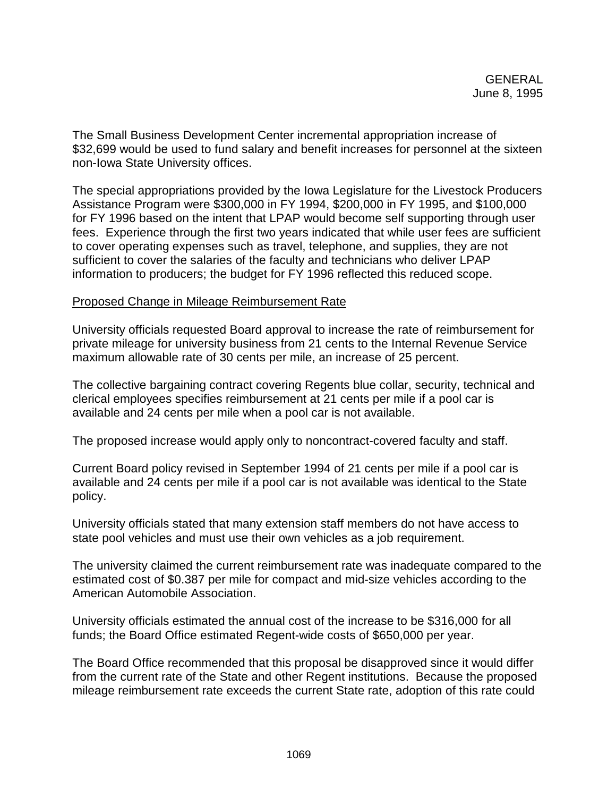The Small Business Development Center incremental appropriation increase of \$32,699 would be used to fund salary and benefit increases for personnel at the sixteen non-Iowa State University offices.

The special appropriations provided by the Iowa Legislature for the Livestock Producers Assistance Program were \$300,000 in FY 1994, \$200,000 in FY 1995, and \$100,000 for FY 1996 based on the intent that LPAP would become self supporting through user fees. Experience through the first two years indicated that while user fees are sufficient to cover operating expenses such as travel, telephone, and supplies, they are not sufficient to cover the salaries of the faculty and technicians who deliver LPAP information to producers; the budget for FY 1996 reflected this reduced scope.

## Proposed Change in Mileage Reimbursement Rate

University officials requested Board approval to increase the rate of reimbursement for private mileage for university business from 21 cents to the Internal Revenue Service maximum allowable rate of 30 cents per mile, an increase of 25 percent.

The collective bargaining contract covering Regents blue collar, security, technical and clerical employees specifies reimbursement at 21 cents per mile if a pool car is available and 24 cents per mile when a pool car is not available.

The proposed increase would apply only to noncontract-covered faculty and staff.

Current Board policy revised in September 1994 of 21 cents per mile if a pool car is available and 24 cents per mile if a pool car is not available was identical to the State policy.

University officials stated that many extension staff members do not have access to state pool vehicles and must use their own vehicles as a job requirement.

The university claimed the current reimbursement rate was inadequate compared to the estimated cost of \$0.387 per mile for compact and mid-size vehicles according to the American Automobile Association.

University officials estimated the annual cost of the increase to be \$316,000 for all funds; the Board Office estimated Regent-wide costs of \$650,000 per year.

The Board Office recommended that this proposal be disapproved since it would differ from the current rate of the State and other Regent institutions. Because the proposed mileage reimbursement rate exceeds the current State rate, adoption of this rate could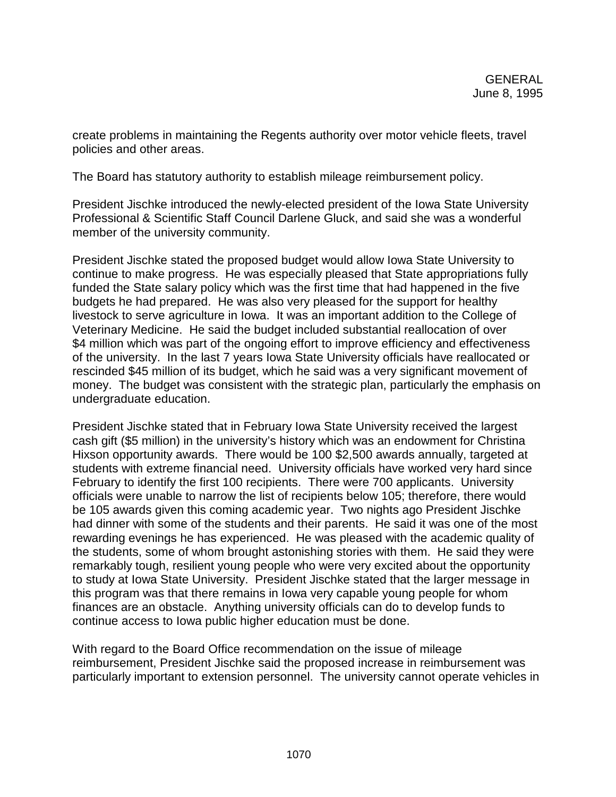create problems in maintaining the Regents authority over motor vehicle fleets, travel policies and other areas.

The Board has statutory authority to establish mileage reimbursement policy.

President Jischke introduced the newly-elected president of the Iowa State University Professional & Scientific Staff Council Darlene Gluck, and said she was a wonderful member of the university community.

President Jischke stated the proposed budget would allow Iowa State University to continue to make progress. He was especially pleased that State appropriations fully funded the State salary policy which was the first time that had happened in the five budgets he had prepared. He was also very pleased for the support for healthy livestock to serve agriculture in Iowa. It was an important addition to the College of Veterinary Medicine. He said the budget included substantial reallocation of over \$4 million which was part of the ongoing effort to improve efficiency and effectiveness of the university. In the last 7 years Iowa State University officials have reallocated or rescinded \$45 million of its budget, which he said was a very significant movement of money. The budget was consistent with the strategic plan, particularly the emphasis on undergraduate education.

President Jischke stated that in February Iowa State University received the largest cash gift (\$5 million) in the university's history which was an endowment for Christina Hixson opportunity awards. There would be 100 \$2,500 awards annually, targeted at students with extreme financial need. University officials have worked very hard since February to identify the first 100 recipients. There were 700 applicants. University officials were unable to narrow the list of recipients below 105; therefore, there would be 105 awards given this coming academic year. Two nights ago President Jischke had dinner with some of the students and their parents. He said it was one of the most rewarding evenings he has experienced. He was pleased with the academic quality of the students, some of whom brought astonishing stories with them. He said they were remarkably tough, resilient young people who were very excited about the opportunity to study at Iowa State University. President Jischke stated that the larger message in this program was that there remains in Iowa very capable young people for whom finances are an obstacle. Anything university officials can do to develop funds to continue access to Iowa public higher education must be done.

With regard to the Board Office recommendation on the issue of mileage reimbursement, President Jischke said the proposed increase in reimbursement was particularly important to extension personnel. The university cannot operate vehicles in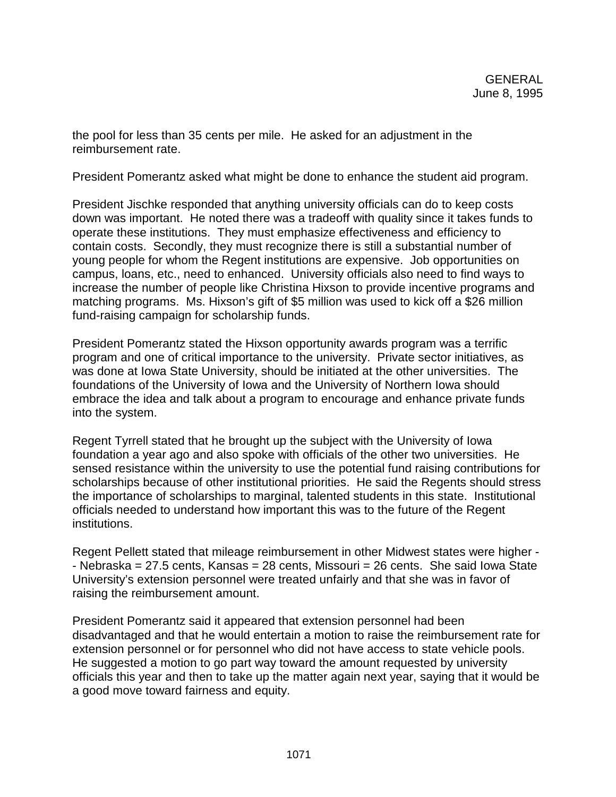the pool for less than 35 cents per mile. He asked for an adjustment in the reimbursement rate.

President Pomerantz asked what might be done to enhance the student aid program.

President Jischke responded that anything university officials can do to keep costs down was important. He noted there was a tradeoff with quality since it takes funds to operate these institutions. They must emphasize effectiveness and efficiency to contain costs. Secondly, they must recognize there is still a substantial number of young people for whom the Regent institutions are expensive. Job opportunities on campus, loans, etc., need to enhanced. University officials also need to find ways to increase the number of people like Christina Hixson to provide incentive programs and matching programs. Ms. Hixson's gift of \$5 million was used to kick off a \$26 million fund-raising campaign for scholarship funds.

President Pomerantz stated the Hixson opportunity awards program was a terrific program and one of critical importance to the university. Private sector initiatives, as was done at Iowa State University, should be initiated at the other universities. The foundations of the University of Iowa and the University of Northern Iowa should embrace the idea and talk about a program to encourage and enhance private funds into the system.

Regent Tyrrell stated that he brought up the subject with the University of Iowa foundation a year ago and also spoke with officials of the other two universities. He sensed resistance within the university to use the potential fund raising contributions for scholarships because of other institutional priorities. He said the Regents should stress the importance of scholarships to marginal, talented students in this state. Institutional officials needed to understand how important this was to the future of the Regent institutions.

Regent Pellett stated that mileage reimbursement in other Midwest states were higher - - Nebraska = 27.5 cents, Kansas = 28 cents, Missouri = 26 cents. She said Iowa State University's extension personnel were treated unfairly and that she was in favor of raising the reimbursement amount.

President Pomerantz said it appeared that extension personnel had been disadvantaged and that he would entertain a motion to raise the reimbursement rate for extension personnel or for personnel who did not have access to state vehicle pools. He suggested a motion to go part way toward the amount requested by university officials this year and then to take up the matter again next year, saying that it would be a good move toward fairness and equity.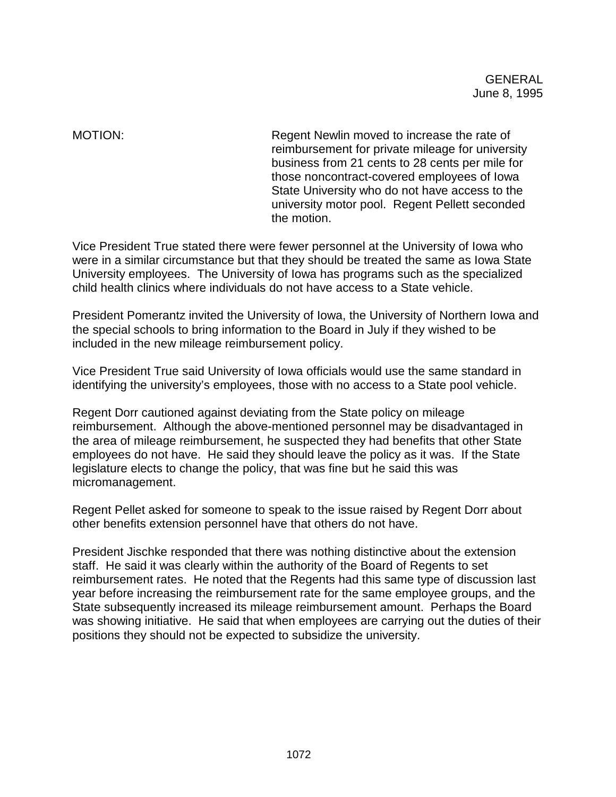MOTION: Regent Newlin moved to increase the rate of reimbursement for private mileage for university business from 21 cents to 28 cents per mile for those noncontract-covered employees of Iowa State University who do not have access to the university motor pool. Regent Pellett seconded the motion.

Vice President True stated there were fewer personnel at the University of Iowa who were in a similar circumstance but that they should be treated the same as Iowa State University employees. The University of Iowa has programs such as the specialized child health clinics where individuals do not have access to a State vehicle.

President Pomerantz invited the University of Iowa, the University of Northern Iowa and the special schools to bring information to the Board in July if they wished to be included in the new mileage reimbursement policy.

Vice President True said University of Iowa officials would use the same standard in identifying the university's employees, those with no access to a State pool vehicle.

Regent Dorr cautioned against deviating from the State policy on mileage reimbursement. Although the above-mentioned personnel may be disadvantaged in the area of mileage reimbursement, he suspected they had benefits that other State employees do not have. He said they should leave the policy as it was. If the State legislature elects to change the policy, that was fine but he said this was micromanagement.

Regent Pellet asked for someone to speak to the issue raised by Regent Dorr about other benefits extension personnel have that others do not have.

President Jischke responded that there was nothing distinctive about the extension staff. He said it was clearly within the authority of the Board of Regents to set reimbursement rates. He noted that the Regents had this same type of discussion last year before increasing the reimbursement rate for the same employee groups, and the State subsequently increased its mileage reimbursement amount. Perhaps the Board was showing initiative. He said that when employees are carrying out the duties of their positions they should not be expected to subsidize the university.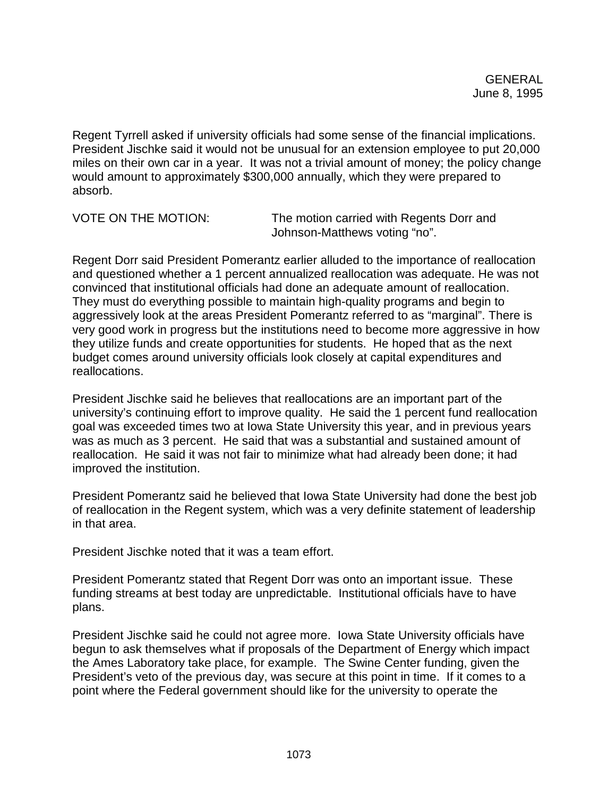Regent Tyrrell asked if university officials had some sense of the financial implications. President Jischke said it would not be unusual for an extension employee to put 20,000 miles on their own car in a year. It was not a trivial amount of money; the policy change would amount to approximately \$300,000 annually, which they were prepared to absorb.

VOTE ON THE MOTION: The motion carried with Regents Dorr and Johnson-Matthews voting "no".

Regent Dorr said President Pomerantz earlier alluded to the importance of reallocation and questioned whether a 1 percent annualized reallocation was adequate. He was not convinced that institutional officials had done an adequate amount of reallocation. They must do everything possible to maintain high-quality programs and begin to aggressively look at the areas President Pomerantz referred to as "marginal". There is very good work in progress but the institutions need to become more aggressive in how they utilize funds and create opportunities for students. He hoped that as the next budget comes around university officials look closely at capital expenditures and reallocations.

President Jischke said he believes that reallocations are an important part of the university's continuing effort to improve quality. He said the 1 percent fund reallocation goal was exceeded times two at Iowa State University this year, and in previous years was as much as 3 percent. He said that was a substantial and sustained amount of reallocation. He said it was not fair to minimize what had already been done; it had improved the institution.

President Pomerantz said he believed that Iowa State University had done the best job of reallocation in the Regent system, which was a very definite statement of leadership in that area.

President Jischke noted that it was a team effort.

President Pomerantz stated that Regent Dorr was onto an important issue. These funding streams at best today are unpredictable. Institutional officials have to have plans.

President Jischke said he could not agree more. Iowa State University officials have begun to ask themselves what if proposals of the Department of Energy which impact the Ames Laboratory take place, for example. The Swine Center funding, given the President's veto of the previous day, was secure at this point in time. If it comes to a point where the Federal government should like for the university to operate the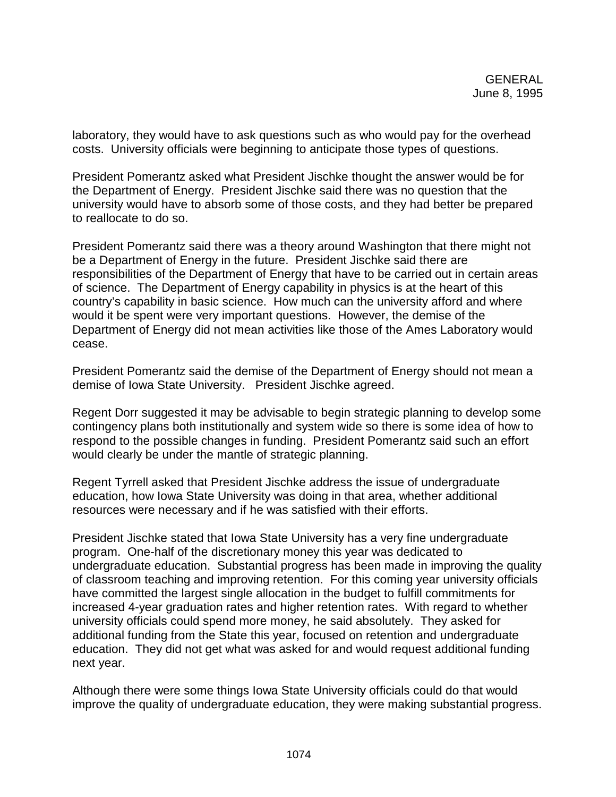laboratory, they would have to ask questions such as who would pay for the overhead costs. University officials were beginning to anticipate those types of questions.

President Pomerantz asked what President Jischke thought the answer would be for the Department of Energy. President Jischke said there was no question that the university would have to absorb some of those costs, and they had better be prepared to reallocate to do so.

President Pomerantz said there was a theory around Washington that there might not be a Department of Energy in the future. President Jischke said there are responsibilities of the Department of Energy that have to be carried out in certain areas of science. The Department of Energy capability in physics is at the heart of this country's capability in basic science. How much can the university afford and where would it be spent were very important questions. However, the demise of the Department of Energy did not mean activities like those of the Ames Laboratory would cease.

President Pomerantz said the demise of the Department of Energy should not mean a demise of Iowa State University. President Jischke agreed.

Regent Dorr suggested it may be advisable to begin strategic planning to develop some contingency plans both institutionally and system wide so there is some idea of how to respond to the possible changes in funding. President Pomerantz said such an effort would clearly be under the mantle of strategic planning.

Regent Tyrrell asked that President Jischke address the issue of undergraduate education, how Iowa State University was doing in that area, whether additional resources were necessary and if he was satisfied with their efforts.

President Jischke stated that Iowa State University has a very fine undergraduate program. One-half of the discretionary money this year was dedicated to undergraduate education. Substantial progress has been made in improving the quality of classroom teaching and improving retention. For this coming year university officials have committed the largest single allocation in the budget to fulfill commitments for increased 4-year graduation rates and higher retention rates. With regard to whether university officials could spend more money, he said absolutely. They asked for additional funding from the State this year, focused on retention and undergraduate education. They did not get what was asked for and would request additional funding next year.

Although there were some things Iowa State University officials could do that would improve the quality of undergraduate education, they were making substantial progress.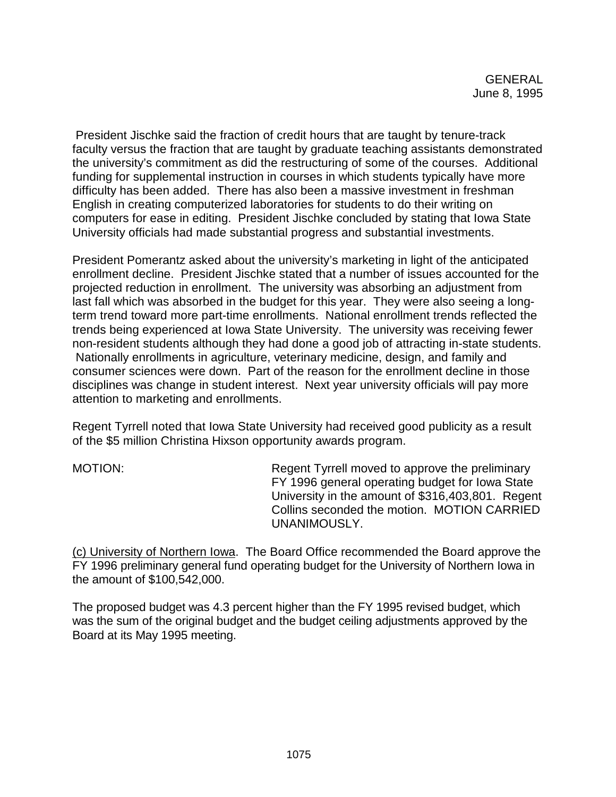President Jischke said the fraction of credit hours that are taught by tenure-track faculty versus the fraction that are taught by graduate teaching assistants demonstrated the university's commitment as did the restructuring of some of the courses. Additional funding for supplemental instruction in courses in which students typically have more difficulty has been added. There has also been a massive investment in freshman English in creating computerized laboratories for students to do their writing on computers for ease in editing. President Jischke concluded by stating that Iowa State University officials had made substantial progress and substantial investments.

President Pomerantz asked about the university's marketing in light of the anticipated enrollment decline. President Jischke stated that a number of issues accounted for the projected reduction in enrollment. The university was absorbing an adjustment from last fall which was absorbed in the budget for this year. They were also seeing a longterm trend toward more part-time enrollments. National enrollment trends reflected the trends being experienced at Iowa State University. The university was receiving fewer non-resident students although they had done a good job of attracting in-state students. Nationally enrollments in agriculture, veterinary medicine, design, and family and consumer sciences were down. Part of the reason for the enrollment decline in those disciplines was change in student interest. Next year university officials will pay more attention to marketing and enrollments.

Regent Tyrrell noted that Iowa State University had received good publicity as a result of the \$5 million Christina Hixson opportunity awards program.

MOTION: Regent Tyrrell moved to approve the preliminary FY 1996 general operating budget for Iowa State University in the amount of \$316,403,801. Regent Collins seconded the motion. MOTION CARRIED UNANIMOUSLY.

(c) University of Northern Iowa. The Board Office recommended the Board approve the FY 1996 preliminary general fund operating budget for the University of Northern Iowa in the amount of \$100,542,000.

The proposed budget was 4.3 percent higher than the FY 1995 revised budget, which was the sum of the original budget and the budget ceiling adjustments approved by the Board at its May 1995 meeting.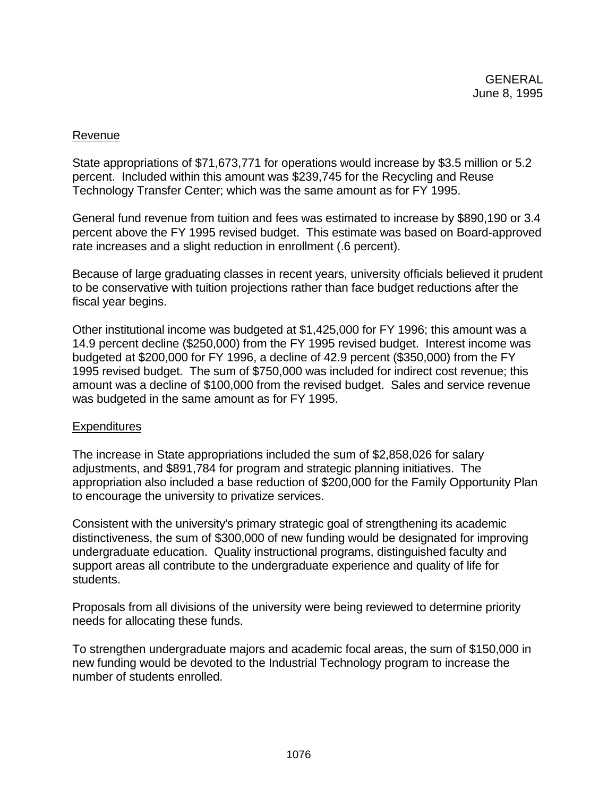## Revenue

State appropriations of \$71,673,771 for operations would increase by \$3.5 million or 5.2 percent. Included within this amount was \$239,745 for the Recycling and Reuse Technology Transfer Center; which was the same amount as for FY 1995.

General fund revenue from tuition and fees was estimated to increase by \$890,190 or 3.4 percent above the FY 1995 revised budget. This estimate was based on Board-approved rate increases and a slight reduction in enrollment (.6 percent).

Because of large graduating classes in recent years, university officials believed it prudent to be conservative with tuition projections rather than face budget reductions after the fiscal year begins.

Other institutional income was budgeted at \$1,425,000 for FY 1996; this amount was a 14.9 percent decline (\$250,000) from the FY 1995 revised budget. Interest income was budgeted at \$200,000 for FY 1996, a decline of 42.9 percent (\$350,000) from the FY 1995 revised budget. The sum of \$750,000 was included for indirect cost revenue; this amount was a decline of \$100,000 from the revised budget. Sales and service revenue was budgeted in the same amount as for FY 1995.

## **Expenditures**

The increase in State appropriations included the sum of \$2,858,026 for salary adjustments, and \$891,784 for program and strategic planning initiatives. The appropriation also included a base reduction of \$200,000 for the Family Opportunity Plan to encourage the university to privatize services.

Consistent with the university's primary strategic goal of strengthening its academic distinctiveness, the sum of \$300,000 of new funding would be designated for improving undergraduate education. Quality instructional programs, distinguished faculty and support areas all contribute to the undergraduate experience and quality of life for students.

Proposals from all divisions of the university were being reviewed to determine priority needs for allocating these funds.

To strengthen undergraduate majors and academic focal areas, the sum of \$150,000 in new funding would be devoted to the Industrial Technology program to increase the number of students enrolled.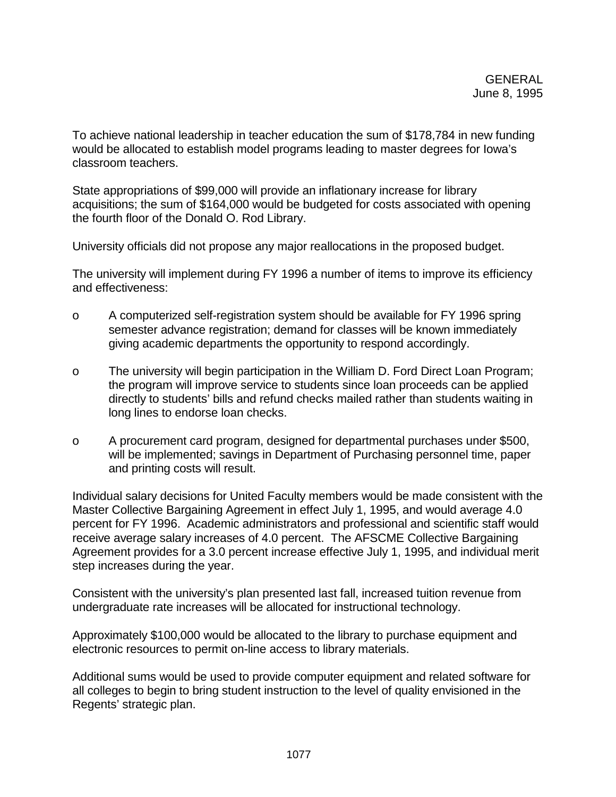To achieve national leadership in teacher education the sum of \$178,784 in new funding would be allocated to establish model programs leading to master degrees for Iowa's classroom teachers.

State appropriations of \$99,000 will provide an inflationary increase for library acquisitions; the sum of \$164,000 would be budgeted for costs associated with opening the fourth floor of the Donald O. Rod Library.

University officials did not propose any major reallocations in the proposed budget.

The university will implement during FY 1996 a number of items to improve its efficiency and effectiveness:

- o A computerized self-registration system should be available for FY 1996 spring semester advance registration; demand for classes will be known immediately giving academic departments the opportunity to respond accordingly.
- o The university will begin participation in the William D. Ford Direct Loan Program; the program will improve service to students since loan proceeds can be applied directly to students' bills and refund checks mailed rather than students waiting in long lines to endorse loan checks.
- o A procurement card program, designed for departmental purchases under \$500, will be implemented; savings in Department of Purchasing personnel time, paper and printing costs will result.

Individual salary decisions for United Faculty members would be made consistent with the Master Collective Bargaining Agreement in effect July 1, 1995, and would average 4.0 percent for FY 1996. Academic administrators and professional and scientific staff would receive average salary increases of 4.0 percent. The AFSCME Collective Bargaining Agreement provides for a 3.0 percent increase effective July 1, 1995, and individual merit step increases during the year.

Consistent with the university's plan presented last fall, increased tuition revenue from undergraduate rate increases will be allocated for instructional technology.

Approximately \$100,000 would be allocated to the library to purchase equipment and electronic resources to permit on-line access to library materials.

Additional sums would be used to provide computer equipment and related software for all colleges to begin to bring student instruction to the level of quality envisioned in the Regents' strategic plan.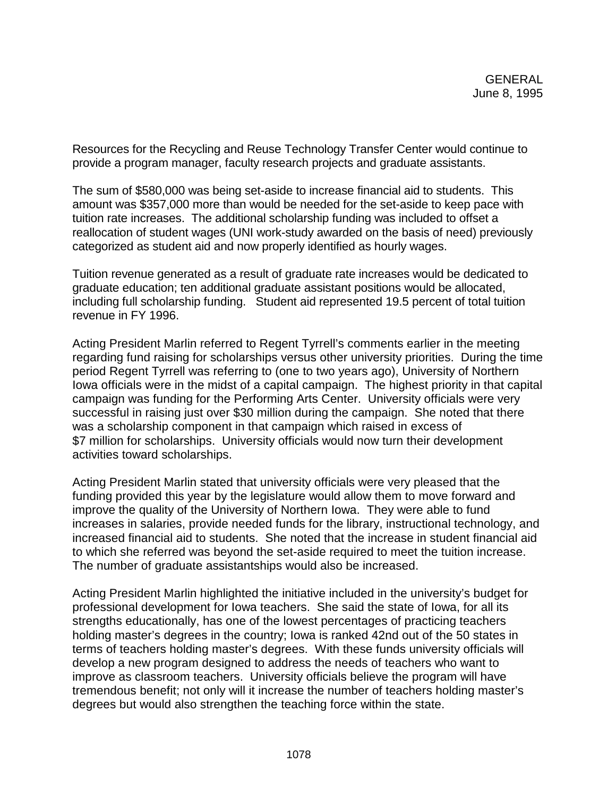Resources for the Recycling and Reuse Technology Transfer Center would continue to provide a program manager, faculty research projects and graduate assistants.

The sum of \$580,000 was being set-aside to increase financial aid to students. This amount was \$357,000 more than would be needed for the set-aside to keep pace with tuition rate increases. The additional scholarship funding was included to offset a reallocation of student wages (UNI work-study awarded on the basis of need) previously categorized as student aid and now properly identified as hourly wages.

Tuition revenue generated as a result of graduate rate increases would be dedicated to graduate education; ten additional graduate assistant positions would be allocated, including full scholarship funding. Student aid represented 19.5 percent of total tuition revenue in FY 1996.

Acting President Marlin referred to Regent Tyrrell's comments earlier in the meeting regarding fund raising for scholarships versus other university priorities. During the time period Regent Tyrrell was referring to (one to two years ago), University of Northern Iowa officials were in the midst of a capital campaign. The highest priority in that capital campaign was funding for the Performing Arts Center. University officials were very successful in raising just over \$30 million during the campaign. She noted that there was a scholarship component in that campaign which raised in excess of \$7 million for scholarships. University officials would now turn their development activities toward scholarships.

Acting President Marlin stated that university officials were very pleased that the funding provided this year by the legislature would allow them to move forward and improve the quality of the University of Northern Iowa. They were able to fund increases in salaries, provide needed funds for the library, instructional technology, and increased financial aid to students. She noted that the increase in student financial aid to which she referred was beyond the set-aside required to meet the tuition increase. The number of graduate assistantships would also be increased.

Acting President Marlin highlighted the initiative included in the university's budget for professional development for Iowa teachers. She said the state of Iowa, for all its strengths educationally, has one of the lowest percentages of practicing teachers holding master's degrees in the country; Iowa is ranked 42nd out of the 50 states in terms of teachers holding master's degrees. With these funds university officials will develop a new program designed to address the needs of teachers who want to improve as classroom teachers. University officials believe the program will have tremendous benefit; not only will it increase the number of teachers holding master's degrees but would also strengthen the teaching force within the state.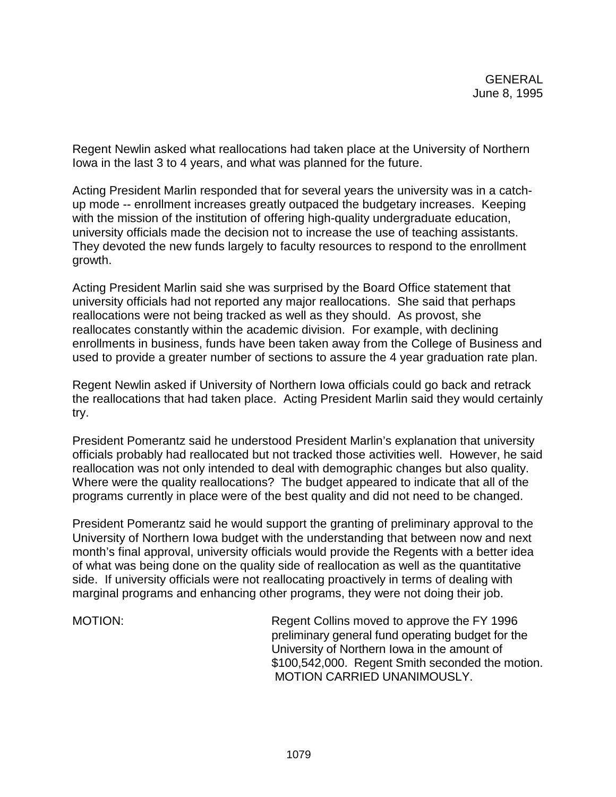Regent Newlin asked what reallocations had taken place at the University of Northern Iowa in the last 3 to 4 years, and what was planned for the future.

Acting President Marlin responded that for several years the university was in a catchup mode -- enrollment increases greatly outpaced the budgetary increases. Keeping with the mission of the institution of offering high-quality undergraduate education, university officials made the decision not to increase the use of teaching assistants. They devoted the new funds largely to faculty resources to respond to the enrollment growth.

Acting President Marlin said she was surprised by the Board Office statement that university officials had not reported any major reallocations. She said that perhaps reallocations were not being tracked as well as they should. As provost, she reallocates constantly within the academic division. For example, with declining enrollments in business, funds have been taken away from the College of Business and used to provide a greater number of sections to assure the 4 year graduation rate plan.

Regent Newlin asked if University of Northern Iowa officials could go back and retrack the reallocations that had taken place. Acting President Marlin said they would certainly try.

President Pomerantz said he understood President Marlin's explanation that university officials probably had reallocated but not tracked those activities well. However, he said reallocation was not only intended to deal with demographic changes but also quality. Where were the quality reallocations? The budget appeared to indicate that all of the programs currently in place were of the best quality and did not need to be changed.

President Pomerantz said he would support the granting of preliminary approval to the University of Northern Iowa budget with the understanding that between now and next month's final approval, university officials would provide the Regents with a better idea of what was being done on the quality side of reallocation as well as the quantitative side. If university officials were not reallocating proactively in terms of dealing with marginal programs and enhancing other programs, they were not doing their job.

MOTION: Regent Collins moved to approve the FY 1996 preliminary general fund operating budget for the University of Northern Iowa in the amount of \$100,542,000. Regent Smith seconded the motion. MOTION CARRIED UNANIMOUSLY.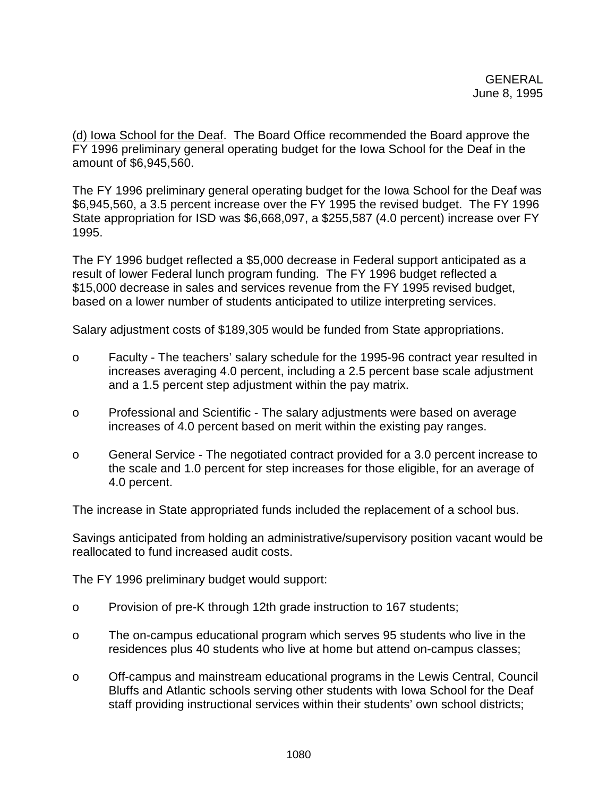(d) Iowa School for the Deaf. The Board Office recommended the Board approve the FY 1996 preliminary general operating budget for the Iowa School for the Deaf in the amount of \$6,945,560.

The FY 1996 preliminary general operating budget for the Iowa School for the Deaf was \$6,945,560, a 3.5 percent increase over the FY 1995 the revised budget. The FY 1996 State appropriation for ISD was \$6,668,097, a \$255,587 (4.0 percent) increase over FY 1995.

The FY 1996 budget reflected a \$5,000 decrease in Federal support anticipated as a result of lower Federal lunch program funding. The FY 1996 budget reflected a \$15,000 decrease in sales and services revenue from the FY 1995 revised budget, based on a lower number of students anticipated to utilize interpreting services.

Salary adjustment costs of \$189,305 would be funded from State appropriations.

- o Faculty The teachers' salary schedule for the 1995-96 contract year resulted in increases averaging 4.0 percent, including a 2.5 percent base scale adjustment and a 1.5 percent step adjustment within the pay matrix.
- o Professional and Scientific The salary adjustments were based on average increases of 4.0 percent based on merit within the existing pay ranges.
- o General Service The negotiated contract provided for a 3.0 percent increase to the scale and 1.0 percent for step increases for those eligible, for an average of 4.0 percent.

The increase in State appropriated funds included the replacement of a school bus.

Savings anticipated from holding an administrative/supervisory position vacant would be reallocated to fund increased audit costs.

The FY 1996 preliminary budget would support:

- o Provision of pre-K through 12th grade instruction to 167 students;
- o The on-campus educational program which serves 95 students who live in the residences plus 40 students who live at home but attend on-campus classes;
- o Off-campus and mainstream educational programs in the Lewis Central, Council Bluffs and Atlantic schools serving other students with Iowa School for the Deaf staff providing instructional services within their students' own school districts;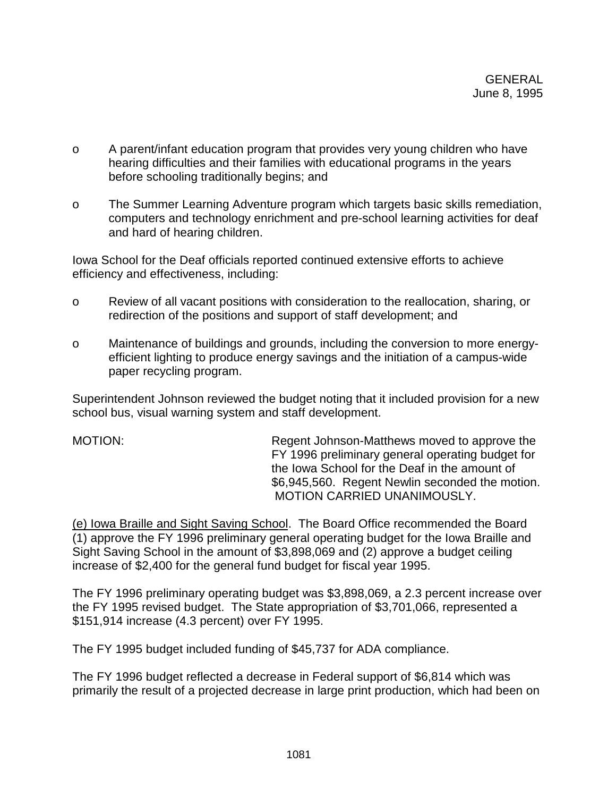- o A parent/infant education program that provides very young children who have hearing difficulties and their families with educational programs in the years before schooling traditionally begins; and
- o The Summer Learning Adventure program which targets basic skills remediation, computers and technology enrichment and pre-school learning activities for deaf and hard of hearing children.

Iowa School for the Deaf officials reported continued extensive efforts to achieve efficiency and effectiveness, including:

- o Review of all vacant positions with consideration to the reallocation, sharing, or redirection of the positions and support of staff development; and
- o Maintenance of buildings and grounds, including the conversion to more energyefficient lighting to produce energy savings and the initiation of a campus-wide paper recycling program.

Superintendent Johnson reviewed the budget noting that it included provision for a new school bus, visual warning system and staff development.

MOTION: Regent Johnson-Matthews moved to approve the FY 1996 preliminary general operating budget for the Iowa School for the Deaf in the amount of \$6,945,560. Regent Newlin seconded the motion. MOTION CARRIED UNANIMOUSLY.

(e) Iowa Braille and Sight Saving School. The Board Office recommended the Board (1) approve the FY 1996 preliminary general operating budget for the Iowa Braille and Sight Saving School in the amount of \$3,898,069 and (2) approve a budget ceiling increase of \$2,400 for the general fund budget for fiscal year 1995.

The FY 1996 preliminary operating budget was \$3,898,069, a 2.3 percent increase over the FY 1995 revised budget. The State appropriation of \$3,701,066, represented a \$151,914 increase (4.3 percent) over FY 1995.

The FY 1995 budget included funding of \$45,737 for ADA compliance.

The FY 1996 budget reflected a decrease in Federal support of \$6,814 which was primarily the result of a projected decrease in large print production, which had been on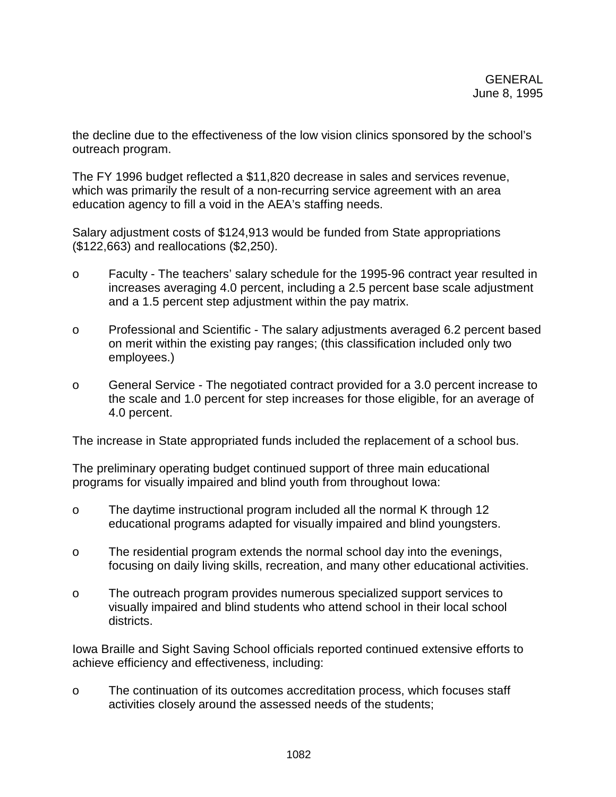the decline due to the effectiveness of the low vision clinics sponsored by the school's outreach program.

The FY 1996 budget reflected a \$11,820 decrease in sales and services revenue, which was primarily the result of a non-recurring service agreement with an area education agency to fill a void in the AEA's staffing needs.

Salary adjustment costs of \$124,913 would be funded from State appropriations (\$122,663) and reallocations (\$2,250).

- o Faculty The teachers' salary schedule for the 1995-96 contract year resulted in increases averaging 4.0 percent, including a 2.5 percent base scale adjustment and a 1.5 percent step adjustment within the pay matrix.
- o Professional and Scientific The salary adjustments averaged 6.2 percent based on merit within the existing pay ranges; (this classification included only two employees.)
- o General Service The negotiated contract provided for a 3.0 percent increase to the scale and 1.0 percent for step increases for those eligible, for an average of 4.0 percent.

The increase in State appropriated funds included the replacement of a school bus.

The preliminary operating budget continued support of three main educational programs for visually impaired and blind youth from throughout Iowa:

- o The daytime instructional program included all the normal K through 12 educational programs adapted for visually impaired and blind youngsters.
- o The residential program extends the normal school day into the evenings, focusing on daily living skills, recreation, and many other educational activities.
- o The outreach program provides numerous specialized support services to visually impaired and blind students who attend school in their local school districts.

Iowa Braille and Sight Saving School officials reported continued extensive efforts to achieve efficiency and effectiveness, including:

o The continuation of its outcomes accreditation process, which focuses staff activities closely around the assessed needs of the students;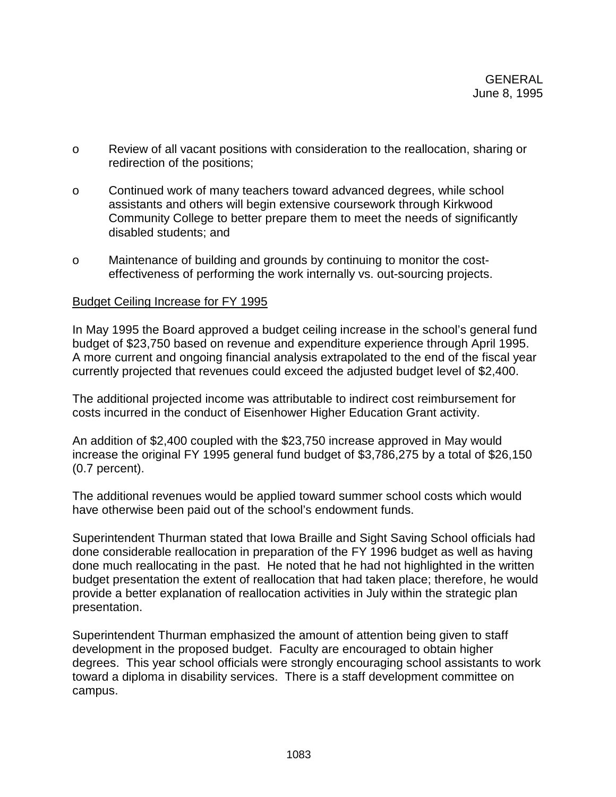- o Review of all vacant positions with consideration to the reallocation, sharing or redirection of the positions;
- o Continued work of many teachers toward advanced degrees, while school assistants and others will begin extensive coursework through Kirkwood Community College to better prepare them to meet the needs of significantly disabled students; and
- o Maintenance of building and grounds by continuing to monitor the costeffectiveness of performing the work internally vs. out-sourcing projects.

## Budget Ceiling Increase for FY 1995

In May 1995 the Board approved a budget ceiling increase in the school's general fund budget of \$23,750 based on revenue and expenditure experience through April 1995. A more current and ongoing financial analysis extrapolated to the end of the fiscal year currently projected that revenues could exceed the adjusted budget level of \$2,400.

The additional projected income was attributable to indirect cost reimbursement for costs incurred in the conduct of Eisenhower Higher Education Grant activity.

An addition of \$2,400 coupled with the \$23,750 increase approved in May would increase the original FY 1995 general fund budget of \$3,786,275 by a total of \$26,150 (0.7 percent).

The additional revenues would be applied toward summer school costs which would have otherwise been paid out of the school's endowment funds.

Superintendent Thurman stated that Iowa Braille and Sight Saving School officials had done considerable reallocation in preparation of the FY 1996 budget as well as having done much reallocating in the past. He noted that he had not highlighted in the written budget presentation the extent of reallocation that had taken place; therefore, he would provide a better explanation of reallocation activities in July within the strategic plan presentation.

Superintendent Thurman emphasized the amount of attention being given to staff development in the proposed budget. Faculty are encouraged to obtain higher degrees. This year school officials were strongly encouraging school assistants to work toward a diploma in disability services. There is a staff development committee on campus.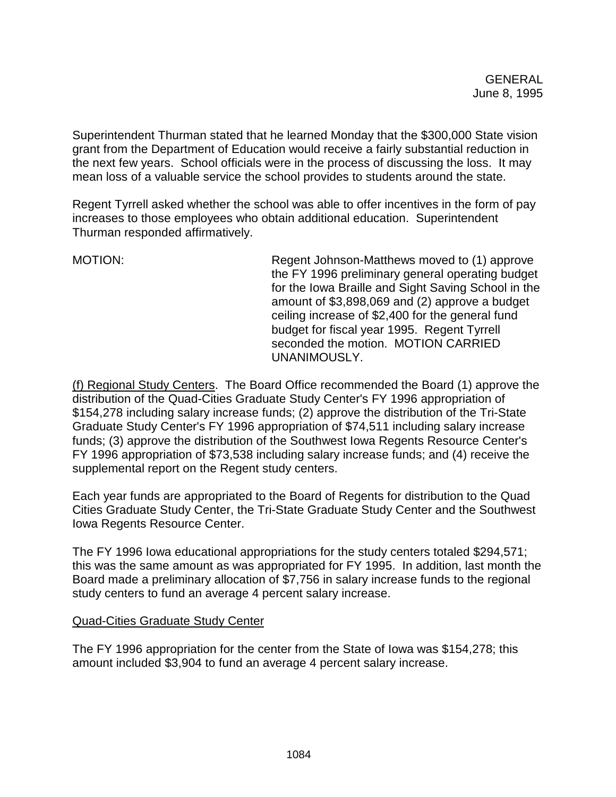Superintendent Thurman stated that he learned Monday that the \$300,000 State vision grant from the Department of Education would receive a fairly substantial reduction in the next few years. School officials were in the process of discussing the loss. It may mean loss of a valuable service the school provides to students around the state.

Regent Tyrrell asked whether the school was able to offer incentives in the form of pay increases to those employees who obtain additional education. Superintendent Thurman responded affirmatively.

MOTION: Regent Johnson-Matthews moved to (1) approve the FY 1996 preliminary general operating budget for the Iowa Braille and Sight Saving School in the amount of \$3,898,069 and (2) approve a budget ceiling increase of \$2,400 for the general fund budget for fiscal year 1995. Regent Tyrrell seconded the motion. MOTION CARRIED UNANIMOUSLY.

(f) Regional Study Centers. The Board Office recommended the Board (1) approve the distribution of the Quad-Cities Graduate Study Center's FY 1996 appropriation of \$154,278 including salary increase funds; (2) approve the distribution of the Tri-State Graduate Study Center's FY 1996 appropriation of \$74,511 including salary increase funds; (3) approve the distribution of the Southwest Iowa Regents Resource Center's FY 1996 appropriation of \$73,538 including salary increase funds; and (4) receive the supplemental report on the Regent study centers.

Each year funds are appropriated to the Board of Regents for distribution to the Quad Cities Graduate Study Center, the Tri-State Graduate Study Center and the Southwest Iowa Regents Resource Center.

The FY 1996 Iowa educational appropriations for the study centers totaled \$294,571; this was the same amount as was appropriated for FY 1995. In addition, last month the Board made a preliminary allocation of \$7,756 in salary increase funds to the regional study centers to fund an average 4 percent salary increase.

# Quad-Cities Graduate Study Center

The FY 1996 appropriation for the center from the State of Iowa was \$154,278; this amount included \$3,904 to fund an average 4 percent salary increase.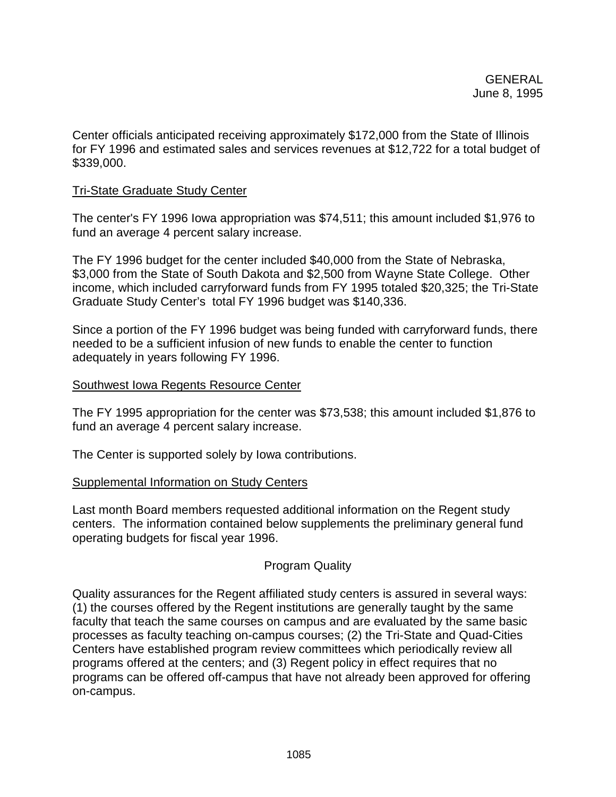Center officials anticipated receiving approximately \$172,000 from the State of Illinois for FY 1996 and estimated sales and services revenues at \$12,722 for a total budget of \$339,000.

## Tri-State Graduate Study Center

The center's FY 1996 Iowa appropriation was \$74,511; this amount included \$1,976 to fund an average 4 percent salary increase.

The FY 1996 budget for the center included \$40,000 from the State of Nebraska, \$3,000 from the State of South Dakota and \$2,500 from Wayne State College. Other income, which included carryforward funds from FY 1995 totaled \$20,325; the Tri-State Graduate Study Center's total FY 1996 budget was \$140,336.

Since a portion of the FY 1996 budget was being funded with carryforward funds, there needed to be a sufficient infusion of new funds to enable the center to function adequately in years following FY 1996.

## Southwest Iowa Regents Resource Center

The FY 1995 appropriation for the center was \$73,538; this amount included \$1,876 to fund an average 4 percent salary increase.

The Center is supported solely by Iowa contributions.

## Supplemental Information on Study Centers

Last month Board members requested additional information on the Regent study centers. The information contained below supplements the preliminary general fund operating budgets for fiscal year 1996.

# Program Quality

Quality assurances for the Regent affiliated study centers is assured in several ways: (1) the courses offered by the Regent institutions are generally taught by the same faculty that teach the same courses on campus and are evaluated by the same basic processes as faculty teaching on-campus courses; (2) the Tri-State and Quad-Cities Centers have established program review committees which periodically review all programs offered at the centers; and (3) Regent policy in effect requires that no programs can be offered off-campus that have not already been approved for offering on-campus.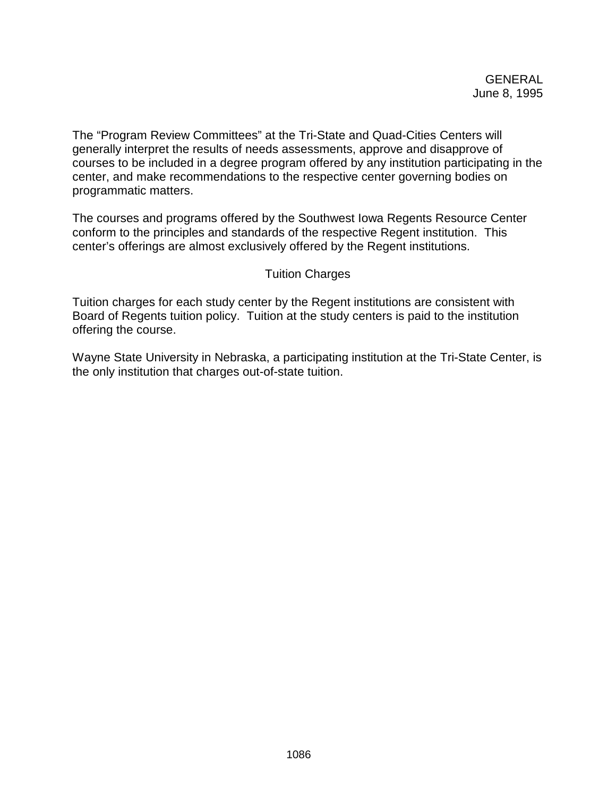The "Program Review Committees" at the Tri-State and Quad-Cities Centers will generally interpret the results of needs assessments, approve and disapprove of courses to be included in a degree program offered by any institution participating in the center, and make recommendations to the respective center governing bodies on programmatic matters.

The courses and programs offered by the Southwest Iowa Regents Resource Center conform to the principles and standards of the respective Regent institution. This center's offerings are almost exclusively offered by the Regent institutions.

# Tuition Charges

Tuition charges for each study center by the Regent institutions are consistent with Board of Regents tuition policy. Tuition at the study centers is paid to the institution offering the course.

Wayne State University in Nebraska, a participating institution at the Tri-State Center, is the only institution that charges out-of-state tuition.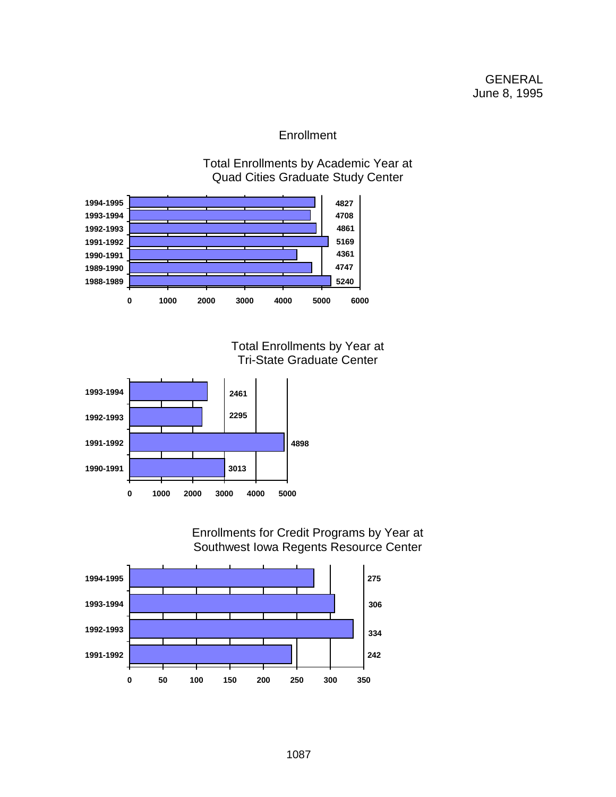# **Enrollment**

Total Enrollments by Academic Year at Quad Cities Graduate Study Center



Total Enrollments by Year at Tri-State Graduate Center



Enrollments for Credit Programs by Year at Southwest Iowa Regents Resource Center

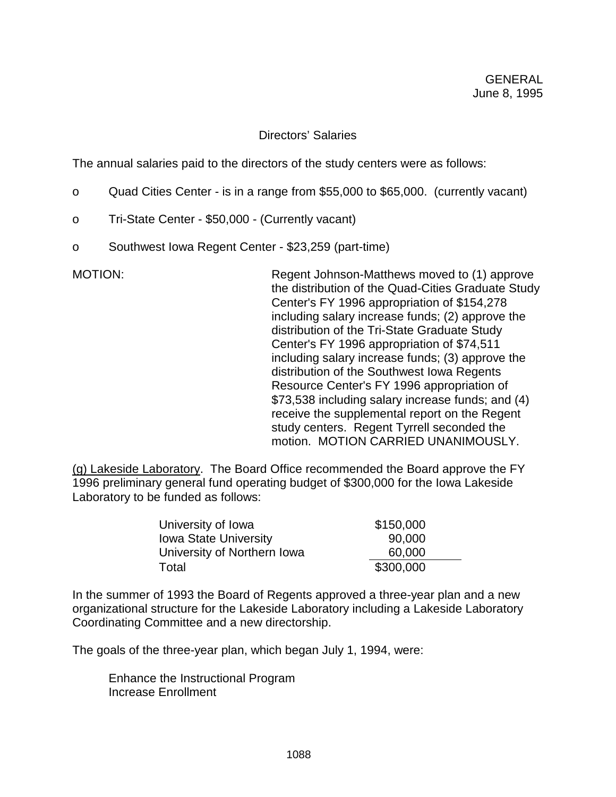## Directors' Salaries

The annual salaries paid to the directors of the study centers were as follows:

- o Quad Cities Center is in a range from \$55,000 to \$65,000. (currently vacant)
- o Tri-State Center \$50,000 (Currently vacant)
- o Southwest Iowa Regent Center \$23,259 (part-time)

MOTION: Regent Johnson-Matthews moved to (1) approve the distribution of the Quad-Cities Graduate Study Center's FY 1996 appropriation of \$154,278 including salary increase funds; (2) approve the distribution of the Tri-State Graduate Study Center's FY 1996 appropriation of \$74,511 including salary increase funds; (3) approve the distribution of the Southwest Iowa Regents Resource Center's FY 1996 appropriation of \$73,538 including salary increase funds; and (4) receive the supplemental report on the Regent study centers. Regent Tyrrell seconded the motion. MOTION CARRIED UNANIMOUSLY.

(g) Lakeside Laboratory. The Board Office recommended the Board approve the FY 1996 preliminary general fund operating budget of \$300,000 for the Iowa Lakeside Laboratory to be funded as follows:

| University of Iowa           | \$150,000 |
|------------------------------|-----------|
| <b>Iowa State University</b> | 90,000    |
| University of Northern Iowa  | 60,000    |
| Total                        | \$300,000 |

In the summer of 1993 the Board of Regents approved a three-year plan and a new organizational structure for the Lakeside Laboratory including a Lakeside Laboratory Coordinating Committee and a new directorship.

The goals of the three-year plan, which began July 1, 1994, were:

Enhance the Instructional Program Increase Enrollment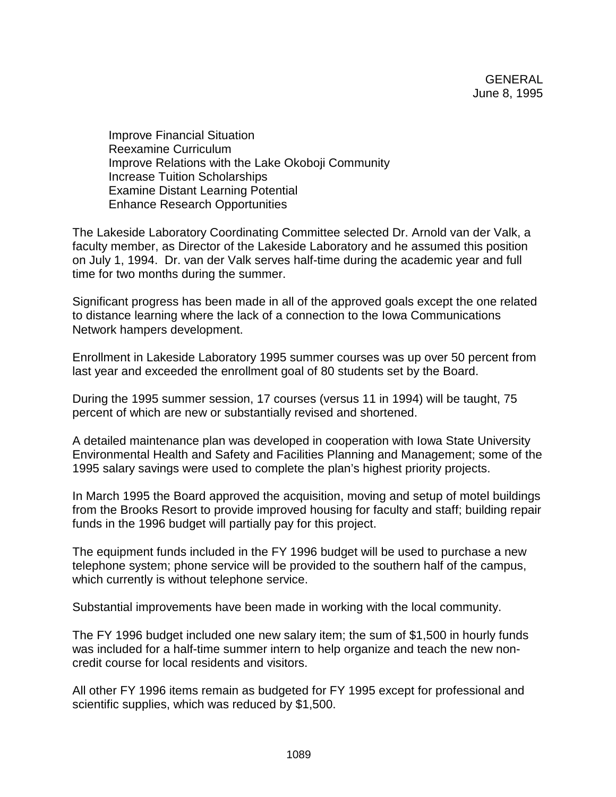Improve Financial Situation Reexamine Curriculum Improve Relations with the Lake Okoboji Community Increase Tuition Scholarships Examine Distant Learning Potential Enhance Research Opportunities

The Lakeside Laboratory Coordinating Committee selected Dr. Arnold van der Valk, a faculty member, as Director of the Lakeside Laboratory and he assumed this position on July 1, 1994. Dr. van der Valk serves half-time during the academic year and full time for two months during the summer.

Significant progress has been made in all of the approved goals except the one related to distance learning where the lack of a connection to the Iowa Communications Network hampers development.

Enrollment in Lakeside Laboratory 1995 summer courses was up over 50 percent from last year and exceeded the enrollment goal of 80 students set by the Board.

During the 1995 summer session, 17 courses (versus 11 in 1994) will be taught, 75 percent of which are new or substantially revised and shortened.

A detailed maintenance plan was developed in cooperation with Iowa State University Environmental Health and Safety and Facilities Planning and Management; some of the 1995 salary savings were used to complete the plan's highest priority projects.

In March 1995 the Board approved the acquisition, moving and setup of motel buildings from the Brooks Resort to provide improved housing for faculty and staff; building repair funds in the 1996 budget will partially pay for this project.

The equipment funds included in the FY 1996 budget will be used to purchase a new telephone system; phone service will be provided to the southern half of the campus, which currently is without telephone service.

Substantial improvements have been made in working with the local community.

The FY 1996 budget included one new salary item; the sum of \$1,500 in hourly funds was included for a half-time summer intern to help organize and teach the new noncredit course for local residents and visitors.

All other FY 1996 items remain as budgeted for FY 1995 except for professional and scientific supplies, which was reduced by \$1,500.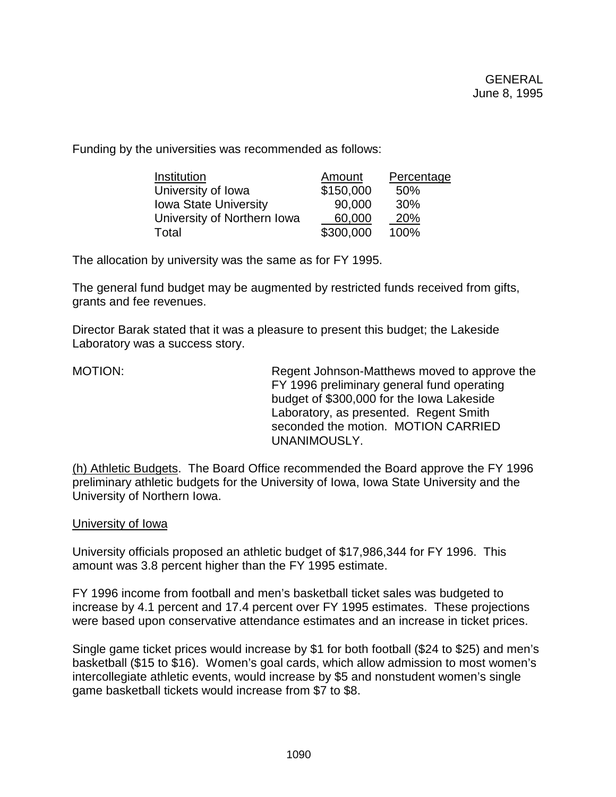Funding by the universities was recommended as follows:

| Institution                  | Amount    | Percentage |
|------------------------------|-----------|------------|
| University of Iowa           | \$150,000 | 50%        |
| <b>Iowa State University</b> | 90,000    | 30%        |
| University of Northern Iowa  | 60,000    | 20%        |
| Total                        | \$300,000 | 100%       |

The allocation by university was the same as for FY 1995.

The general fund budget may be augmented by restricted funds received from gifts, grants and fee revenues.

Director Barak stated that it was a pleasure to present this budget; the Lakeside Laboratory was a success story.

MOTION: Regent Johnson-Matthews moved to approve the FY 1996 preliminary general fund operating budget of \$300,000 for the Iowa Lakeside Laboratory, as presented. Regent Smith seconded the motion. MOTION CARRIED UNANIMOUSLY.

(h) Athletic Budgets. The Board Office recommended the Board approve the FY 1996 preliminary athletic budgets for the University of Iowa, Iowa State University and the University of Northern Iowa.

## University of Iowa

University officials proposed an athletic budget of \$17,986,344 for FY 1996. This amount was 3.8 percent higher than the FY 1995 estimate.

FY 1996 income from football and men's basketball ticket sales was budgeted to increase by 4.1 percent and 17.4 percent over FY 1995 estimates. These projections were based upon conservative attendance estimates and an increase in ticket prices.

Single game ticket prices would increase by \$1 for both football (\$24 to \$25) and men's basketball (\$15 to \$16). Women's goal cards, which allow admission to most women's intercollegiate athletic events, would increase by \$5 and nonstudent women's single game basketball tickets would increase from \$7 to \$8.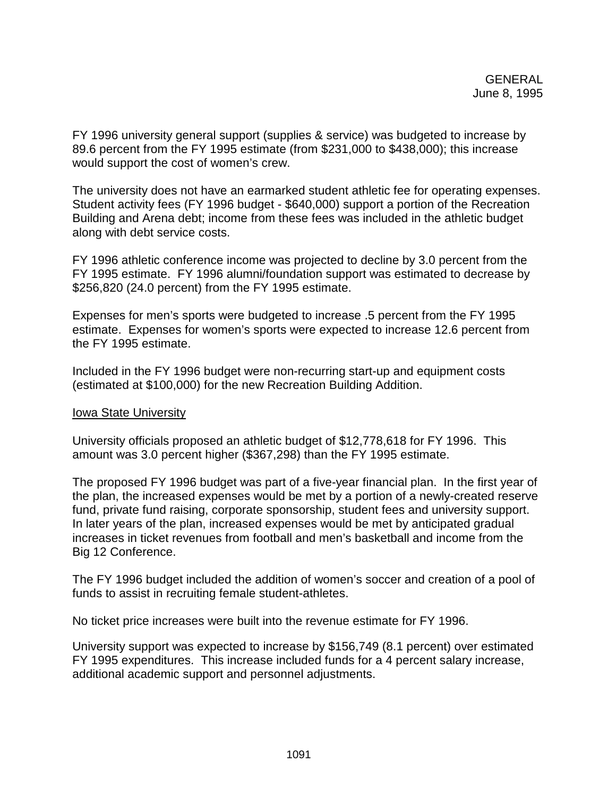FY 1996 university general support (supplies & service) was budgeted to increase by 89.6 percent from the FY 1995 estimate (from \$231,000 to \$438,000); this increase would support the cost of women's crew.

The university does not have an earmarked student athletic fee for operating expenses. Student activity fees (FY 1996 budget - \$640,000) support a portion of the Recreation Building and Arena debt; income from these fees was included in the athletic budget along with debt service costs.

FY 1996 athletic conference income was projected to decline by 3.0 percent from the FY 1995 estimate. FY 1996 alumni/foundation support was estimated to decrease by \$256,820 (24.0 percent) from the FY 1995 estimate.

Expenses for men's sports were budgeted to increase .5 percent from the FY 1995 estimate. Expenses for women's sports were expected to increase 12.6 percent from the FY 1995 estimate.

Included in the FY 1996 budget were non-recurring start-up and equipment costs (estimated at \$100,000) for the new Recreation Building Addition.

# Iowa State University

University officials proposed an athletic budget of \$12,778,618 for FY 1996. This amount was 3.0 percent higher (\$367,298) than the FY 1995 estimate.

The proposed FY 1996 budget was part of a five-year financial plan. In the first year of the plan, the increased expenses would be met by a portion of a newly-created reserve fund, private fund raising, corporate sponsorship, student fees and university support. In later years of the plan, increased expenses would be met by anticipated gradual increases in ticket revenues from football and men's basketball and income from the Big 12 Conference.

The FY 1996 budget included the addition of women's soccer and creation of a pool of funds to assist in recruiting female student-athletes.

No ticket price increases were built into the revenue estimate for FY 1996.

University support was expected to increase by \$156,749 (8.1 percent) over estimated FY 1995 expenditures. This increase included funds for a 4 percent salary increase, additional academic support and personnel adjustments.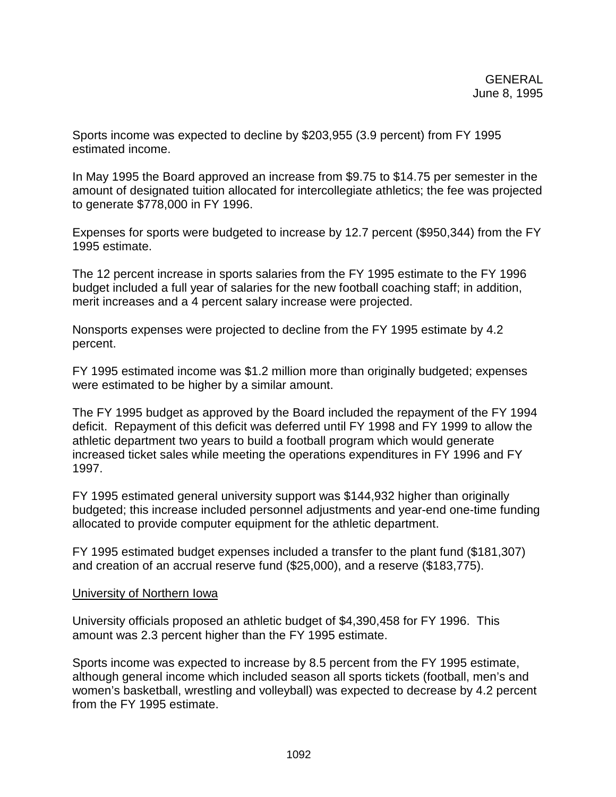Sports income was expected to decline by \$203,955 (3.9 percent) from FY 1995 estimated income.

In May 1995 the Board approved an increase from \$9.75 to \$14.75 per semester in the amount of designated tuition allocated for intercollegiate athletics; the fee was projected to generate \$778,000 in FY 1996.

Expenses for sports were budgeted to increase by 12.7 percent (\$950,344) from the FY 1995 estimate.

The 12 percent increase in sports salaries from the FY 1995 estimate to the FY 1996 budget included a full year of salaries for the new football coaching staff; in addition, merit increases and a 4 percent salary increase were projected.

Nonsports expenses were projected to decline from the FY 1995 estimate by 4.2 percent.

FY 1995 estimated income was \$1.2 million more than originally budgeted; expenses were estimated to be higher by a similar amount.

The FY 1995 budget as approved by the Board included the repayment of the FY 1994 deficit. Repayment of this deficit was deferred until FY 1998 and FY 1999 to allow the athletic department two years to build a football program which would generate increased ticket sales while meeting the operations expenditures in FY 1996 and FY 1997.

FY 1995 estimated general university support was \$144,932 higher than originally budgeted; this increase included personnel adjustments and year-end one-time funding allocated to provide computer equipment for the athletic department.

FY 1995 estimated budget expenses included a transfer to the plant fund (\$181,307) and creation of an accrual reserve fund (\$25,000), and a reserve (\$183,775).

# University of Northern Iowa

University officials proposed an athletic budget of \$4,390,458 for FY 1996. This amount was 2.3 percent higher than the FY 1995 estimate.

Sports income was expected to increase by 8.5 percent from the FY 1995 estimate, although general income which included season all sports tickets (football, men's and women's basketball, wrestling and volleyball) was expected to decrease by 4.2 percent from the FY 1995 estimate.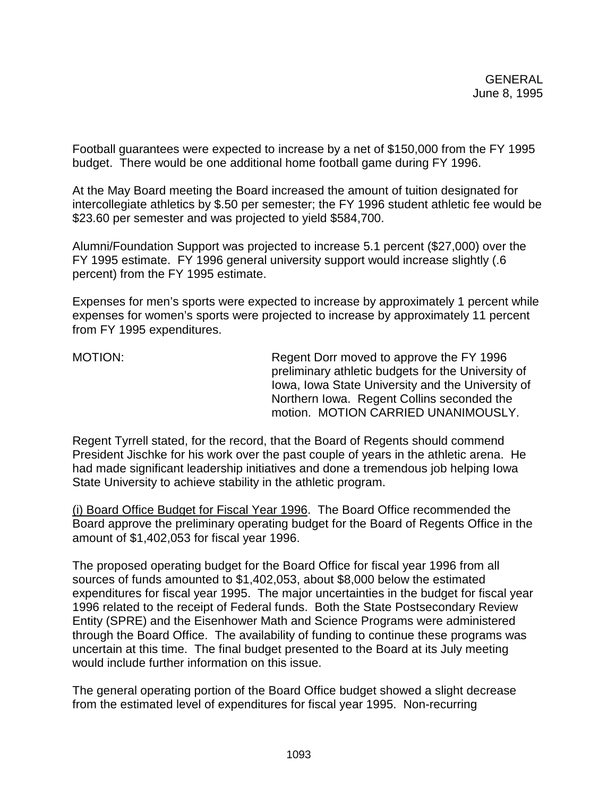Football guarantees were expected to increase by a net of \$150,000 from the FY 1995 budget. There would be one additional home football game during FY 1996.

At the May Board meeting the Board increased the amount of tuition designated for intercollegiate athletics by \$.50 per semester; the FY 1996 student athletic fee would be \$23.60 per semester and was projected to yield \$584,700.

Alumni/Foundation Support was projected to increase 5.1 percent (\$27,000) over the FY 1995 estimate. FY 1996 general university support would increase slightly (.6 percent) from the FY 1995 estimate.

Expenses for men's sports were expected to increase by approximately 1 percent while expenses for women's sports were projected to increase by approximately 11 percent from FY 1995 expenditures.

MOTION: Regent Dorr moved to approve the FY 1996 preliminary athletic budgets for the University of Iowa, Iowa State University and the University of Northern Iowa. Regent Collins seconded the motion. MOTION CARRIED UNANIMOUSLY.

Regent Tyrrell stated, for the record, that the Board of Regents should commend President Jischke for his work over the past couple of years in the athletic arena. He had made significant leadership initiatives and done a tremendous job helping Iowa State University to achieve stability in the athletic program.

(i) Board Office Budget for Fiscal Year 1996. The Board Office recommended the Board approve the preliminary operating budget for the Board of Regents Office in the amount of \$1,402,053 for fiscal year 1996.

The proposed operating budget for the Board Office for fiscal year 1996 from all sources of funds amounted to \$1,402,053, about \$8,000 below the estimated expenditures for fiscal year 1995. The major uncertainties in the budget for fiscal year 1996 related to the receipt of Federal funds. Both the State Postsecondary Review Entity (SPRE) and the Eisenhower Math and Science Programs were administered through the Board Office. The availability of funding to continue these programs was uncertain at this time. The final budget presented to the Board at its July meeting would include further information on this issue.

The general operating portion of the Board Office budget showed a slight decrease from the estimated level of expenditures for fiscal year 1995. Non-recurring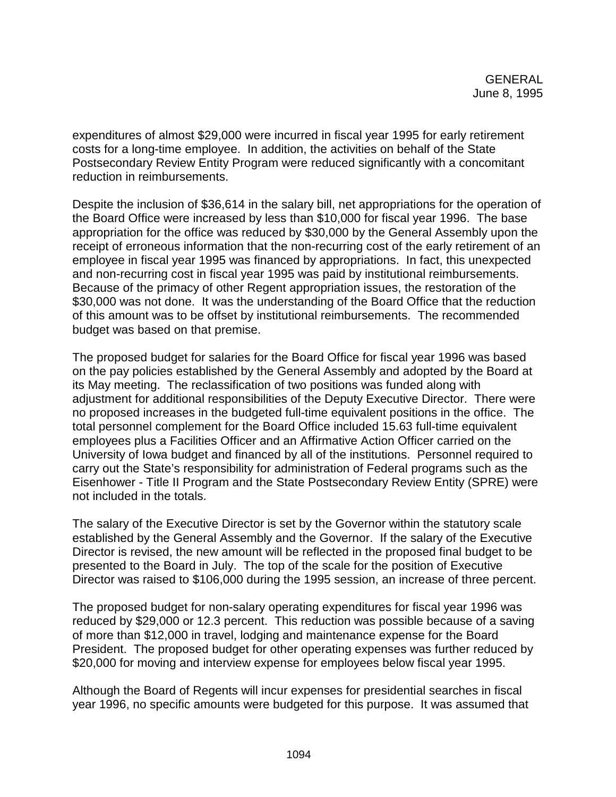expenditures of almost \$29,000 were incurred in fiscal year 1995 for early retirement costs for a long-time employee. In addition, the activities on behalf of the State Postsecondary Review Entity Program were reduced significantly with a concomitant reduction in reimbursements.

Despite the inclusion of \$36,614 in the salary bill, net appropriations for the operation of the Board Office were increased by less than \$10,000 for fiscal year 1996. The base appropriation for the office was reduced by \$30,000 by the General Assembly upon the receipt of erroneous information that the non-recurring cost of the early retirement of an employee in fiscal year 1995 was financed by appropriations. In fact, this unexpected and non-recurring cost in fiscal year 1995 was paid by institutional reimbursements. Because of the primacy of other Regent appropriation issues, the restoration of the \$30,000 was not done. It was the understanding of the Board Office that the reduction of this amount was to be offset by institutional reimbursements. The recommended budget was based on that premise.

The proposed budget for salaries for the Board Office for fiscal year 1996 was based on the pay policies established by the General Assembly and adopted by the Board at its May meeting. The reclassification of two positions was funded along with adjustment for additional responsibilities of the Deputy Executive Director. There were no proposed increases in the budgeted full-time equivalent positions in the office. The total personnel complement for the Board Office included 15.63 full-time equivalent employees plus a Facilities Officer and an Affirmative Action Officer carried on the University of Iowa budget and financed by all of the institutions. Personnel required to carry out the State's responsibility for administration of Federal programs such as the Eisenhower - Title II Program and the State Postsecondary Review Entity (SPRE) were not included in the totals.

The salary of the Executive Director is set by the Governor within the statutory scale established by the General Assembly and the Governor. If the salary of the Executive Director is revised, the new amount will be reflected in the proposed final budget to be presented to the Board in July. The top of the scale for the position of Executive Director was raised to \$106,000 during the 1995 session, an increase of three percent.

The proposed budget for non-salary operating expenditures for fiscal year 1996 was reduced by \$29,000 or 12.3 percent. This reduction was possible because of a saving of more than \$12,000 in travel, lodging and maintenance expense for the Board President. The proposed budget for other operating expenses was further reduced by \$20,000 for moving and interview expense for employees below fiscal year 1995.

Although the Board of Regents will incur expenses for presidential searches in fiscal year 1996, no specific amounts were budgeted for this purpose. It was assumed that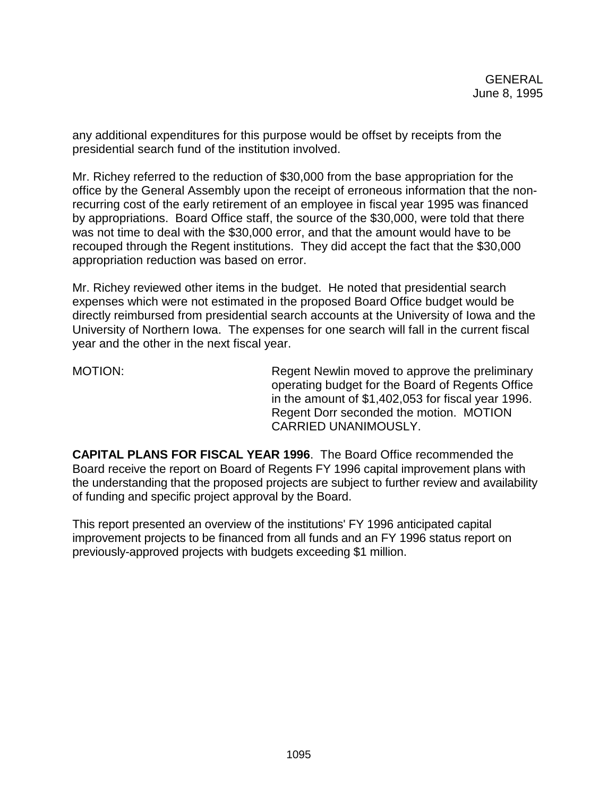any additional expenditures for this purpose would be offset by receipts from the presidential search fund of the institution involved.

Mr. Richey referred to the reduction of \$30,000 from the base appropriation for the office by the General Assembly upon the receipt of erroneous information that the nonrecurring cost of the early retirement of an employee in fiscal year 1995 was financed by appropriations. Board Office staff, the source of the \$30,000, were told that there was not time to deal with the \$30,000 error, and that the amount would have to be recouped through the Regent institutions. They did accept the fact that the \$30,000 appropriation reduction was based on error.

Mr. Richey reviewed other items in the budget. He noted that presidential search expenses which were not estimated in the proposed Board Office budget would be directly reimbursed from presidential search accounts at the University of Iowa and the University of Northern Iowa. The expenses for one search will fall in the current fiscal year and the other in the next fiscal year.

MOTION: MOTION: Regent Newlin moved to approve the preliminary operating budget for the Board of Regents Office in the amount of \$1,402,053 for fiscal year 1996. Regent Dorr seconded the motion. MOTION CARRIED UNANIMOUSLY.

**CAPITAL PLANS FOR FISCAL YEAR 1996**. The Board Office recommended the Board receive the report on Board of Regents FY 1996 capital improvement plans with the understanding that the proposed projects are subject to further review and availability of funding and specific project approval by the Board.

This report presented an overview of the institutions' FY 1996 anticipated capital improvement projects to be financed from all funds and an FY 1996 status report on previously-approved projects with budgets exceeding \$1 million.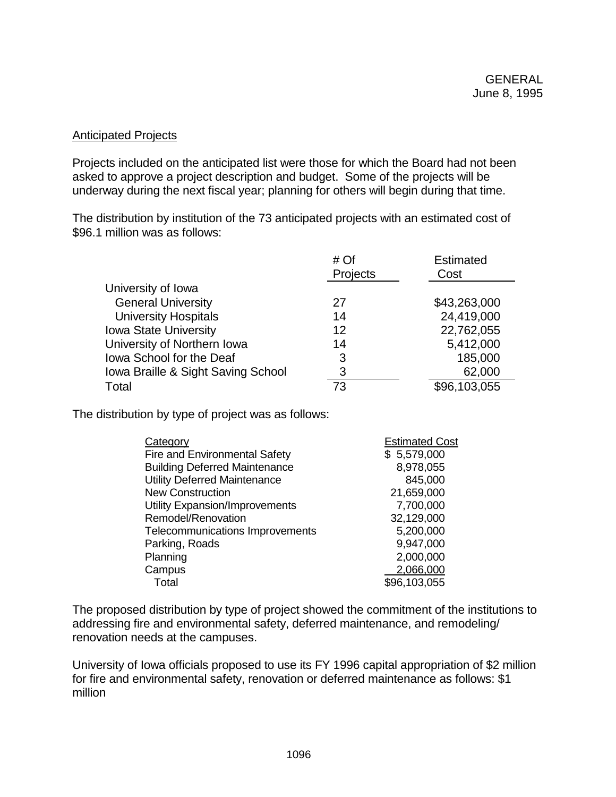# Anticipated Projects

Projects included on the anticipated list were those for which the Board had not been asked to approve a project description and budget. Some of the projects will be underway during the next fiscal year; planning for others will begin during that time.

The distribution by institution of the 73 anticipated projects with an estimated cost of \$96.1 million was as follows:

|                                    | # <sub>Of</sub><br>Projects | <b>Estimated</b><br>Cost |
|------------------------------------|-----------------------------|--------------------------|
| University of Iowa                 |                             |                          |
| <b>General University</b>          | 27                          | \$43,263,000             |
| <b>University Hospitals</b>        | 14                          | 24,419,000               |
| <b>Iowa State University</b>       | 12                          | 22,762,055               |
| University of Northern Iowa        | 14                          | 5,412,000                |
| Iowa School for the Deaf           | 3                           | 185,000                  |
| Iowa Braille & Sight Saving School | 3                           | 62,000                   |
| Total                              | 73                          | \$96,103,055             |

The distribution by type of project was as follows:

| Category                              | <b>Estimated Cost</b> |
|---------------------------------------|-----------------------|
| Fire and Environmental Safety         | \$5,579,000           |
| <b>Building Deferred Maintenance</b>  | 8,978,055             |
| <b>Utility Deferred Maintenance</b>   | 845,000               |
| <b>New Construction</b>               | 21,659,000            |
| <b>Utility Expansion/Improvements</b> | 7,700,000             |
| Remodel/Renovation                    | 32,129,000            |
| Telecommunications Improvements       | 5,200,000             |
| Parking, Roads                        | 9,947,000             |
| Planning                              | 2,000,000             |
| Campus                                | 2,066,000             |
| Total                                 | \$96,103,055          |

The proposed distribution by type of project showed the commitment of the institutions to addressing fire and environmental safety, deferred maintenance, and remodeling/ renovation needs at the campuses.

University of Iowa officials proposed to use its FY 1996 capital appropriation of \$2 million for fire and environmental safety, renovation or deferred maintenance as follows: \$1 million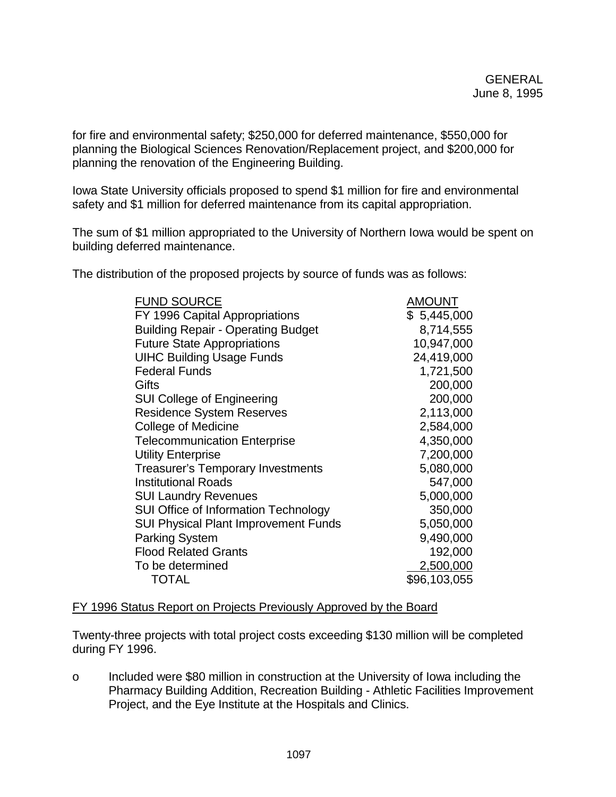for fire and environmental safety; \$250,000 for deferred maintenance, \$550,000 for planning the Biological Sciences Renovation/Replacement project, and \$200,000 for planning the renovation of the Engineering Building.

Iowa State University officials proposed to spend \$1 million for fire and environmental safety and \$1 million for deferred maintenance from its capital appropriation.

The sum of \$1 million appropriated to the University of Northern Iowa would be spent on building deferred maintenance.

The distribution of the proposed projects by source of funds was as follows:

| <b>FUND SOURCE</b>                          | AMOUNT       |
|---------------------------------------------|--------------|
| FY 1996 Capital Appropriations              | \$5,445,000  |
| <b>Building Repair - Operating Budget</b>   | 8,714,555    |
| <b>Future State Appropriations</b>          | 10,947,000   |
| <b>UIHC Building Usage Funds</b>            | 24,419,000   |
| <b>Federal Funds</b>                        | 1,721,500    |
| Gifts                                       | 200,000      |
| <b>SUI College of Engineering</b>           | 200,000      |
| <b>Residence System Reserves</b>            | 2,113,000    |
| <b>College of Medicine</b>                  | 2,584,000    |
| <b>Telecommunication Enterprise</b>         | 4,350,000    |
| <b>Utility Enterprise</b>                   | 7,200,000    |
| <b>Treasurer's Temporary Investments</b>    | 5,080,000    |
| <b>Institutional Roads</b>                  | 547,000      |
| <b>SUI Laundry Revenues</b>                 | 5,000,000    |
| <b>SUI Office of Information Technology</b> | 350,000      |
| <b>SUI Physical Plant Improvement Funds</b> | 5,050,000    |
| <b>Parking System</b>                       | 9,490,000    |
| <b>Flood Related Grants</b>                 | 192,000      |
| To be determined                            | 2,500,000    |
| <b>TOTAL</b>                                | \$96,103,055 |

# FY 1996 Status Report on Projects Previously Approved by the Board

Twenty-three projects with total project costs exceeding \$130 million will be completed during FY 1996.

o Included were \$80 million in construction at the University of Iowa including the Pharmacy Building Addition, Recreation Building - Athletic Facilities Improvement Project, and the Eye Institute at the Hospitals and Clinics.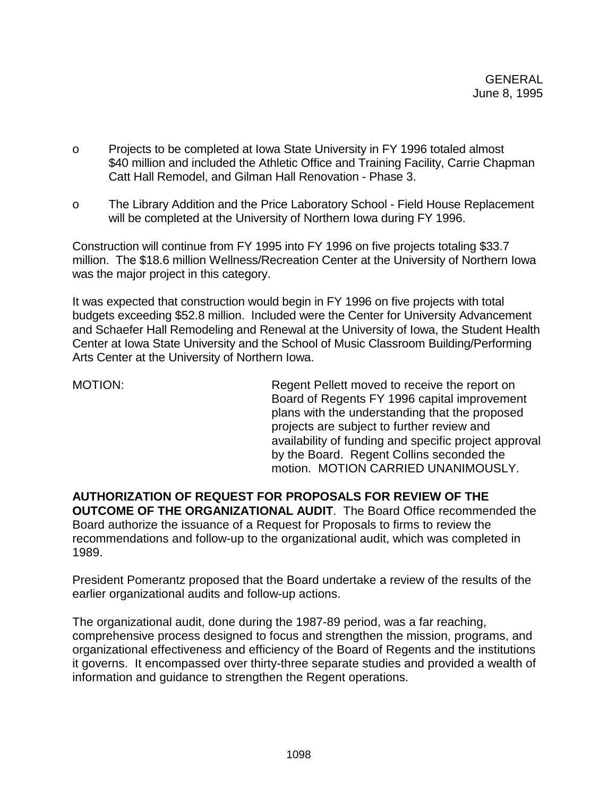- o Projects to be completed at Iowa State University in FY 1996 totaled almost \$40 million and included the Athletic Office and Training Facility, Carrie Chapman Catt Hall Remodel, and Gilman Hall Renovation - Phase 3.
- o The Library Addition and the Price Laboratory School Field House Replacement will be completed at the University of Northern Iowa during FY 1996.

Construction will continue from FY 1995 into FY 1996 on five projects totaling \$33.7 million. The \$18.6 million Wellness/Recreation Center at the University of Northern Iowa was the major project in this category.

It was expected that construction would begin in FY 1996 on five projects with total budgets exceeding \$52.8 million. Included were the Center for University Advancement and Schaefer Hall Remodeling and Renewal at the University of Iowa, the Student Health Center at Iowa State University and the School of Music Classroom Building/Performing Arts Center at the University of Northern Iowa.

MOTION: Regent Pellett moved to receive the report on Board of Regents FY 1996 capital improvement plans with the understanding that the proposed projects are subject to further review and availability of funding and specific project approval by the Board. Regent Collins seconded the motion. MOTION CARRIED UNANIMOUSLY.

**AUTHORIZATION OF REQUEST FOR PROPOSALS FOR REVIEW OF THE OUTCOME OF THE ORGANIZATIONAL AUDIT**. The Board Office recommended the Board authorize the issuance of a Request for Proposals to firms to review the recommendations and follow-up to the organizational audit, which was completed in 1989.

President Pomerantz proposed that the Board undertake a review of the results of the earlier organizational audits and follow-up actions.

The organizational audit, done during the 1987-89 period, was a far reaching, comprehensive process designed to focus and strengthen the mission, programs, and organizational effectiveness and efficiency of the Board of Regents and the institutions it governs. It encompassed over thirty-three separate studies and provided a wealth of information and guidance to strengthen the Regent operations.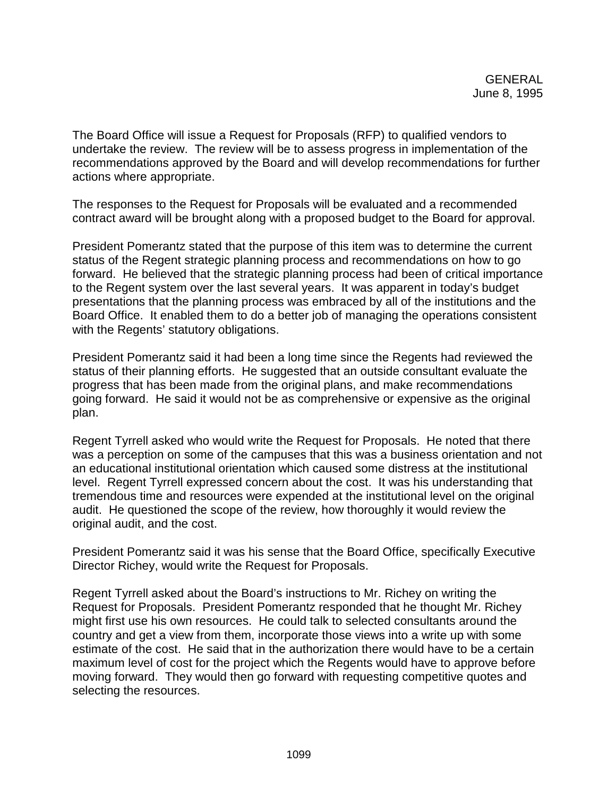The Board Office will issue a Request for Proposals (RFP) to qualified vendors to undertake the review. The review will be to assess progress in implementation of the recommendations approved by the Board and will develop recommendations for further actions where appropriate.

The responses to the Request for Proposals will be evaluated and a recommended contract award will be brought along with a proposed budget to the Board for approval.

President Pomerantz stated that the purpose of this item was to determine the current status of the Regent strategic planning process and recommendations on how to go forward. He believed that the strategic planning process had been of critical importance to the Regent system over the last several years. It was apparent in today's budget presentations that the planning process was embraced by all of the institutions and the Board Office. It enabled them to do a better job of managing the operations consistent with the Regents' statutory obligations.

President Pomerantz said it had been a long time since the Regents had reviewed the status of their planning efforts. He suggested that an outside consultant evaluate the progress that has been made from the original plans, and make recommendations going forward. He said it would not be as comprehensive or expensive as the original plan.

Regent Tyrrell asked who would write the Request for Proposals. He noted that there was a perception on some of the campuses that this was a business orientation and not an educational institutional orientation which caused some distress at the institutional level. Regent Tyrrell expressed concern about the cost. It was his understanding that tremendous time and resources were expended at the institutional level on the original audit. He questioned the scope of the review, how thoroughly it would review the original audit, and the cost.

President Pomerantz said it was his sense that the Board Office, specifically Executive Director Richey, would write the Request for Proposals.

Regent Tyrrell asked about the Board's instructions to Mr. Richey on writing the Request for Proposals. President Pomerantz responded that he thought Mr. Richey might first use his own resources. He could talk to selected consultants around the country and get a view from them, incorporate those views into a write up with some estimate of the cost. He said that in the authorization there would have to be a certain maximum level of cost for the project which the Regents would have to approve before moving forward. They would then go forward with requesting competitive quotes and selecting the resources.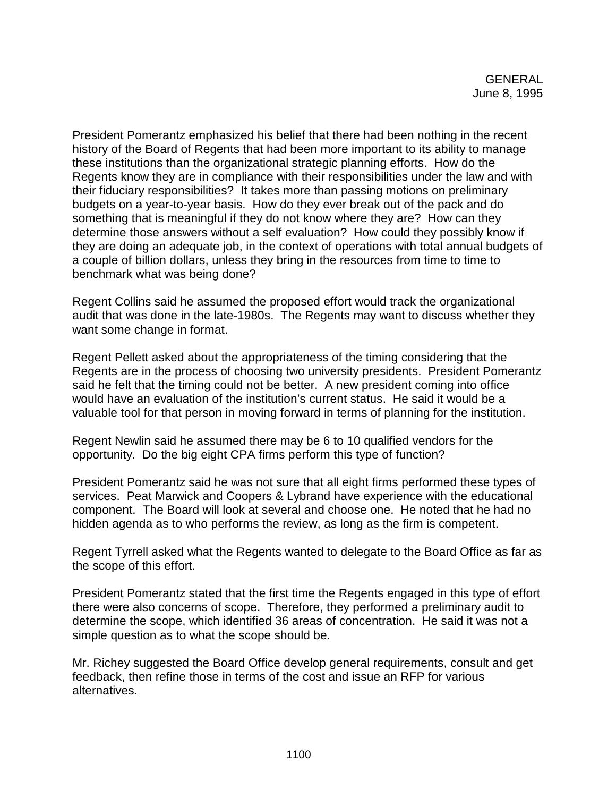President Pomerantz emphasized his belief that there had been nothing in the recent history of the Board of Regents that had been more important to its ability to manage these institutions than the organizational strategic planning efforts. How do the Regents know they are in compliance with their responsibilities under the law and with their fiduciary responsibilities? It takes more than passing motions on preliminary budgets on a year-to-year basis. How do they ever break out of the pack and do something that is meaningful if they do not know where they are? How can they determine those answers without a self evaluation? How could they possibly know if they are doing an adequate job, in the context of operations with total annual budgets of a couple of billion dollars, unless they bring in the resources from time to time to benchmark what was being done?

Regent Collins said he assumed the proposed effort would track the organizational audit that was done in the late-1980s. The Regents may want to discuss whether they want some change in format.

Regent Pellett asked about the appropriateness of the timing considering that the Regents are in the process of choosing two university presidents. President Pomerantz said he felt that the timing could not be better. A new president coming into office would have an evaluation of the institution's current status. He said it would be a valuable tool for that person in moving forward in terms of planning for the institution.

Regent Newlin said he assumed there may be 6 to 10 qualified vendors for the opportunity. Do the big eight CPA firms perform this type of function?

President Pomerantz said he was not sure that all eight firms performed these types of services. Peat Marwick and Coopers & Lybrand have experience with the educational component. The Board will look at several and choose one. He noted that he had no hidden agenda as to who performs the review, as long as the firm is competent.

Regent Tyrrell asked what the Regents wanted to delegate to the Board Office as far as the scope of this effort.

President Pomerantz stated that the first time the Regents engaged in this type of effort there were also concerns of scope. Therefore, they performed a preliminary audit to determine the scope, which identified 36 areas of concentration. He said it was not a simple question as to what the scope should be.

Mr. Richey suggested the Board Office develop general requirements, consult and get feedback, then refine those in terms of the cost and issue an RFP for various alternatives.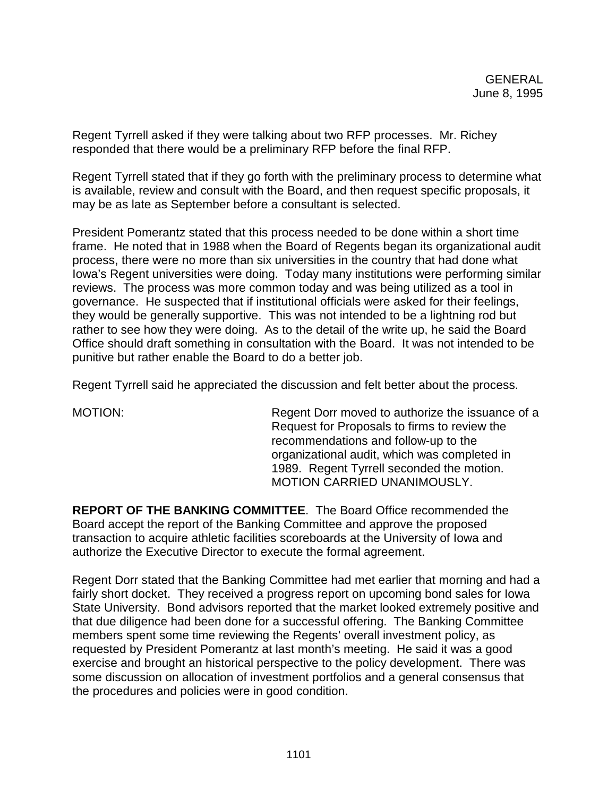Regent Tyrrell asked if they were talking about two RFP processes. Mr. Richey responded that there would be a preliminary RFP before the final RFP.

Regent Tyrrell stated that if they go forth with the preliminary process to determine what is available, review and consult with the Board, and then request specific proposals, it may be as late as September before a consultant is selected.

President Pomerantz stated that this process needed to be done within a short time frame. He noted that in 1988 when the Board of Regents began its organizational audit process, there were no more than six universities in the country that had done what Iowa's Regent universities were doing. Today many institutions were performing similar reviews. The process was more common today and was being utilized as a tool in governance. He suspected that if institutional officials were asked for their feelings, they would be generally supportive. This was not intended to be a lightning rod but rather to see how they were doing. As to the detail of the write up, he said the Board Office should draft something in consultation with the Board. It was not intended to be punitive but rather enable the Board to do a better job.

Regent Tyrrell said he appreciated the discussion and felt better about the process.

MOTION: Regent Dorr moved to authorize the issuance of a Request for Proposals to firms to review the recommendations and follow-up to the organizational audit, which was completed in 1989. Regent Tyrrell seconded the motion. MOTION CARRIED UNANIMOUSLY.

**REPORT OF THE BANKING COMMITTEE**. The Board Office recommended the Board accept the report of the Banking Committee and approve the proposed transaction to acquire athletic facilities scoreboards at the University of Iowa and authorize the Executive Director to execute the formal agreement.

Regent Dorr stated that the Banking Committee had met earlier that morning and had a fairly short docket. They received a progress report on upcoming bond sales for Iowa State University. Bond advisors reported that the market looked extremely positive and that due diligence had been done for a successful offering. The Banking Committee members spent some time reviewing the Regents' overall investment policy, as requested by President Pomerantz at last month's meeting. He said it was a good exercise and brought an historical perspective to the policy development. There was some discussion on allocation of investment portfolios and a general consensus that the procedures and policies were in good condition.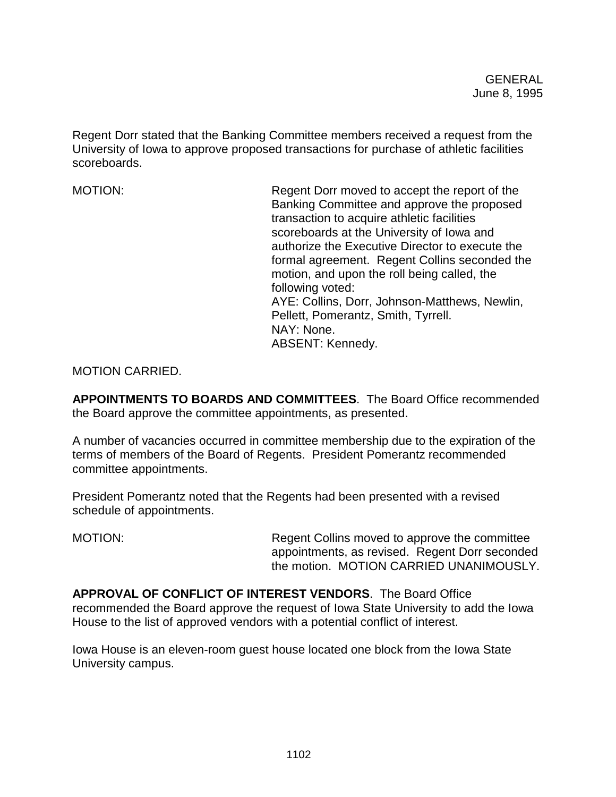Regent Dorr stated that the Banking Committee members received a request from the University of Iowa to approve proposed transactions for purchase of athletic facilities scoreboards.

MOTION: Regent Dorr moved to accept the report of the Banking Committee and approve the proposed transaction to acquire athletic facilities scoreboards at the University of Iowa and authorize the Executive Director to execute the formal agreement. Regent Collins seconded the motion, and upon the roll being called, the following voted: AYE: Collins, Dorr, Johnson-Matthews, Newlin, Pellett, Pomerantz, Smith, Tyrrell. NAY: None. ABSENT: Kennedy.

MOTION CARRIED.

**APPOINTMENTS TO BOARDS AND COMMITTEES**. The Board Office recommended the Board approve the committee appointments, as presented.

A number of vacancies occurred in committee membership due to the expiration of the terms of members of the Board of Regents. President Pomerantz recommended committee appointments.

President Pomerantz noted that the Regents had been presented with a revised schedule of appointments.

MOTION: Regent Collins moved to approve the committee appointments, as revised. Regent Dorr seconded the motion. MOTION CARRIED UNANIMOUSLY.

**APPROVAL OF CONFLICT OF INTEREST VENDORS**. The Board Office recommended the Board approve the request of Iowa State University to add the Iowa House to the list of approved vendors with a potential conflict of interest.

Iowa House is an eleven-room guest house located one block from the Iowa State University campus.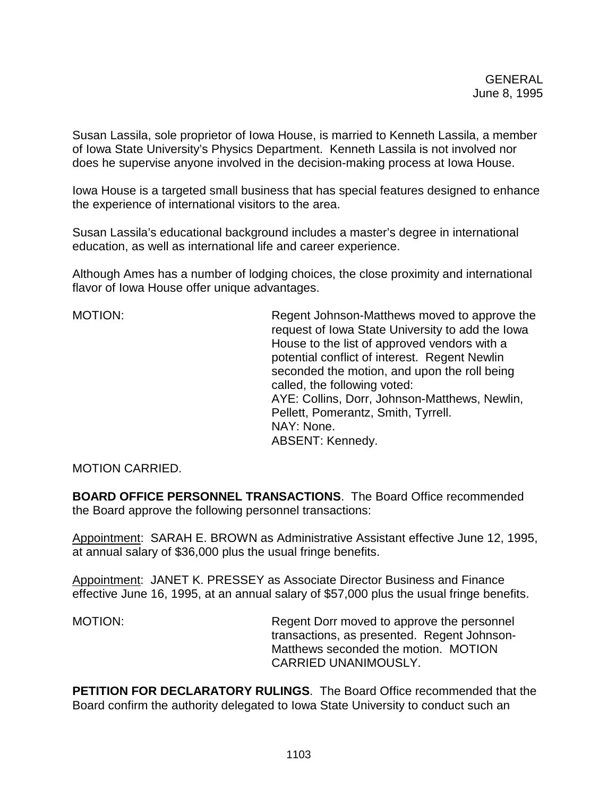Susan Lassila, sole proprietor of Iowa House, is married to Kenneth Lassila, a member of Iowa State University's Physics Department. Kenneth Lassila is not involved nor does he supervise anyone involved in the decision-making process at Iowa House.

Iowa House is a targeted small business that has special features designed to enhance the experience of international visitors to the area.

Susan Lassila's educational background includes a master's degree in international education, as well as international life and career experience.

Although Ames has a number of lodging choices, the close proximity and international flavor of Iowa House offer unique advantages.

MOTION: Regent Johnson-Matthews moved to approve the request of Iowa State University to add the Iowa House to the list of approved vendors with a potential conflict of interest. Regent Newlin seconded the motion, and upon the roll being called, the following voted: AYE: Collins, Dorr, Johnson-Matthews, Newlin, Pellett, Pomerantz, Smith, Tyrrell. NAY: None. ABSENT: Kennedy.

MOTION CARRIED.

**BOARD OFFICE PERSONNEL TRANSACTIONS**. The Board Office recommended the Board approve the following personnel transactions:

Appointment: SARAH E. BROWN as Administrative Assistant effective June 12, 1995, at annual salary of \$36,000 plus the usual fringe benefits.

Appointment: JANET K. PRESSEY as Associate Director Business and Finance effective June 16, 1995, at an annual salary of \$57,000 plus the usual fringe benefits.

MOTION: Regent Dorr moved to approve the personnel transactions, as presented. Regent Johnson-Matthews seconded the motion. MOTION CARRIED UNANIMOUSLY.

**PETITION FOR DECLARATORY RULINGS**. The Board Office recommended that the Board confirm the authority delegated to Iowa State University to conduct such an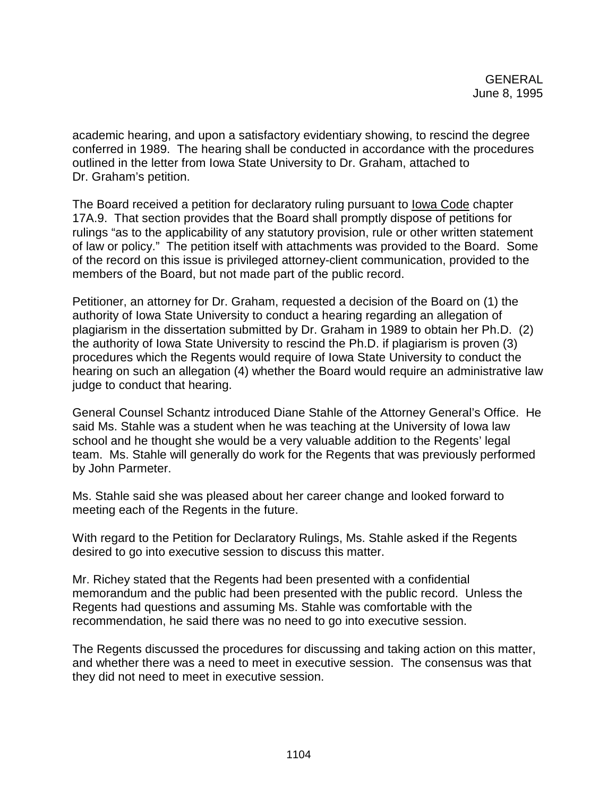academic hearing, and upon a satisfactory evidentiary showing, to rescind the degree conferred in 1989. The hearing shall be conducted in accordance with the procedures outlined in the letter from Iowa State University to Dr. Graham, attached to Dr. Graham's petition.

The Board received a petition for declaratory ruling pursuant to Iowa Code chapter 17A.9. That section provides that the Board shall promptly dispose of petitions for rulings "as to the applicability of any statutory provision, rule or other written statement of law or policy." The petition itself with attachments was provided to the Board. Some of the record on this issue is privileged attorney-client communication, provided to the members of the Board, but not made part of the public record.

Petitioner, an attorney for Dr. Graham, requested a decision of the Board on (1) the authority of Iowa State University to conduct a hearing regarding an allegation of plagiarism in the dissertation submitted by Dr. Graham in 1989 to obtain her Ph.D. (2) the authority of Iowa State University to rescind the Ph.D. if plagiarism is proven (3) procedures which the Regents would require of Iowa State University to conduct the hearing on such an allegation (4) whether the Board would require an administrative law judge to conduct that hearing.

General Counsel Schantz introduced Diane Stahle of the Attorney General's Office. He said Ms. Stahle was a student when he was teaching at the University of Iowa law school and he thought she would be a very valuable addition to the Regents' legal team. Ms. Stahle will generally do work for the Regents that was previously performed by John Parmeter.

Ms. Stahle said she was pleased about her career change and looked forward to meeting each of the Regents in the future.

With regard to the Petition for Declaratory Rulings, Ms. Stahle asked if the Regents desired to go into executive session to discuss this matter.

Mr. Richey stated that the Regents had been presented with a confidential memorandum and the public had been presented with the public record. Unless the Regents had questions and assuming Ms. Stahle was comfortable with the recommendation, he said there was no need to go into executive session.

The Regents discussed the procedures for discussing and taking action on this matter, and whether there was a need to meet in executive session. The consensus was that they did not need to meet in executive session.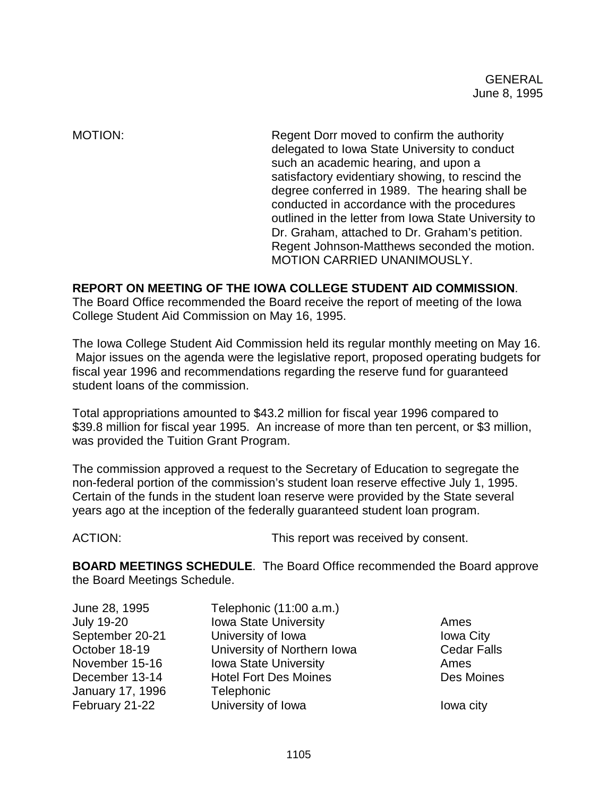MOTION: Regent Dorr moved to confirm the authority delegated to Iowa State University to conduct such an academic hearing, and upon a satisfactory evidentiary showing, to rescind the degree conferred in 1989. The hearing shall be conducted in accordance with the procedures outlined in the letter from Iowa State University to Dr. Graham, attached to Dr. Graham's petition. Regent Johnson-Matthews seconded the motion. MOTION CARRIED UNANIMOUSLY.

# **REPORT ON MEETING OF THE IOWA COLLEGE STUDENT AID COMMISSION**.

The Board Office recommended the Board receive the report of meeting of the Iowa College Student Aid Commission on May 16, 1995.

The Iowa College Student Aid Commission held its regular monthly meeting on May 16. Major issues on the agenda were the legislative report, proposed operating budgets for fiscal year 1996 and recommendations regarding the reserve fund for guaranteed student loans of the commission.

Total appropriations amounted to \$43.2 million for fiscal year 1996 compared to \$39.8 million for fiscal year 1995. An increase of more than ten percent, or \$3 million, was provided the Tuition Grant Program.

The commission approved a request to the Secretary of Education to segregate the non-federal portion of the commission's student loan reserve effective July 1, 1995. Certain of the funds in the student loan reserve were provided by the State several years ago at the inception of the federally guaranteed student loan program.

ACTION: This report was received by consent.

**BOARD MEETINGS SCHEDULE**. The Board Office recommended the Board approve the Board Meetings Schedule.

| June 28, 1995           | Telephonic (11:00 a.m.)      |                    |
|-------------------------|------------------------------|--------------------|
| <b>July 19-20</b>       | <b>Iowa State University</b> | Ames               |
| September 20-21         | University of Iowa           | <b>Iowa City</b>   |
| October 18-19           | University of Northern Iowa  | <b>Cedar Falls</b> |
| November 15-16          | <b>Iowa State University</b> | Ames               |
| December 13-14          | <b>Hotel Fort Des Moines</b> | Des Moines         |
| <b>January 17, 1996</b> | Telephonic                   |                    |
| February 21-22          | University of Iowa           | lowa city          |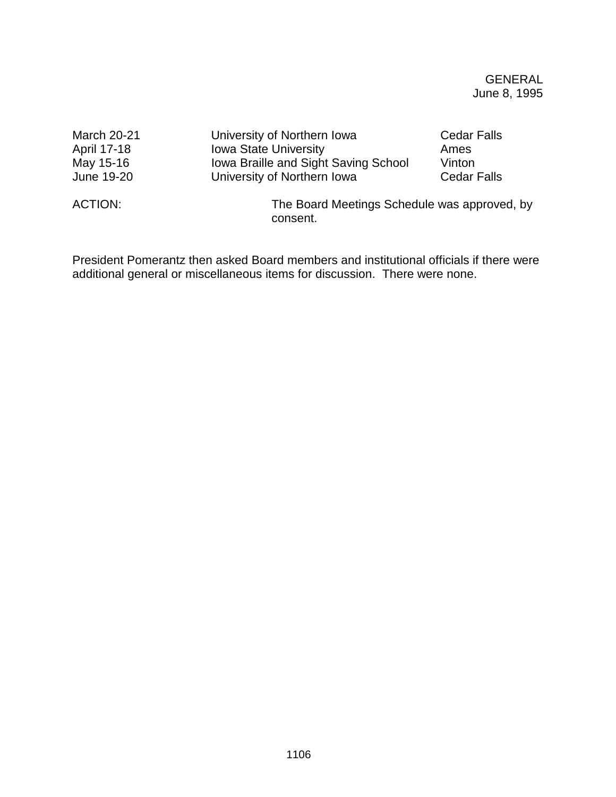| <b>March 20-21</b> | University of Northern Iowa          | <b>Cedar Falls</b>                           |  |
|--------------------|--------------------------------------|----------------------------------------------|--|
| April 17-18        | <b>Iowa State University</b>         | Ames                                         |  |
| May 15-16          | Iowa Braille and Sight Saving School | Vinton                                       |  |
| June 19-20         | University of Northern Iowa          | <b>Cedar Falls</b>                           |  |
| ACTION:            | consent.                             | The Board Meetings Schedule was approved, by |  |

President Pomerantz then asked Board members and institutional officials if there were additional general or miscellaneous items for discussion. There were none.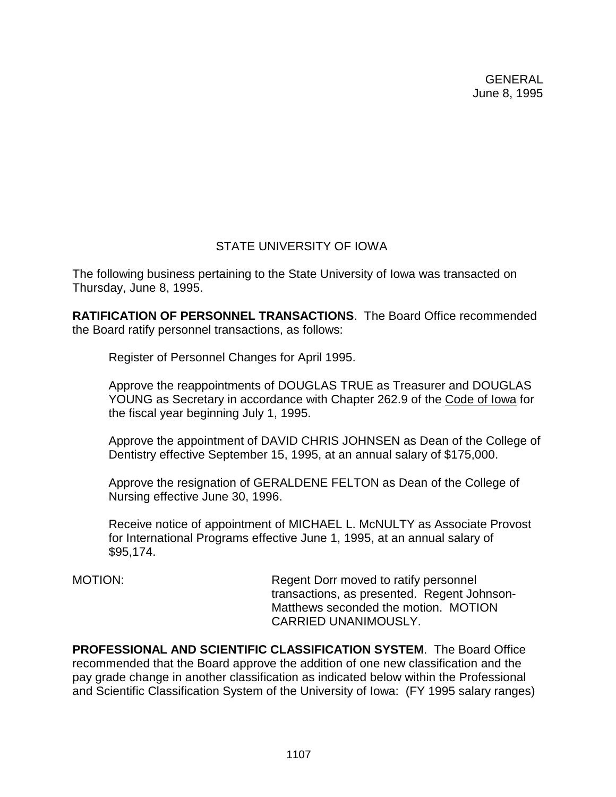# STATE UNIVERSITY OF IOWA

The following business pertaining to the State University of Iowa was transacted on Thursday, June 8, 1995.

**RATIFICATION OF PERSONNEL TRANSACTIONS**. The Board Office recommended the Board ratify personnel transactions, as follows:

Register of Personnel Changes for April 1995.

Approve the reappointments of DOUGLAS TRUE as Treasurer and DOUGLAS YOUNG as Secretary in accordance with Chapter 262.9 of the Code of Iowa for the fiscal year beginning July 1, 1995.

Approve the appointment of DAVID CHRIS JOHNSEN as Dean of the College of Dentistry effective September 15, 1995, at an annual salary of \$175,000.

Approve the resignation of GERALDENE FELTON as Dean of the College of Nursing effective June 30, 1996.

Receive notice of appointment of MICHAEL L. McNULTY as Associate Provost for International Programs effective June 1, 1995, at an annual salary of \$95,174.

MOTION: Regent Dorr moved to ratify personnel transactions, as presented. Regent Johnson-Matthews seconded the motion. MOTION CARRIED UNANIMOUSLY.

**PROFESSIONAL AND SCIENTIFIC CLASSIFICATION SYSTEM**. The Board Office recommended that the Board approve the addition of one new classification and the pay grade change in another classification as indicated below within the Professional and Scientific Classification System of the University of Iowa: (FY 1995 salary ranges)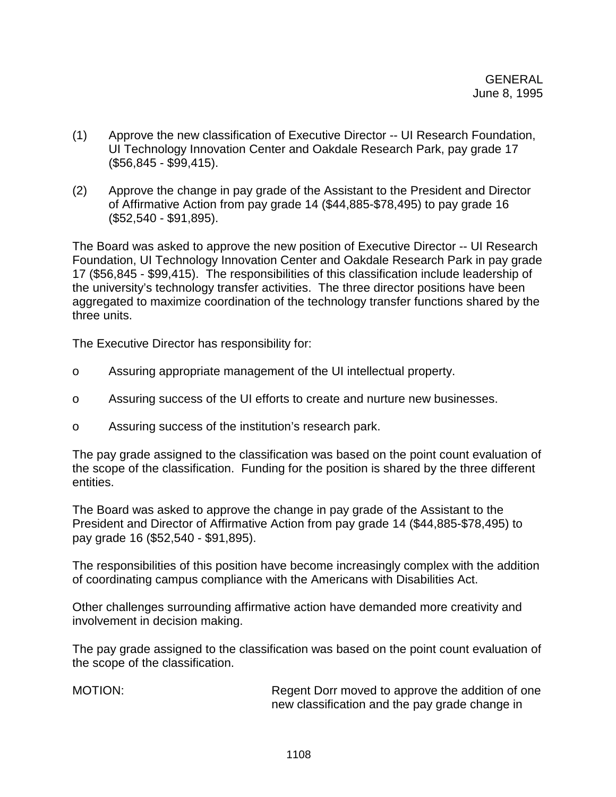- (1) Approve the new classification of Executive Director -- UI Research Foundation, UI Technology Innovation Center and Oakdale Research Park, pay grade 17 (\$56,845 - \$99,415).
- (2) Approve the change in pay grade of the Assistant to the President and Director of Affirmative Action from pay grade 14 (\$44,885-\$78,495) to pay grade 16 (\$52,540 - \$91,895).

The Board was asked to approve the new position of Executive Director -- UI Research Foundation, UI Technology Innovation Center and Oakdale Research Park in pay grade 17 (\$56,845 - \$99,415). The responsibilities of this classification include leadership of the university's technology transfer activities. The three director positions have been aggregated to maximize coordination of the technology transfer functions shared by the three units.

The Executive Director has responsibility for:

- o Assuring appropriate management of the UI intellectual property.
- o Assuring success of the UI efforts to create and nurture new businesses.
- o Assuring success of the institution's research park.

The pay grade assigned to the classification was based on the point count evaluation of the scope of the classification. Funding for the position is shared by the three different entities.

The Board was asked to approve the change in pay grade of the Assistant to the President and Director of Affirmative Action from pay grade 14 (\$44,885-\$78,495) to pay grade 16 (\$52,540 - \$91,895).

The responsibilities of this position have become increasingly complex with the addition of coordinating campus compliance with the Americans with Disabilities Act.

Other challenges surrounding affirmative action have demanded more creativity and involvement in decision making.

The pay grade assigned to the classification was based on the point count evaluation of the scope of the classification.

MOTION: Regent Dorr moved to approve the addition of one new classification and the pay grade change in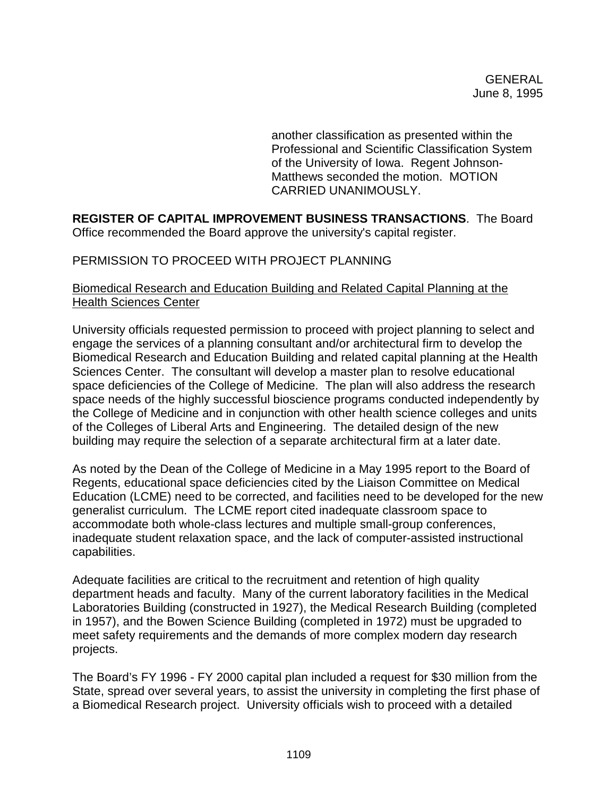another classification as presented within the Professional and Scientific Classification System of the University of Iowa. Regent Johnson-Matthews seconded the motion. MOTION CARRIED UNANIMOUSLY.

**REGISTER OF CAPITAL IMPROVEMENT BUSINESS TRANSACTIONS**. The Board Office recommended the Board approve the university's capital register.

# PERMISSION TO PROCEED WITH PROJECT PLANNING

# Biomedical Research and Education Building and Related Capital Planning at the Health Sciences Center

University officials requested permission to proceed with project planning to select and engage the services of a planning consultant and/or architectural firm to develop the Biomedical Research and Education Building and related capital planning at the Health Sciences Center. The consultant will develop a master plan to resolve educational space deficiencies of the College of Medicine. The plan will also address the research space needs of the highly successful bioscience programs conducted independently by the College of Medicine and in conjunction with other health science colleges and units of the Colleges of Liberal Arts and Engineering. The detailed design of the new building may require the selection of a separate architectural firm at a later date.

As noted by the Dean of the College of Medicine in a May 1995 report to the Board of Regents, educational space deficiencies cited by the Liaison Committee on Medical Education (LCME) need to be corrected, and facilities need to be developed for the new generalist curriculum. The LCME report cited inadequate classroom space to accommodate both whole-class lectures and multiple small-group conferences, inadequate student relaxation space, and the lack of computer-assisted instructional capabilities.

Adequate facilities are critical to the recruitment and retention of high quality department heads and faculty. Many of the current laboratory facilities in the Medical Laboratories Building (constructed in 1927), the Medical Research Building (completed in 1957), and the Bowen Science Building (completed in 1972) must be upgraded to meet safety requirements and the demands of more complex modern day research projects.

The Board's FY 1996 - FY 2000 capital plan included a request for \$30 million from the State, spread over several years, to assist the university in completing the first phase of a Biomedical Research project. University officials wish to proceed with a detailed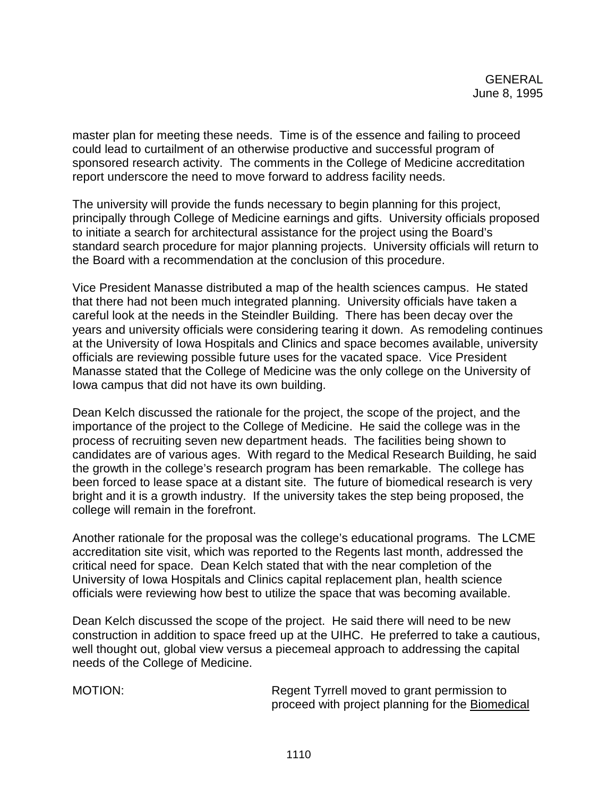master plan for meeting these needs. Time is of the essence and failing to proceed could lead to curtailment of an otherwise productive and successful program of sponsored research activity. The comments in the College of Medicine accreditation report underscore the need to move forward to address facility needs.

The university will provide the funds necessary to begin planning for this project, principally through College of Medicine earnings and gifts. University officials proposed to initiate a search for architectural assistance for the project using the Board's standard search procedure for major planning projects. University officials will return to the Board with a recommendation at the conclusion of this procedure.

Vice President Manasse distributed a map of the health sciences campus. He stated that there had not been much integrated planning. University officials have taken a careful look at the needs in the Steindler Building. There has been decay over the years and university officials were considering tearing it down. As remodeling continues at the University of Iowa Hospitals and Clinics and space becomes available, university officials are reviewing possible future uses for the vacated space. Vice President Manasse stated that the College of Medicine was the only college on the University of Iowa campus that did not have its own building.

Dean Kelch discussed the rationale for the project, the scope of the project, and the importance of the project to the College of Medicine. He said the college was in the process of recruiting seven new department heads. The facilities being shown to candidates are of various ages. With regard to the Medical Research Building, he said the growth in the college's research program has been remarkable. The college has been forced to lease space at a distant site. The future of biomedical research is very bright and it is a growth industry. If the university takes the step being proposed, the college will remain in the forefront.

Another rationale for the proposal was the college's educational programs. The LCME accreditation site visit, which was reported to the Regents last month, addressed the critical need for space. Dean Kelch stated that with the near completion of the University of Iowa Hospitals and Clinics capital replacement plan, health science officials were reviewing how best to utilize the space that was becoming available.

Dean Kelch discussed the scope of the project. He said there will need to be new construction in addition to space freed up at the UIHC. He preferred to take a cautious, well thought out, global view versus a piecemeal approach to addressing the capital needs of the College of Medicine.

MOTION: Regent Tyrrell moved to grant permission to proceed with project planning for the Biomedical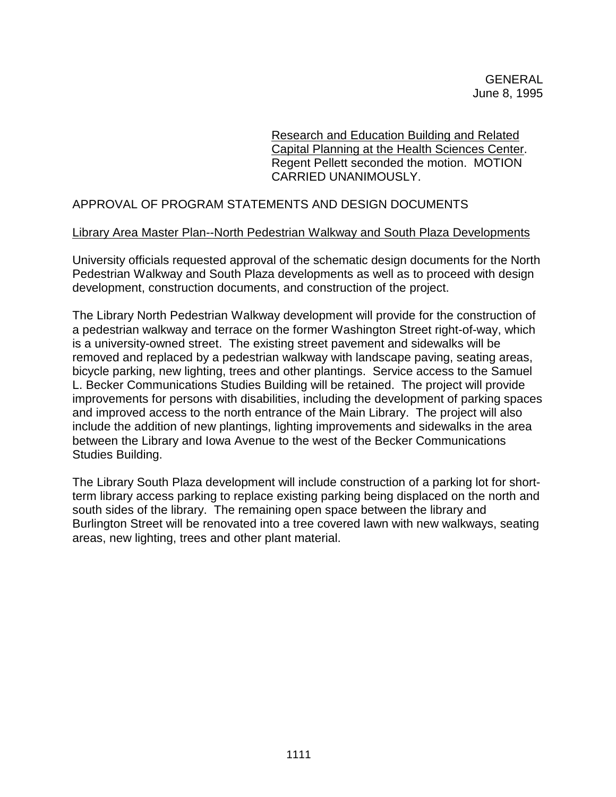Research and Education Building and Related Capital Planning at the Health Sciences Center. Regent Pellett seconded the motion. MOTION CARRIED UNANIMOUSLY.

# APPROVAL OF PROGRAM STATEMENTS AND DESIGN DOCUMENTS

### Library Area Master Plan--North Pedestrian Walkway and South Plaza Developments

University officials requested approval of the schematic design documents for the North Pedestrian Walkway and South Plaza developments as well as to proceed with design development, construction documents, and construction of the project.

The Library North Pedestrian Walkway development will provide for the construction of a pedestrian walkway and terrace on the former Washington Street right-of-way, which is a university-owned street. The existing street pavement and sidewalks will be removed and replaced by a pedestrian walkway with landscape paving, seating areas, bicycle parking, new lighting, trees and other plantings. Service access to the Samuel L. Becker Communications Studies Building will be retained. The project will provide improvements for persons with disabilities, including the development of parking spaces and improved access to the north entrance of the Main Library. The project will also include the addition of new plantings, lighting improvements and sidewalks in the area between the Library and Iowa Avenue to the west of the Becker Communications Studies Building.

The Library South Plaza development will include construction of a parking lot for shortterm library access parking to replace existing parking being displaced on the north and south sides of the library. The remaining open space between the library and Burlington Street will be renovated into a tree covered lawn with new walkways, seating areas, new lighting, trees and other plant material.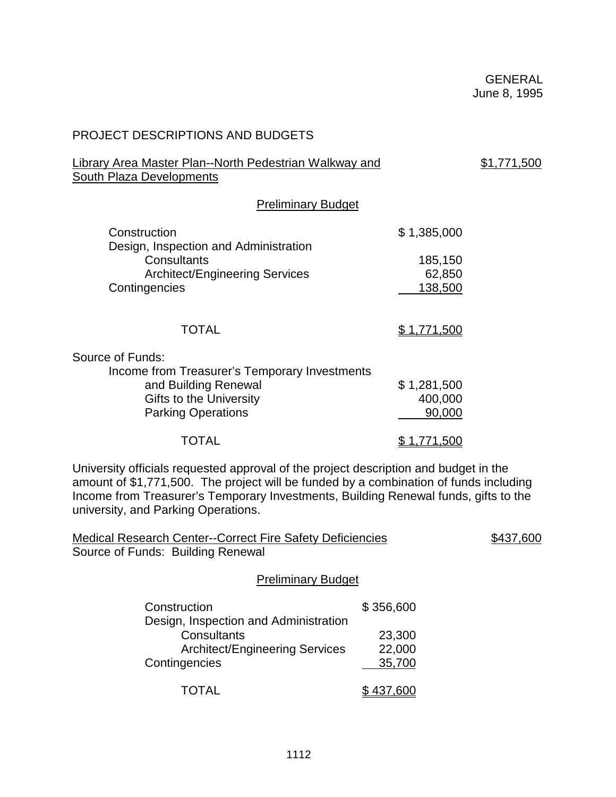| <b>PROJECT DESCRIPTIONS AND BUDGETS</b>                                                                                                                                                                                                                                                                     |                                                 |  |  |
|-------------------------------------------------------------------------------------------------------------------------------------------------------------------------------------------------------------------------------------------------------------------------------------------------------------|-------------------------------------------------|--|--|
| <b>Library Area Master Plan--North Pedestrian Walkway and</b><br><b>South Plaza Developments</b>                                                                                                                                                                                                            | \$1,771,500                                     |  |  |
| <b>Preliminary Budget</b>                                                                                                                                                                                                                                                                                   |                                                 |  |  |
| Construction<br>Design, Inspection and Administration<br>Consultants<br><b>Architect/Engineering Services</b><br>Contingencies                                                                                                                                                                              | \$1,385,000<br>185,150<br>62,850<br>138,500     |  |  |
| <b>TOTAL</b>                                                                                                                                                                                                                                                                                                | \$1,771,500                                     |  |  |
| Source of Funds:<br>Income from Treasurer's Temporary Investments<br>and Building Renewal<br>Gifts to the University<br><b>Parking Operations</b><br><b>TOTAL</b>                                                                                                                                           | \$1,281,500<br>400,000<br>90,000<br>\$1,771,500 |  |  |
| University officials requested approval of the project description and budget in the<br>amount of \$1,771,500. The project will be funded by a combination of funds including<br>Income from Treasurer's Temporary Investments, Building Renewal funds, gifts to the<br>university, and Parking Operations. |                                                 |  |  |

| <b>Medical Research Center--Correct Fire Safety Deficiencies</b> |           | \$437,600 |
|------------------------------------------------------------------|-----------|-----------|
| Source of Funds: Building Renewal                                |           |           |
| <b>Preliminary Budget</b>                                        |           |           |
| Construction                                                     | \$356,600 |           |
| Design, Inspection and Administration                            |           |           |
| Consultants                                                      | 23,300    |           |
| <b>Architect/Engineering Services</b>                            | 22,000    |           |

|  | TOTAL | \$437,600 |
|--|-------|-----------|
|--|-------|-----------|

Contingencies  $\frac{35,700}{ }$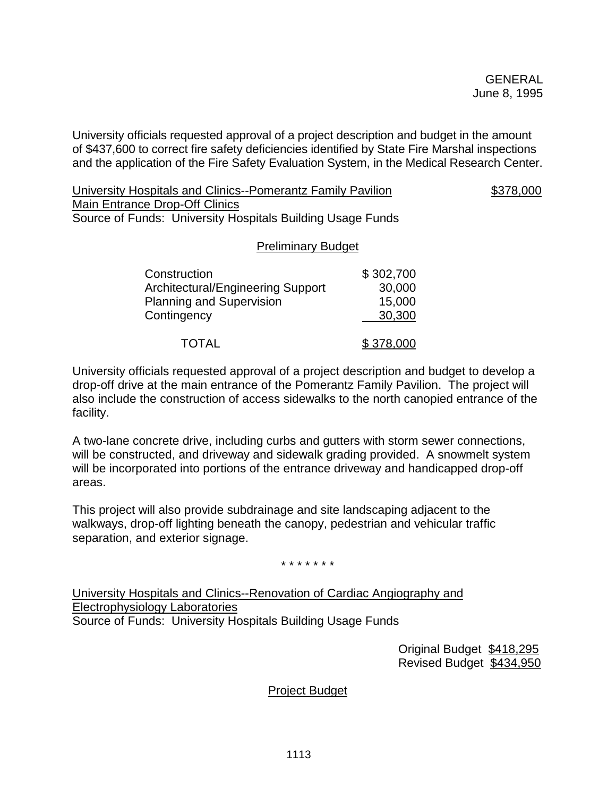University officials requested approval of a project description and budget in the amount of \$437,600 to correct fire safety deficiencies identified by State Fire Marshal inspections and the application of the Fire Safety Evaluation System, in the Medical Research Center.

University Hospitals and Clinics--Pomerantz Family Pavilion  $$378,000$ Main Entrance Drop-Off Clinics Source of Funds: University Hospitals Building Usage Funds

### Preliminary Budget

| Construction                      | \$302,700 |
|-----------------------------------|-----------|
| Architectural/Engineering Support | 30,000    |
| <b>Planning and Supervision</b>   | 15,000    |
| Contingency                       | 30,300    |
|                                   |           |
| TOTAL                             | \$378,000 |

University officials requested approval of a project description and budget to develop a drop-off drive at the main entrance of the Pomerantz Family Pavilion. The project will also include the construction of access sidewalks to the north canopied entrance of the facility.

A two-lane concrete drive, including curbs and gutters with storm sewer connections, will be constructed, and driveway and sidewalk grading provided. A snowmelt system will be incorporated into portions of the entrance driveway and handicapped drop-off areas.

This project will also provide subdrainage and site landscaping adjacent to the walkways, drop-off lighting beneath the canopy, pedestrian and vehicular traffic separation, and exterior signage.

\* \* \* \* \* \* \*

University Hospitals and Clinics--Renovation of Cardiac Angiography and Electrophysiology Laboratories Source of Funds: University Hospitals Building Usage Funds

> Original Budget \$418,295 Revised Budget \$434,950

Project Budget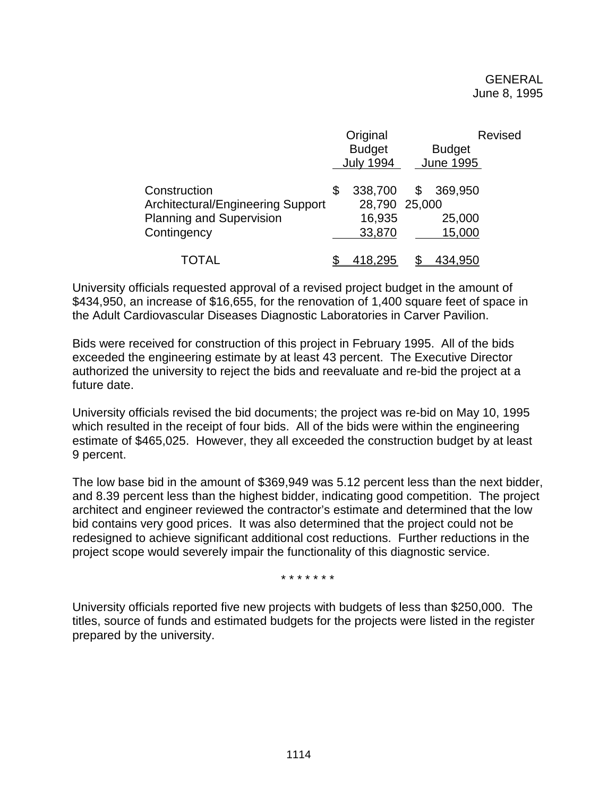|                                   | Original         |   |                  | <b>Revised</b> |
|-----------------------------------|------------------|---|------------------|----------------|
|                                   | <b>Budget</b>    |   | <b>Budget</b>    |                |
|                                   | <b>July 1994</b> |   | <b>June 1995</b> |                |
| Construction                      | \$<br>338,700    | S | 369,950          |                |
| Architectural/Engineering Support | 28,790 25,000    |   |                  |                |
| <b>Planning and Supervision</b>   | 16,935           |   | 25,000           |                |
| Contingency                       | 33,870           |   | 15,000           |                |
| TOTAL                             | 418,295          |   | 434,950          |                |

University officials requested approval of a revised project budget in the amount of \$434,950, an increase of \$16,655, for the renovation of 1,400 square feet of space in the Adult Cardiovascular Diseases Diagnostic Laboratories in Carver Pavilion.

Bids were received for construction of this project in February 1995. All of the bids exceeded the engineering estimate by at least 43 percent. The Executive Director authorized the university to reject the bids and reevaluate and re-bid the project at a future date.

University officials revised the bid documents; the project was re-bid on May 10, 1995 which resulted in the receipt of four bids. All of the bids were within the engineering estimate of \$465,025. However, they all exceeded the construction budget by at least 9 percent.

The low base bid in the amount of \$369,949 was 5.12 percent less than the next bidder, and 8.39 percent less than the highest bidder, indicating good competition. The project architect and engineer reviewed the contractor's estimate and determined that the low bid contains very good prices. It was also determined that the project could not be redesigned to achieve significant additional cost reductions. Further reductions in the project scope would severely impair the functionality of this diagnostic service.

\* \* \* \* \* \* \*

University officials reported five new projects with budgets of less than \$250,000. The titles, source of funds and estimated budgets for the projects were listed in the register prepared by the university.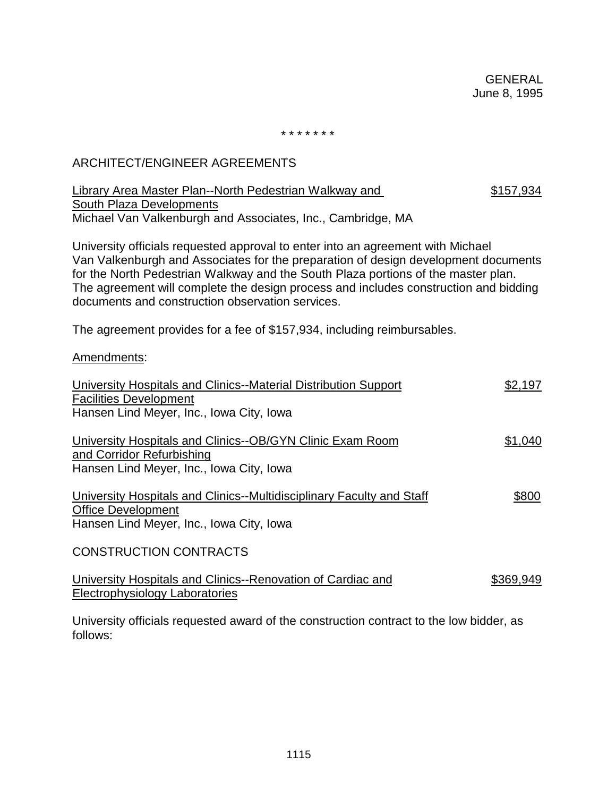\* \* \* \* \* \* \*

# ARCHITECT/ENGINEER AGREEMENTS

| <b>Library Area Master Plan--North Pedestrian Walkway and</b><br>South Plaza Developments                                                                                                                                                                                                                                                                                                              | \$157,934 |
|--------------------------------------------------------------------------------------------------------------------------------------------------------------------------------------------------------------------------------------------------------------------------------------------------------------------------------------------------------------------------------------------------------|-----------|
| Michael Van Valkenburgh and Associates, Inc., Cambridge, MA                                                                                                                                                                                                                                                                                                                                            |           |
| University officials requested approval to enter into an agreement with Michael<br>Van Valkenburgh and Associates for the preparation of design development documents<br>for the North Pedestrian Walkway and the South Plaza portions of the master plan.<br>The agreement will complete the design process and includes construction and bidding<br>documents and construction observation services. |           |
| The agreement provides for a fee of \$157,934, including reimbursables.                                                                                                                                                                                                                                                                                                                                |           |
| Amendments:                                                                                                                                                                                                                                                                                                                                                                                            |           |
| University Hospitals and Clinics--Material Distribution Support<br><b>Facilities Development</b>                                                                                                                                                                                                                                                                                                       | \$2,197   |
| Hansen Lind Meyer, Inc., Iowa City, Iowa                                                                                                                                                                                                                                                                                                                                                               |           |
| University Hospitals and Clinics--OB/GYN Clinic Exam Room<br>and Corridor Refurbishing                                                                                                                                                                                                                                                                                                                 | \$1,040   |
| Hansen Lind Meyer, Inc., Iowa City, Iowa                                                                                                                                                                                                                                                                                                                                                               |           |
| University Hospitals and Clinics--Multidisciplinary Faculty and Staff<br><b>Office Development</b>                                                                                                                                                                                                                                                                                                     | \$800     |
| Hansen Lind Meyer, Inc., Iowa City, Iowa                                                                                                                                                                                                                                                                                                                                                               |           |
| <b>CONSTRUCTION CONTRACTS</b>                                                                                                                                                                                                                                                                                                                                                                          |           |
| University Hospitals and Clinics--Renovation of Cardiac and                                                                                                                                                                                                                                                                                                                                            | \$369,949 |

Electrophysiology Laboratories

University officials requested award of the construction contract to the low bidder, as follows: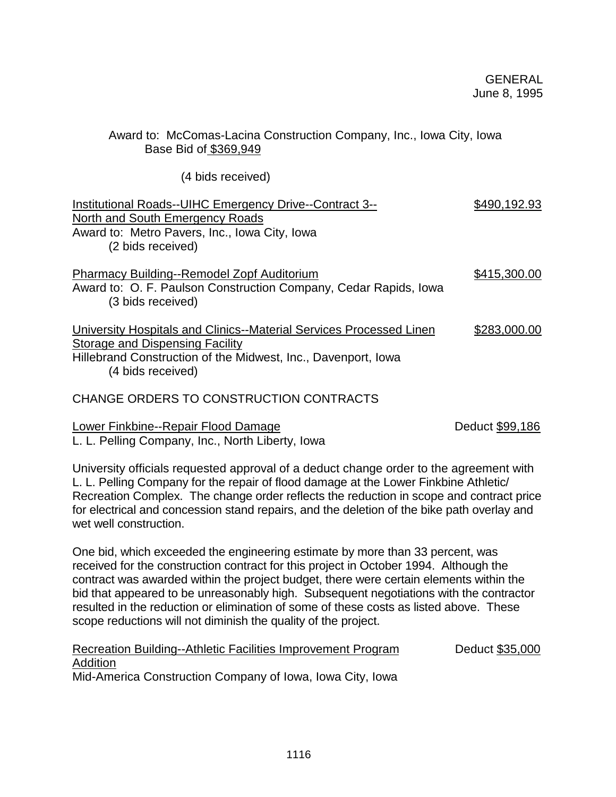# Award to: McComas-Lacina Construction Company, Inc., Iowa City, Iowa Base Bid of \$369,949

(4 bids received)

| Institutional Roads--UIHC Emergency Drive--Contract 3--<br>North and South Emergency Roads<br>Award to: Metro Pavers, Inc., Iowa City, Iowa<br>(2 bids received)                             | \$490,192.93 |
|----------------------------------------------------------------------------------------------------------------------------------------------------------------------------------------------|--------------|
| <b>Pharmacy Building--Remodel Zopf Auditorium</b><br>Award to: O. F. Paulson Construction Company, Cedar Rapids, Iowa<br>(3 bids received)                                                   | \$415,300.00 |
| University Hospitals and Clinics--Material Services Processed Linen<br>Storage and Dispensing Facility<br>Hillebrand Construction of the Midwest, Inc., Davenport, Iowa<br>(4 bids received) | \$283,000.00 |
| CHANGE ORDERS TO CONSTRUCTION CONTRACTS                                                                                                                                                      |              |

Lower Finkbine--Repair Flood Damage Deduct \$99,186 L. L. Pelling Company, Inc., North Liberty, Iowa

University officials requested approval of a deduct change order to the agreement with L. L. Pelling Company for the repair of flood damage at the Lower Finkbine Athletic/ Recreation Complex. The change order reflects the reduction in scope and contract price for electrical and concession stand repairs, and the deletion of the bike path overlay and wet well construction.

One bid, which exceeded the engineering estimate by more than 33 percent, was received for the construction contract for this project in October 1994. Although the contract was awarded within the project budget, there were certain elements within the bid that appeared to be unreasonably high. Subsequent negotiations with the contractor resulted in the reduction or elimination of some of these costs as listed above. These scope reductions will not diminish the quality of the project.

| Recreation Building--Athletic Facilities Improvement Program | Deduct \$35,000 |
|--------------------------------------------------------------|-----------------|
| Addition                                                     |                 |
| Mid-America Construction Company of Iowa, Iowa City, Iowa    |                 |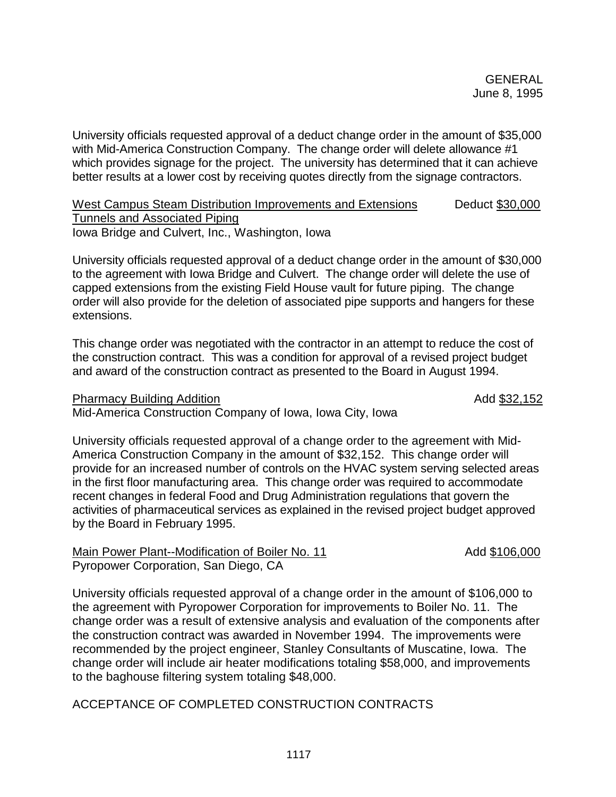University officials requested approval of a deduct change order in the amount of \$35,000 with Mid-America Construction Company. The change order will delete allowance #1 which provides signage for the project. The university has determined that it can achieve better results at a lower cost by receiving quotes directly from the signage contractors.

West Campus Steam Distribution Improvements and Extensions Deduct \$30,000 Tunnels and Associated Piping Iowa Bridge and Culvert, Inc., Washington, Iowa

University officials requested approval of a deduct change order in the amount of \$30,000 to the agreement with Iowa Bridge and Culvert. The change order will delete the use of capped extensions from the existing Field House vault for future piping. The change order will also provide for the deletion of associated pipe supports and hangers for these extensions.

This change order was negotiated with the contractor in an attempt to reduce the cost of the construction contract. This was a condition for approval of a revised project budget and award of the construction contract as presented to the Board in August 1994.

Pharmacy Building Addition **Addition** Add \$32,152

Mid-America Construction Company of Iowa, Iowa City, Iowa

University officials requested approval of a change order to the agreement with Mid-America Construction Company in the amount of \$32,152. This change order will provide for an increased number of controls on the HVAC system serving selected areas in the first floor manufacturing area. This change order was required to accommodate recent changes in federal Food and Drug Administration regulations that govern the activities of pharmaceutical services as explained in the revised project budget approved by the Board in February 1995.

Main Power Plant--Modification of Boiler No. 11 Add \$106,000 Pyropower Corporation, San Diego, CA

University officials requested approval of a change order in the amount of \$106,000 to the agreement with Pyropower Corporation for improvements to Boiler No. 11. The change order was a result of extensive analysis and evaluation of the components after the construction contract was awarded in November 1994. The improvements were recommended by the project engineer, Stanley Consultants of Muscatine, Iowa. The change order will include air heater modifications totaling \$58,000, and improvements to the baghouse filtering system totaling \$48,000.

ACCEPTANCE OF COMPLETED CONSTRUCTION CONTRACTS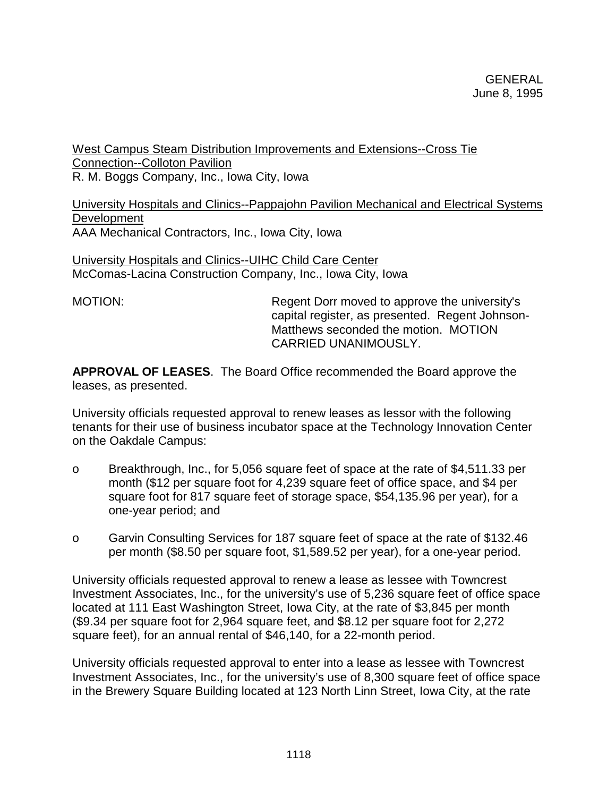West Campus Steam Distribution Improvements and Extensions--Cross Tie Connection--Colloton Pavilion R. M. Boggs Company, Inc., Iowa City, Iowa

University Hospitals and Clinics--Pappajohn Pavilion Mechanical and Electrical Systems **Development** AAA Mechanical Contractors, Inc., Iowa City, Iowa

University Hospitals and Clinics--UIHC Child Care Center McComas-Lacina Construction Company, Inc., Iowa City, Iowa

MOTION: Regent Dorr moved to approve the university's capital register, as presented. Regent Johnson-Matthews seconded the motion. MOTION CARRIED UNANIMOUSLY.

**APPROVAL OF LEASES**. The Board Office recommended the Board approve the leases, as presented.

University officials requested approval to renew leases as lessor with the following tenants for their use of business incubator space at the Technology Innovation Center on the Oakdale Campus:

- o Breakthrough, Inc., for 5,056 square feet of space at the rate of \$4,511.33 per month (\$12 per square foot for 4,239 square feet of office space, and \$4 per square foot for 817 square feet of storage space, \$54,135.96 per year), for a one-year period; and
- o Garvin Consulting Services for 187 square feet of space at the rate of \$132.46 per month (\$8.50 per square foot, \$1,589.52 per year), for a one-year period.

University officials requested approval to renew a lease as lessee with Towncrest Investment Associates, Inc., for the university's use of 5,236 square feet of office space located at 111 East Washington Street, Iowa City, at the rate of \$3,845 per month (\$9.34 per square foot for 2,964 square feet, and \$8.12 per square foot for 2,272 square feet), for an annual rental of \$46,140, for a 22-month period.

University officials requested approval to enter into a lease as lessee with Towncrest Investment Associates, Inc., for the university's use of 8,300 square feet of office space in the Brewery Square Building located at 123 North Linn Street, Iowa City, at the rate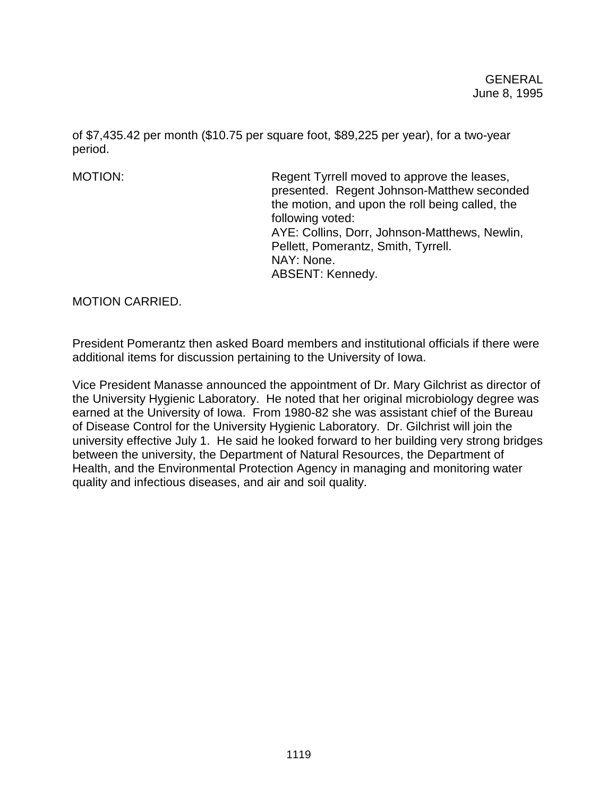of \$7,435.42 per month (\$10.75 per square foot, \$89,225 per year), for a two-year period.

MOTION: Regent Tyrrell moved to approve the leases, presented. Regent Johnson-Matthew seconded the motion, and upon the roll being called, the following voted: AYE: Collins, Dorr, Johnson-Matthews, Newlin, Pellett, Pomerantz, Smith, Tyrrell. NAY: None. ABSENT: Kennedy.

MOTION CARRIED.

President Pomerantz then asked Board members and institutional officials if there were additional items for discussion pertaining to the University of Iowa.

Vice President Manasse announced the appointment of Dr. Mary Gilchrist as director of the University Hygienic Laboratory. He noted that her original microbiology degree was earned at the University of Iowa. From 1980-82 she was assistant chief of the Bureau of Disease Control for the University Hygienic Laboratory. Dr. Gilchrist will join the university effective July 1. He said he looked forward to her building very strong bridges between the university, the Department of Natural Resources, the Department of Health, and the Environmental Protection Agency in managing and monitoring water quality and infectious diseases, and air and soil quality.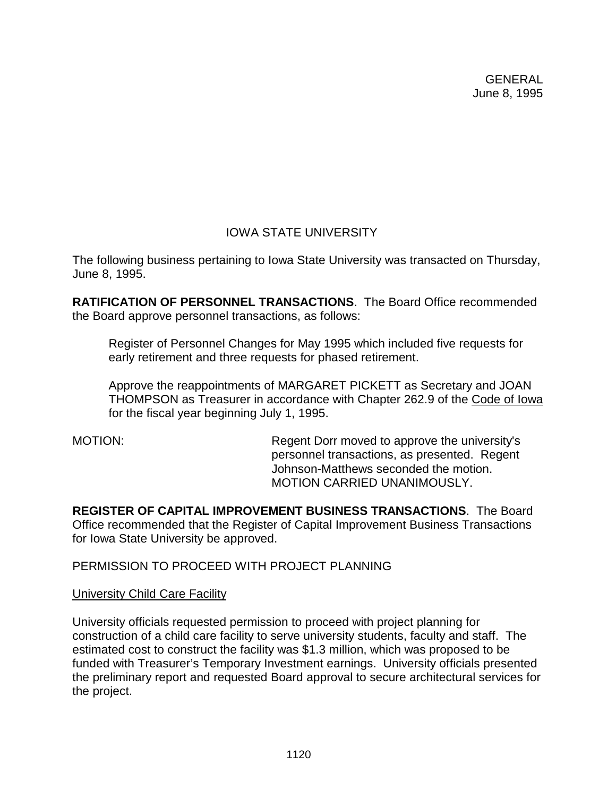# IOWA STATE UNIVERSITY

The following business pertaining to Iowa State University was transacted on Thursday, June 8, 1995.

**RATIFICATION OF PERSONNEL TRANSACTIONS**. The Board Office recommended the Board approve personnel transactions, as follows:

Register of Personnel Changes for May 1995 which included five requests for early retirement and three requests for phased retirement.

Approve the reappointments of MARGARET PICKETT as Secretary and JOAN THOMPSON as Treasurer in accordance with Chapter 262.9 of the Code of Iowa for the fiscal year beginning July 1, 1995.

MOTION: Regent Dorr moved to approve the university's personnel transactions, as presented. Regent Johnson-Matthews seconded the motion. MOTION CARRIED UNANIMOUSLY.

**REGISTER OF CAPITAL IMPROVEMENT BUSINESS TRANSACTIONS**. The Board Office recommended that the Register of Capital Improvement Business Transactions for Iowa State University be approved.

PERMISSION TO PROCEED WITH PROJECT PLANNING

## **University Child Care Facility**

University officials requested permission to proceed with project planning for construction of a child care facility to serve university students, faculty and staff. The estimated cost to construct the facility was \$1.3 million, which was proposed to be funded with Treasurer's Temporary Investment earnings. University officials presented the preliminary report and requested Board approval to secure architectural services for the project.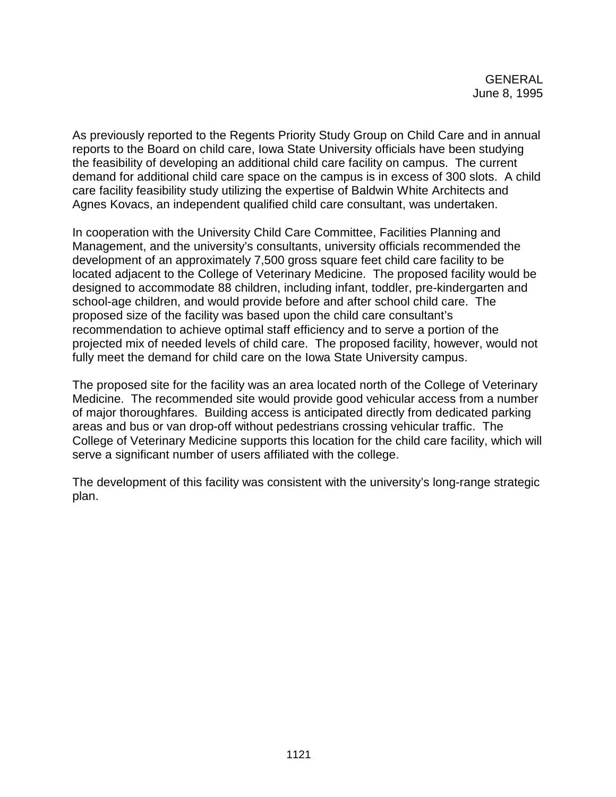As previously reported to the Regents Priority Study Group on Child Care and in annual reports to the Board on child care, Iowa State University officials have been studying the feasibility of developing an additional child care facility on campus. The current demand for additional child care space on the campus is in excess of 300 slots. A child care facility feasibility study utilizing the expertise of Baldwin White Architects and Agnes Kovacs, an independent qualified child care consultant, was undertaken.

In cooperation with the University Child Care Committee, Facilities Planning and Management, and the university's consultants, university officials recommended the development of an approximately 7,500 gross square feet child care facility to be located adjacent to the College of Veterinary Medicine. The proposed facility would be designed to accommodate 88 children, including infant, toddler, pre-kindergarten and school-age children, and would provide before and after school child care. The proposed size of the facility was based upon the child care consultant's recommendation to achieve optimal staff efficiency and to serve a portion of the projected mix of needed levels of child care. The proposed facility, however, would not fully meet the demand for child care on the Iowa State University campus.

The proposed site for the facility was an area located north of the College of Veterinary Medicine. The recommended site would provide good vehicular access from a number of major thoroughfares. Building access is anticipated directly from dedicated parking areas and bus or van drop-off without pedestrians crossing vehicular traffic. The College of Veterinary Medicine supports this location for the child care facility, which will serve a significant number of users affiliated with the college.

The development of this facility was consistent with the university's long-range strategic plan.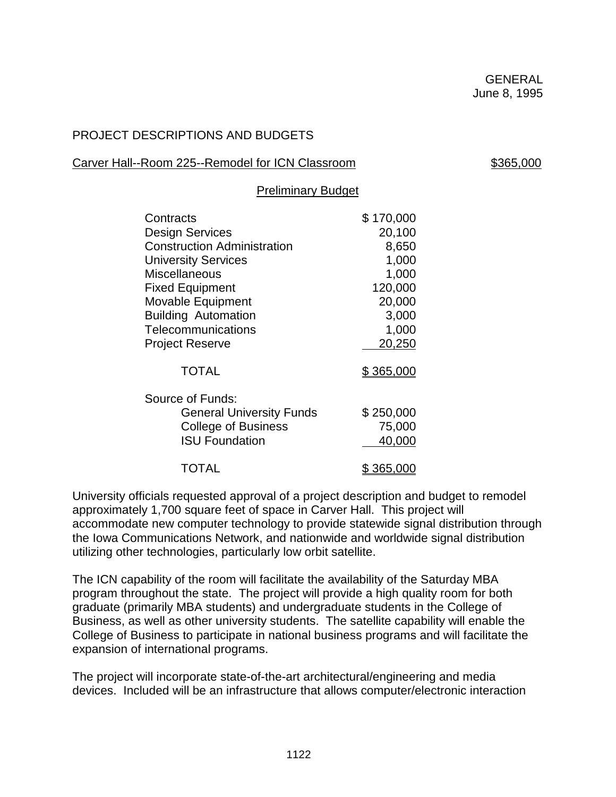# PROJECT DESCRIPTIONS AND BUDGETS

# Carver Hall--Room 225--Remodel for ICN Classroom \$365,000

### Preliminary Budget

| Contracts                          | \$170,000        |
|------------------------------------|------------------|
| <b>Design Services</b>             | 20,100           |
| <b>Construction Administration</b> | 8,650            |
| <b>University Services</b>         | 1,000            |
| <b>Miscellaneous</b>               | 1,000            |
| <b>Fixed Equipment</b>             | 120,000          |
| Movable Equipment                  | 20,000           |
| <b>Building Automation</b>         | 3,000            |
| Telecommunications                 | 1,000            |
| <b>Project Reserve</b>             | 20,250           |
| <b>TOTAL</b>                       | <u>\$365,000</u> |
| Source of Funds:                   |                  |
| <b>General University Funds</b>    | \$250,000        |
| <b>College of Business</b>         | 75,000           |
| <b>ISU Foundation</b>              | 40,000           |
| <b>TOTAL</b>                       | 365,000          |

University officials requested approval of a project description and budget to remodel approximately 1,700 square feet of space in Carver Hall. This project will accommodate new computer technology to provide statewide signal distribution through the Iowa Communications Network, and nationwide and worldwide signal distribution utilizing other technologies, particularly low orbit satellite.

The ICN capability of the room will facilitate the availability of the Saturday MBA program throughout the state. The project will provide a high quality room for both graduate (primarily MBA students) and undergraduate students in the College of Business, as well as other university students. The satellite capability will enable the College of Business to participate in national business programs and will facilitate the expansion of international programs.

The project will incorporate state-of-the-art architectural/engineering and media devices. Included will be an infrastructure that allows computer/electronic interaction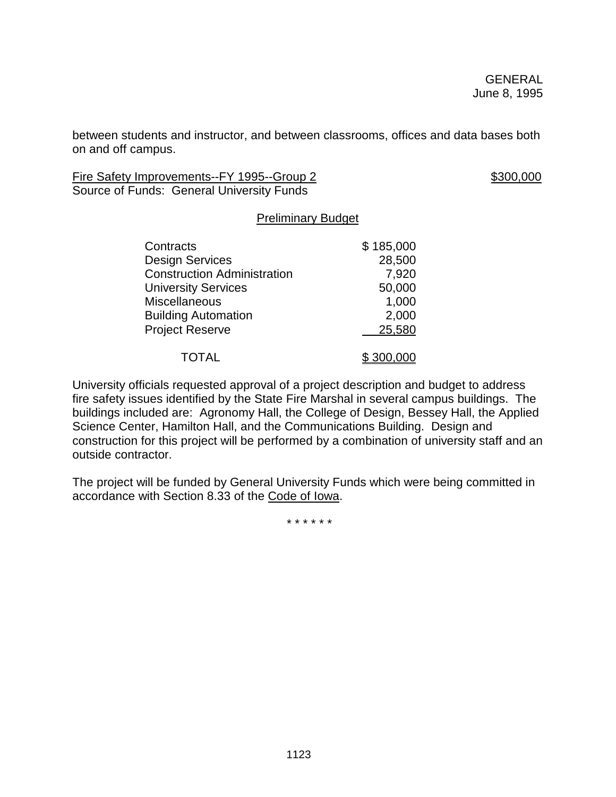between students and instructor, and between classrooms, offices and data bases both on and off campus.

Fire Safety Improvements--FY 1995--Group 2 \$300,000 Source of Funds: General University Funds

### Preliminary Budget

| Contracts                          | \$185,000 |
|------------------------------------|-----------|
| <b>Design Services</b>             | 28,500    |
| <b>Construction Administration</b> | 7,920     |
| <b>University Services</b>         | 50,000    |
| <b>Miscellaneous</b>               | 1,000     |
| <b>Building Automation</b>         | 2,000     |
| <b>Project Reserve</b>             | 25,580    |
| <b>TOTAL</b>                       | \$300,000 |

University officials requested approval of a project description and budget to address fire safety issues identified by the State Fire Marshal in several campus buildings. The buildings included are: Agronomy Hall, the College of Design, Bessey Hall, the Applied Science Center, Hamilton Hall, and the Communications Building. Design and construction for this project will be performed by a combination of university staff and an outside contractor.

The project will be funded by General University Funds which were being committed in accordance with Section 8.33 of the Code of Iowa.

\* \* \* \* \* \*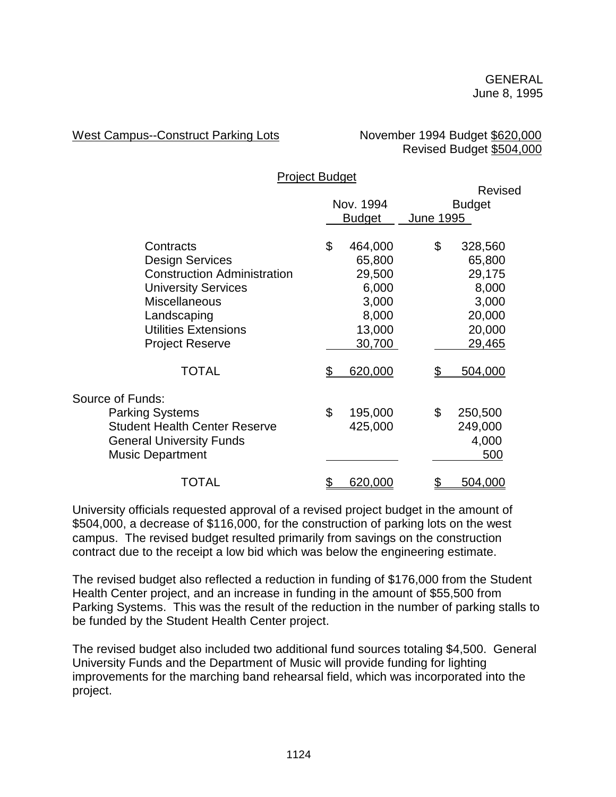West Campus--Construct Parking Lots November 1994 Budget \$620,000

Revised Budget \$504,000

|                                      | <b>Project Budget</b> |               |           |               |
|--------------------------------------|-----------------------|---------------|-----------|---------------|
|                                      |                       |               |           | Revised       |
|                                      |                       | Nov. 1994     |           | <b>Budget</b> |
|                                      |                       | <b>Budget</b> | June 1995 |               |
| Contracts                            | \$                    | 464,000       | \$        | 328,560       |
| <b>Design Services</b>               |                       | 65,800        |           | 65,800        |
| <b>Construction Administration</b>   |                       | 29,500        |           | 29,175        |
| <b>University Services</b>           |                       | 6,000         |           | 8,000         |
| <b>Miscellaneous</b>                 |                       | 3,000         |           | 3,000         |
| Landscaping                          |                       | 8,000         |           | 20,000        |
| <b>Utilities Extensions</b>          |                       | 13,000        |           | 20,000        |
| <b>Project Reserve</b>               |                       | 30,700        |           | 29,465        |
| <b>TOTAL</b>                         |                       | 620,000       |           | 504,000       |
| Source of Funds:                     |                       |               |           |               |
| <b>Parking Systems</b>               | \$                    | 195,000       | \$        | 250,500       |
| <b>Student Health Center Reserve</b> |                       | 425,000       |           | 249,000       |
| <b>General University Funds</b>      |                       |               |           | 4,000         |
| <b>Music Department</b>              |                       |               |           | 500           |
| TOTAL                                |                       | 620,000       |           | 504,000       |
|                                      |                       |               |           |               |

University officials requested approval of a revised project budget in the amount of \$504,000, a decrease of \$116,000, for the construction of parking lots on the west campus. The revised budget resulted primarily from savings on the construction contract due to the receipt a low bid which was below the engineering estimate.

The revised budget also reflected a reduction in funding of \$176,000 from the Student Health Center project, and an increase in funding in the amount of \$55,500 from Parking Systems. This was the result of the reduction in the number of parking stalls to be funded by the Student Health Center project.

The revised budget also included two additional fund sources totaling \$4,500. General University Funds and the Department of Music will provide funding for lighting improvements for the marching band rehearsal field, which was incorporated into the project.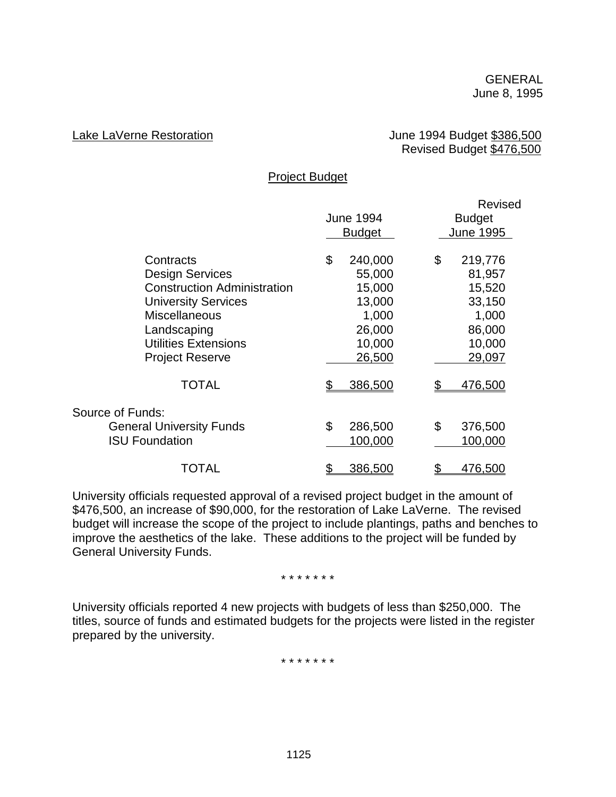#### Lake LaVerne Restoration **Lake LaVerne Restoration** June 1994 Budget \$386,500 Revised Budget \$476,500

#### Project Budget

|                                    |                  | Revised       |
|------------------------------------|------------------|---------------|
|                                    | <b>June 1994</b> | <b>Budget</b> |
|                                    | <b>Budget</b>    | June 1995     |
| Contracts                          | \$<br>240,000    | \$<br>219,776 |
| <b>Design Services</b>             | 55,000           | 81,957        |
| <b>Construction Administration</b> | 15,000           | 15,520        |
| <b>University Services</b>         | 13,000           | 33,150        |
| <b>Miscellaneous</b>               | 1,000            | 1,000         |
| Landscaping                        | 26,000           | 86,000        |
| <b>Utilities Extensions</b>        | 10,000           | 10,000        |
| <b>Project Reserve</b>             | 26,500           | 29,097        |
| <b>TOTAL</b>                       | 386,500          | 476,500       |
| Source of Funds:                   |                  |               |
| <b>General University Funds</b>    | \$<br>286,500    | \$<br>376,500 |
| <b>ISU Foundation</b>              | 100,000          | 100,000       |
| TOTAL                              | 386,500          | 476,500       |

University officials requested approval of a revised project budget in the amount of \$476,500, an increase of \$90,000, for the restoration of Lake LaVerne. The revised budget will increase the scope of the project to include plantings, paths and benches to improve the aesthetics of the lake. These additions to the project will be funded by General University Funds.

#### \* \* \* \* \* \* \*

University officials reported 4 new projects with budgets of less than \$250,000. The titles, source of funds and estimated budgets for the projects were listed in the register prepared by the university.

\* \* \* \* \* \* \*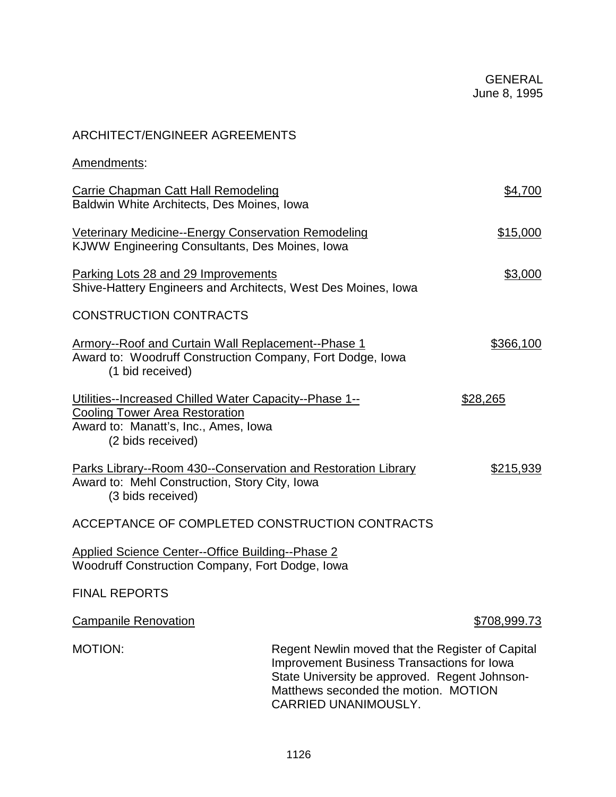# ARCHITECT/ENGINEER AGREEMENTS

| Amendments:                                                                                                                                                  |                                                                                                                                                                                                                        |                     |  |
|--------------------------------------------------------------------------------------------------------------------------------------------------------------|------------------------------------------------------------------------------------------------------------------------------------------------------------------------------------------------------------------------|---------------------|--|
| <b>Carrie Chapman Catt Hall Remodeling</b><br>Baldwin White Architects, Des Moines, Iowa                                                                     |                                                                                                                                                                                                                        | \$4,700             |  |
| <b>Veterinary Medicine--Energy Conservation Remodeling</b><br>KJWW Engineering Consultants, Des Moines, Iowa                                                 |                                                                                                                                                                                                                        | \$15,000            |  |
| Parking Lots 28 and 29 Improvements<br>Shive-Hattery Engineers and Architects, West Des Moines, Iowa                                                         |                                                                                                                                                                                                                        | \$3,000             |  |
| <b>CONSTRUCTION CONTRACTS</b>                                                                                                                                |                                                                                                                                                                                                                        |                     |  |
| <b>Armory--Roof and Curtain Wall Replacement--Phase 1</b><br>Award to: Woodruff Construction Company, Fort Dodge, Iowa<br>(1 bid received)                   |                                                                                                                                                                                                                        | \$366,100           |  |
| Utilities--Increased Chilled Water Capacity--Phase 1--<br><b>Cooling Tower Area Restoration</b><br>Award to: Manatt's, Inc., Ames, Iowa<br>(2 bids received) |                                                                                                                                                                                                                        | \$28,265            |  |
| Parks Library--Room 430--Conservation and Restoration Library<br>\$215,939<br>Award to: Mehl Construction, Story City, Iowa<br>(3 bids received)             |                                                                                                                                                                                                                        |                     |  |
| ACCEPTANCE OF COMPLETED CONSTRUCTION CONTRACTS                                                                                                               |                                                                                                                                                                                                                        |                     |  |
| Applied Science Center--Office Building--Phase 2<br>Woodruff Construction Company, Fort Dodge, Iowa                                                          |                                                                                                                                                                                                                        |                     |  |
| <b>FINAL REPORTS</b>                                                                                                                                         |                                                                                                                                                                                                                        |                     |  |
| <b>Campanile Renovation</b>                                                                                                                                  |                                                                                                                                                                                                                        | <u>\$708,999.73</u> |  |
| <b>MOTION:</b>                                                                                                                                               | Regent Newlin moved that the Register of Capital<br><b>Improvement Business Transactions for Iowa</b><br>State University be approved. Regent Johnson-<br>Matthews seconded the motion. MOTION<br>CARRIED UNANIMOUSLY. |                     |  |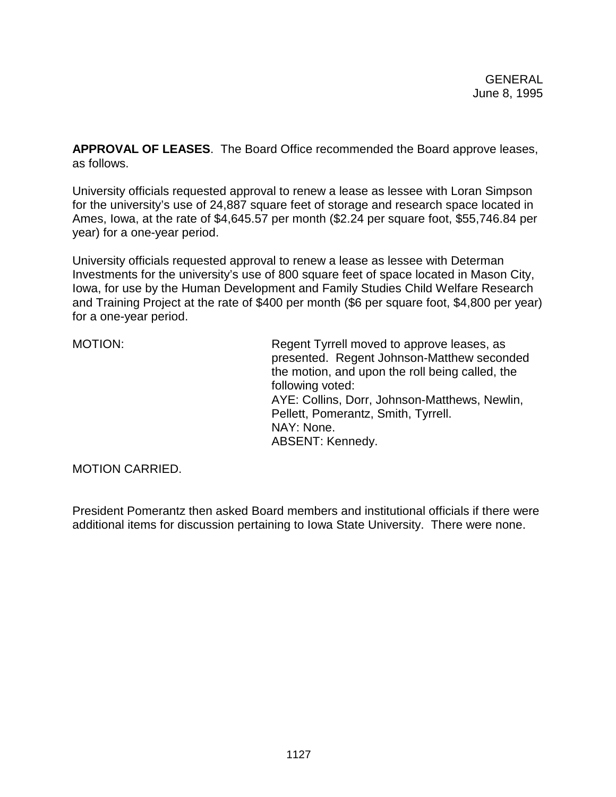**APPROVAL OF LEASES**. The Board Office recommended the Board approve leases, as follows.

University officials requested approval to renew a lease as lessee with Loran Simpson for the university's use of 24,887 square feet of storage and research space located in Ames, Iowa, at the rate of \$4,645.57 per month (\$2.24 per square foot, \$55,746.84 per year) for a one-year period.

University officials requested approval to renew a lease as lessee with Determan Investments for the university's use of 800 square feet of space located in Mason City, Iowa, for use by the Human Development and Family Studies Child Welfare Research and Training Project at the rate of \$400 per month (\$6 per square foot, \$4,800 per year) for a one-year period.

MOTION: MOTION: Regent Tyrrell moved to approve leases, as presented. Regent Johnson-Matthew seconded the motion, and upon the roll being called, the following voted: AYE: Collins, Dorr, Johnson-Matthews, Newlin, Pellett, Pomerantz, Smith, Tyrrell. NAY: None. ABSENT: Kennedy.

MOTION CARRIED.

President Pomerantz then asked Board members and institutional officials if there were additional items for discussion pertaining to Iowa State University. There were none.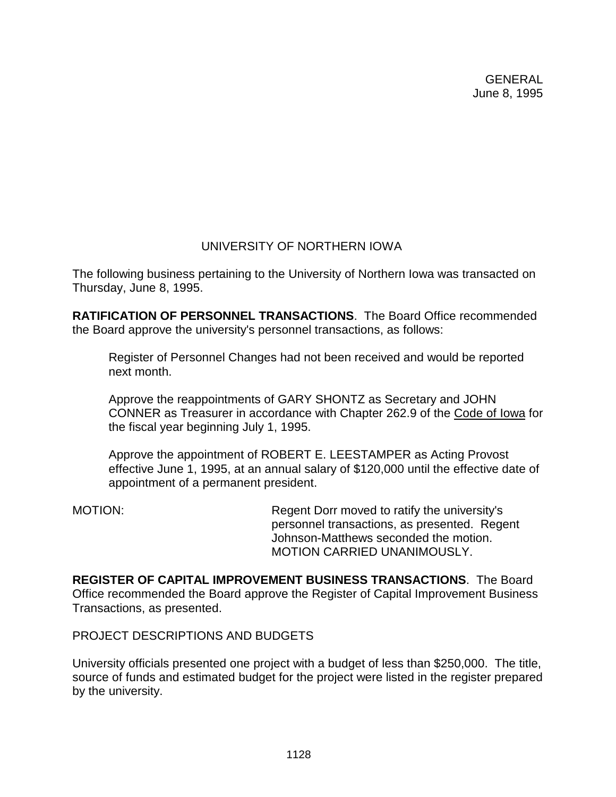# UNIVERSITY OF NORTHERN IOWA

The following business pertaining to the University of Northern Iowa was transacted on Thursday, June 8, 1995.

**RATIFICATION OF PERSONNEL TRANSACTIONS**. The Board Office recommended the Board approve the university's personnel transactions, as follows:

Register of Personnel Changes had not been received and would be reported next month.

Approve the reappointments of GARY SHONTZ as Secretary and JOHN CONNER as Treasurer in accordance with Chapter 262.9 of the Code of Iowa for the fiscal year beginning July 1, 1995.

Approve the appointment of ROBERT E. LEESTAMPER as Acting Provost effective June 1, 1995, at an annual salary of \$120,000 until the effective date of appointment of a permanent president.

MOTION: Regent Dorr moved to ratify the university's personnel transactions, as presented. Regent Johnson-Matthews seconded the motion. MOTION CARRIED UNANIMOUSLY.

**REGISTER OF CAPITAL IMPROVEMENT BUSINESS TRANSACTIONS**. The Board Office recommended the Board approve the Register of Capital Improvement Business Transactions, as presented.

PROJECT DESCRIPTIONS AND BUDGETS

University officials presented one project with a budget of less than \$250,000. The title, source of funds and estimated budget for the project were listed in the register prepared by the university.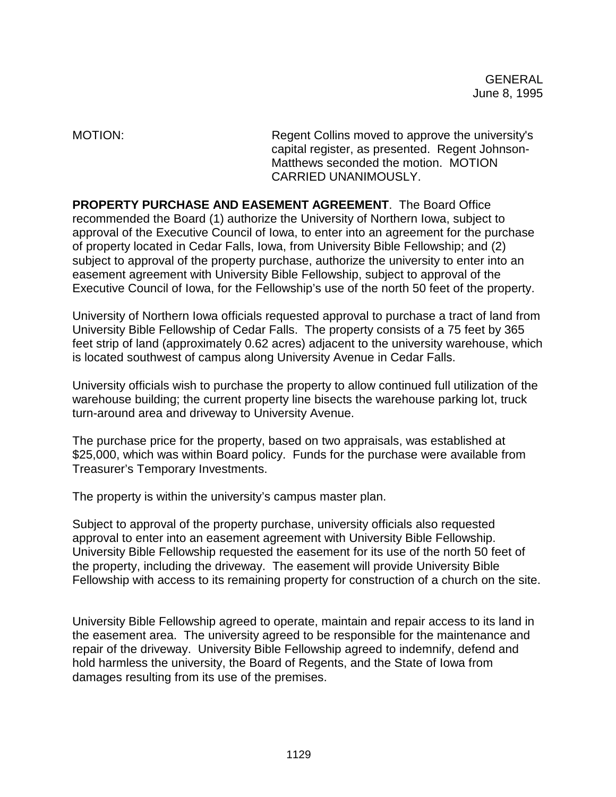MOTION: Regent Collins moved to approve the university's capital register, as presented. Regent Johnson-Matthews seconded the motion. MOTION CARRIED UNANIMOUSLY.

**PROPERTY PURCHASE AND EASEMENT AGREEMENT**. The Board Office recommended the Board (1) authorize the University of Northern Iowa, subject to approval of the Executive Council of Iowa, to enter into an agreement for the purchase of property located in Cedar Falls, Iowa, from University Bible Fellowship; and (2) subject to approval of the property purchase, authorize the university to enter into an easement agreement with University Bible Fellowship, subject to approval of the Executive Council of Iowa, for the Fellowship's use of the north 50 feet of the property.

University of Northern Iowa officials requested approval to purchase a tract of land from University Bible Fellowship of Cedar Falls. The property consists of a 75 feet by 365 feet strip of land (approximately 0.62 acres) adjacent to the university warehouse, which is located southwest of campus along University Avenue in Cedar Falls.

University officials wish to purchase the property to allow continued full utilization of the warehouse building; the current property line bisects the warehouse parking lot, truck turn-around area and driveway to University Avenue.

The purchase price for the property, based on two appraisals, was established at \$25,000, which was within Board policy. Funds for the purchase were available from Treasurer's Temporary Investments.

The property is within the university's campus master plan.

Subject to approval of the property purchase, university officials also requested approval to enter into an easement agreement with University Bible Fellowship. University Bible Fellowship requested the easement for its use of the north 50 feet of the property, including the driveway. The easement will provide University Bible Fellowship with access to its remaining property for construction of a church on the site.

University Bible Fellowship agreed to operate, maintain and repair access to its land in the easement area. The university agreed to be responsible for the maintenance and repair of the driveway. University Bible Fellowship agreed to indemnify, defend and hold harmless the university, the Board of Regents, and the State of Iowa from damages resulting from its use of the premises.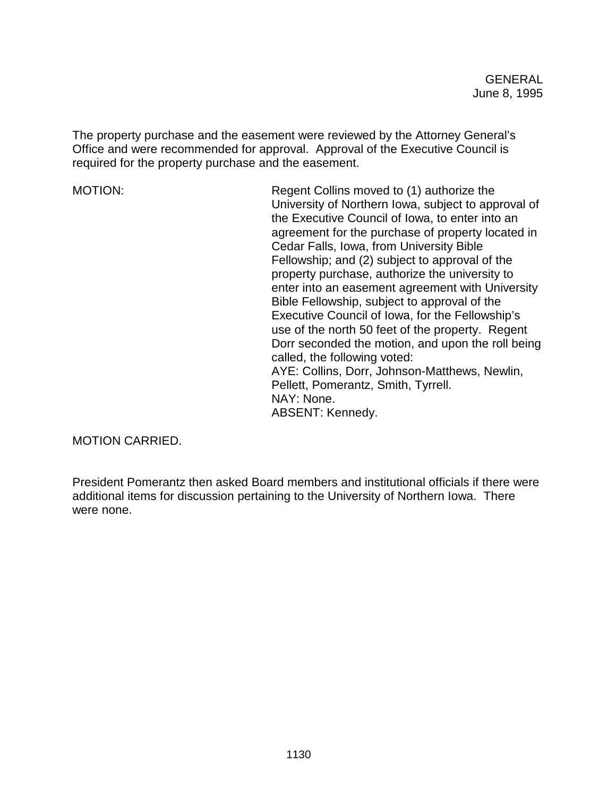The property purchase and the easement were reviewed by the Attorney General's Office and were recommended for approval. Approval of the Executive Council is required for the property purchase and the easement.

MOTION: Regent Collins moved to (1) authorize the University of Northern Iowa, subject to approval of the Executive Council of Iowa, to enter into an agreement for the purchase of property located in Cedar Falls, Iowa, from University Bible Fellowship; and (2) subject to approval of the property purchase, authorize the university to enter into an easement agreement with University Bible Fellowship, subject to approval of the Executive Council of Iowa, for the Fellowship's use of the north 50 feet of the property. Regent Dorr seconded the motion, and upon the roll being called, the following voted: AYE: Collins, Dorr, Johnson-Matthews, Newlin, Pellett, Pomerantz, Smith, Tyrrell. NAY: None. ABSENT: Kennedy.

MOTION CARRIED.

President Pomerantz then asked Board members and institutional officials if there were additional items for discussion pertaining to the University of Northern Iowa. There were none.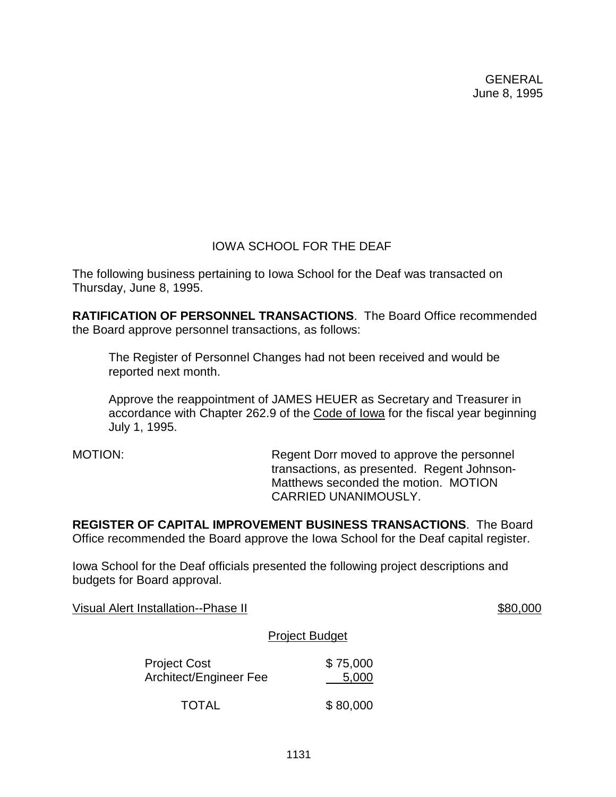# IOWA SCHOOL FOR THE DEAF

The following business pertaining to Iowa School for the Deaf was transacted on Thursday, June 8, 1995.

**RATIFICATION OF PERSONNEL TRANSACTIONS**. The Board Office recommended the Board approve personnel transactions, as follows:

The Register of Personnel Changes had not been received and would be reported next month.

Approve the reappointment of JAMES HEUER as Secretary and Treasurer in accordance with Chapter 262.9 of the Code of Iowa for the fiscal year beginning July 1, 1995.

MOTION: Regent Dorr moved to approve the personnel transactions, as presented. Regent Johnson-Matthews seconded the motion. MOTION CARRIED UNANIMOUSLY.

**REGISTER OF CAPITAL IMPROVEMENT BUSINESS TRANSACTIONS**. The Board Office recommended the Board approve the Iowa School for the Deaf capital register.

Iowa School for the Deaf officials presented the following project descriptions and budgets for Board approval.

Visual Alert Installation--Phase II  $$80,000$ 

#### Project Budget

| <b>Project Cost</b>    | \$75,000 |
|------------------------|----------|
| Architect/Engineer Fee | 5,000    |
| <b>TOTAL</b>           | \$80,000 |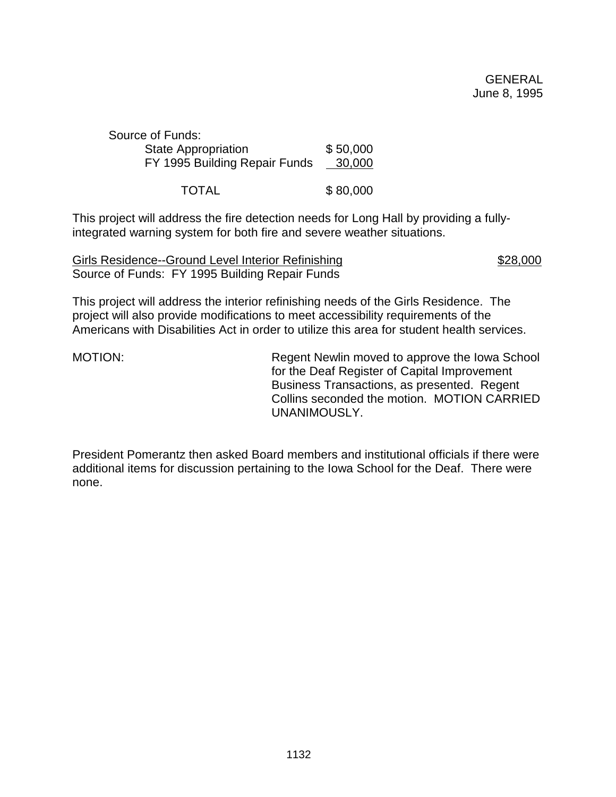| Source of Funds:              |          |
|-------------------------------|----------|
| <b>State Appropriation</b>    | \$50,000 |
| FY 1995 Building Repair Funds | 30,000   |
|                               |          |

TOTAL \$ 80,000

This project will address the fire detection needs for Long Hall by providing a fullyintegrated warning system for both fire and severe weather situations.

Girls Residence--Ground Level Interior Refinishing  $$28,000$ Source of Funds: FY 1995 Building Repair Funds

This project will address the interior refinishing needs of the Girls Residence. The project will also provide modifications to meet accessibility requirements of the Americans with Disabilities Act in order to utilize this area for student health services.

MOTION: Regent Newlin moved to approve the Iowa School for the Deaf Register of Capital Improvement Business Transactions, as presented. Regent Collins seconded the motion. MOTION CARRIED UNANIMOUSLY.

President Pomerantz then asked Board members and institutional officials if there were additional items for discussion pertaining to the Iowa School for the Deaf. There were none.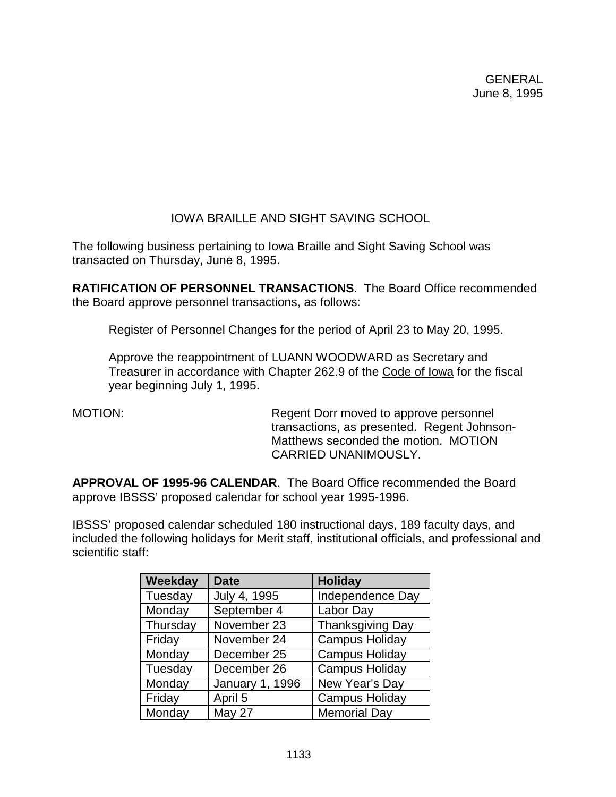# IOWA BRAILLE AND SIGHT SAVING SCHOOL

The following business pertaining to Iowa Braille and Sight Saving School was transacted on Thursday, June 8, 1995.

**RATIFICATION OF PERSONNEL TRANSACTIONS**. The Board Office recommended the Board approve personnel transactions, as follows:

Register of Personnel Changes for the period of April 23 to May 20, 1995.

Approve the reappointment of LUANN WOODWARD as Secretary and Treasurer in accordance with Chapter 262.9 of the Code of Iowa for the fiscal year beginning July 1, 1995.

MOTION: Regent Dorr moved to approve personnel transactions, as presented. Regent Johnson-Matthews seconded the motion. MOTION CARRIED UNANIMOUSLY.

**APPROVAL OF 1995-96 CALENDAR**. The Board Office recommended the Board approve IBSSS' proposed calendar for school year 1995-1996.

IBSSS' proposed calendar scheduled 180 instructional days, 189 faculty days, and included the following holidays for Merit staff, institutional officials, and professional and scientific staff:

| Weekday  | <b>Date</b>            | <b>Holiday</b>          |
|----------|------------------------|-------------------------|
| Tuesday  | July 4, 1995           | Independence Day        |
| Monday   | September 4            | Labor Day               |
| Thursday | November 23            | <b>Thanksgiving Day</b> |
| Friday   | November 24            | <b>Campus Holiday</b>   |
| Monday   | December 25            | <b>Campus Holiday</b>   |
| Tuesday  | December 26            | Campus Holiday          |
| Monday   | <b>January 1, 1996</b> | New Year's Day          |
| Friday   | April 5                | <b>Campus Holiday</b>   |
| Monday   | May 27                 | <b>Memorial Day</b>     |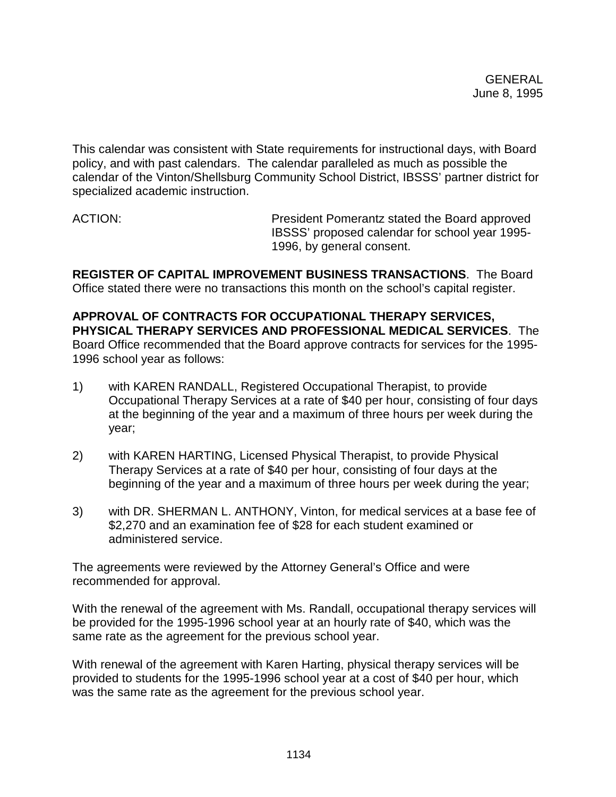This calendar was consistent with State requirements for instructional days, with Board policy, and with past calendars. The calendar paralleled as much as possible the calendar of the Vinton/Shellsburg Community School District, IBSSS' partner district for specialized academic instruction.

ACTION: President Pomerantz stated the Board approved IBSSS' proposed calendar for school year 1995- 1996, by general consent.

**REGISTER OF CAPITAL IMPROVEMENT BUSINESS TRANSACTIONS**. The Board Office stated there were no transactions this month on the school's capital register.

**APPROVAL OF CONTRACTS FOR OCCUPATIONAL THERAPY SERVICES, PHYSICAL THERAPY SERVICES AND PROFESSIONAL MEDICAL SERVICES**. The Board Office recommended that the Board approve contracts for services for the 1995- 1996 school year as follows:

- 1) with KAREN RANDALL, Registered Occupational Therapist, to provide Occupational Therapy Services at a rate of \$40 per hour, consisting of four days at the beginning of the year and a maximum of three hours per week during the year;
- 2) with KAREN HARTING, Licensed Physical Therapist, to provide Physical Therapy Services at a rate of \$40 per hour, consisting of four days at the beginning of the year and a maximum of three hours per week during the year;
- 3) with DR. SHERMAN L. ANTHONY, Vinton, for medical services at a base fee of \$2,270 and an examination fee of \$28 for each student examined or administered service.

The agreements were reviewed by the Attorney General's Office and were recommended for approval.

With the renewal of the agreement with Ms. Randall, occupational therapy services will be provided for the 1995-1996 school year at an hourly rate of \$40, which was the same rate as the agreement for the previous school year.

With renewal of the agreement with Karen Harting, physical therapy services will be provided to students for the 1995-1996 school year at a cost of \$40 per hour, which was the same rate as the agreement for the previous school year.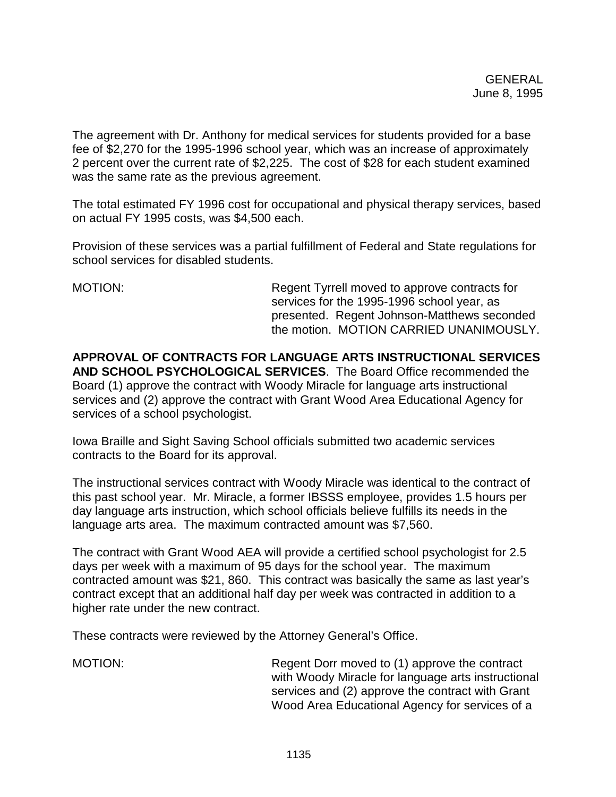The agreement with Dr. Anthony for medical services for students provided for a base fee of \$2,270 for the 1995-1996 school year, which was an increase of approximately 2 percent over the current rate of \$2,225. The cost of \$28 for each student examined was the same rate as the previous agreement.

The total estimated FY 1996 cost for occupational and physical therapy services, based on actual FY 1995 costs, was \$4,500 each.

Provision of these services was a partial fulfillment of Federal and State regulations for school services for disabled students.

MOTION: Regent Tyrrell moved to approve contracts for services for the 1995-1996 school year, as presented. Regent Johnson-Matthews seconded the motion. MOTION CARRIED UNANIMOUSLY.

**APPROVAL OF CONTRACTS FOR LANGUAGE ARTS INSTRUCTIONAL SERVICES AND SCHOOL PSYCHOLOGICAL SERVICES**. The Board Office recommended the Board (1) approve the contract with Woody Miracle for language arts instructional services and (2) approve the contract with Grant Wood Area Educational Agency for services of a school psychologist.

Iowa Braille and Sight Saving School officials submitted two academic services contracts to the Board for its approval.

The instructional services contract with Woody Miracle was identical to the contract of this past school year. Mr. Miracle, a former IBSSS employee, provides 1.5 hours per day language arts instruction, which school officials believe fulfills its needs in the language arts area. The maximum contracted amount was \$7,560.

The contract with Grant Wood AEA will provide a certified school psychologist for 2.5 days per week with a maximum of 95 days for the school year. The maximum contracted amount was \$21, 860. This contract was basically the same as last year's contract except that an additional half day per week was contracted in addition to a higher rate under the new contract.

These contracts were reviewed by the Attorney General's Office.

MOTION: Regent Dorr moved to (1) approve the contract with Woody Miracle for language arts instructional services and (2) approve the contract with Grant Wood Area Educational Agency for services of a